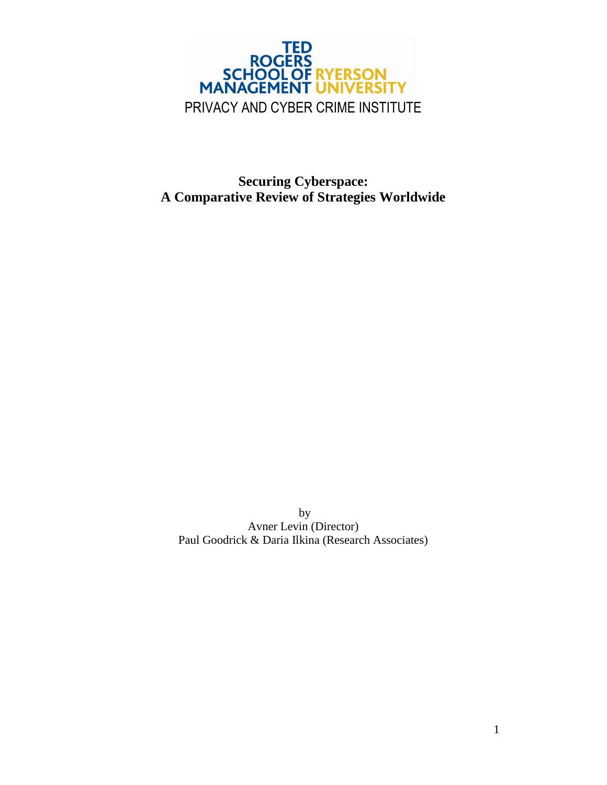

**Securing Cyberspace: A Comparative Review of Strategies Worldwide**

by Avner Levin (Director) Paul Goodrick & Daria Ilkina (Research Associates)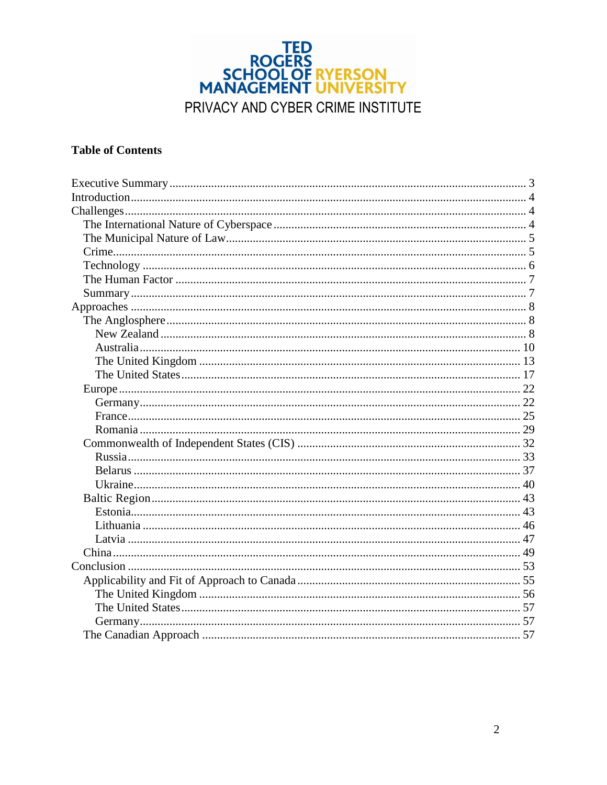

### **Table of Contents**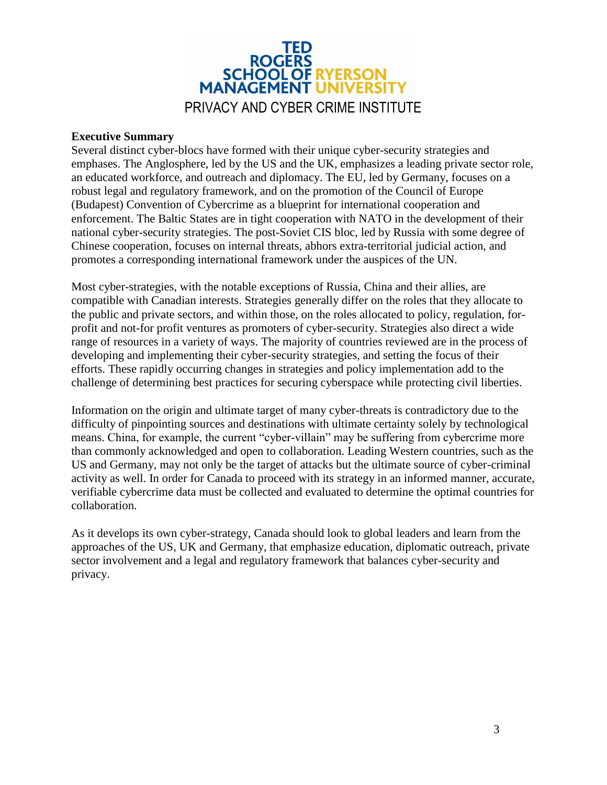

#### <span id="page-2-0"></span>**Executive Summary**

Several distinct cyber-blocs have formed with their unique cyber-security strategies and emphases. The Anglosphere, led by the US and the UK, emphasizes a leading private sector role, an educated workforce, and outreach and diplomacy. The EU, led by Germany, focuses on a robust legal and regulatory framework, and on the promotion of the Council of Europe (Budapest) Convention of Cybercrime as a blueprint for international cooperation and enforcement. The Baltic States are in tight cooperation with NATO in the development of their national cyber-security strategies. The post-Soviet CIS bloc, led by Russia with some degree of Chinese cooperation, focuses on internal threats, abhors extra-territorial judicial action, and promotes a corresponding international framework under the auspices of the UN.

Most cyber-strategies, with the notable exceptions of Russia, China and their allies, are compatible with Canadian interests. Strategies generally differ on the roles that they allocate to the public and private sectors, and within those, on the roles allocated to policy, regulation, forprofit and not-for profit ventures as promoters of cyber-security. Strategies also direct a wide range of resources in a variety of ways. The majority of countries reviewed are in the process of developing and implementing their cyber-security strategies, and setting the focus of their efforts. These rapidly occurring changes in strategies and policy implementation add to the challenge of determining best practices for securing cyberspace while protecting civil liberties.

Information on the origin and ultimate target of many cyber-threats is contradictory due to the difficulty of pinpointing sources and destinations with ultimate certainty solely by technological means. China, for example, the current "cyber-villain" may be suffering from cybercrime more than commonly acknowledged and open to collaboration. Leading Western countries, such as the US and Germany, may not only be the target of attacks but the ultimate source of cyber-criminal activity as well. In order for Canada to proceed with its strategy in an informed manner, accurate, verifiable cybercrime data must be collected and evaluated to determine the optimal countries for collaboration.

As it develops its own cyber-strategy, Canada should look to global leaders and learn from the approaches of the US, UK and Germany, that emphasize education, diplomatic outreach, private sector involvement and a legal and regulatory framework that balances cyber-security and privacy.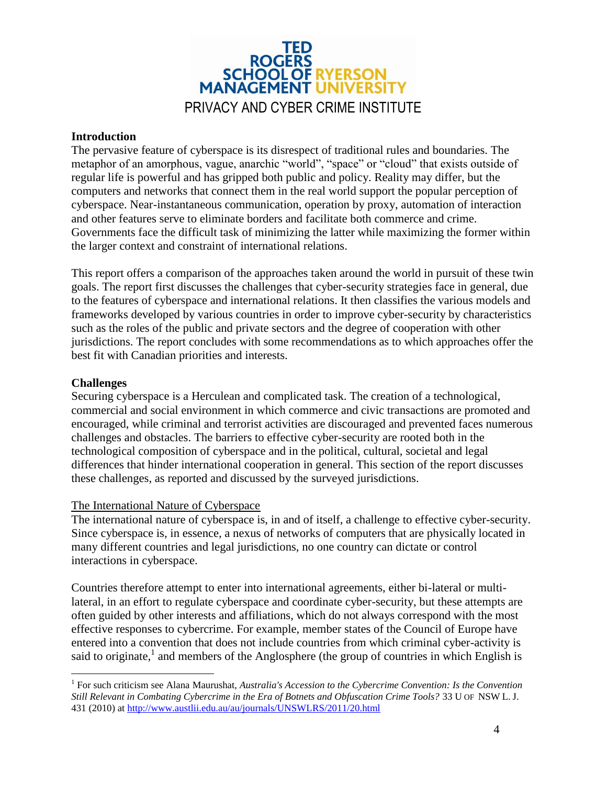

#### <span id="page-3-0"></span>**Introduction**

The pervasive feature of cyberspace is its disrespect of traditional rules and boundaries. The metaphor of an amorphous, vague, anarchic "world", "space" or "cloud" that exists outside of regular life is powerful and has gripped both public and policy. Reality may differ, but the computers and networks that connect them in the real world support the popular perception of cyberspace. Near-instantaneous communication, operation by proxy, automation of interaction and other features serve to eliminate borders and facilitate both commerce and crime. Governments face the difficult task of minimizing the latter while maximizing the former within the larger context and constraint of international relations.

This report offers a comparison of the approaches taken around the world in pursuit of these twin goals. The report first discusses the challenges that cyber-security strategies face in general, due to the features of cyberspace and international relations. It then classifies the various models and frameworks developed by various countries in order to improve cyber-security by characteristics such as the roles of the public and private sectors and the degree of cooperation with other jurisdictions. The report concludes with some recommendations as to which approaches offer the best fit with Canadian priorities and interests.

#### <span id="page-3-1"></span>**Challenges**

 $\overline{a}$ 

Securing cyberspace is a Herculean and complicated task. The creation of a technological, commercial and social environment in which commerce and civic transactions are promoted and encouraged, while criminal and terrorist activities are discouraged and prevented faces numerous challenges and obstacles. The barriers to effective cyber-security are rooted both in the technological composition of cyberspace and in the political, cultural, societal and legal differences that hinder international cooperation in general. This section of the report discusses these challenges, as reported and discussed by the surveyed jurisdictions.

#### <span id="page-3-2"></span>The International Nature of Cyberspace

The international nature of cyberspace is, in and of itself, a challenge to effective cyber-security. Since cyberspace is, in essence, a nexus of networks of computers that are physically located in many different countries and legal jurisdictions, no one country can dictate or control interactions in cyberspace.

Countries therefore attempt to enter into international agreements, either bi-lateral or multilateral, in an effort to regulate cyberspace and coordinate cyber-security, but these attempts are often guided by other interests and affiliations, which do not always correspond with the most effective responses to cybercrime. For example, member states of the Council of Europe have entered into a convention that does not include countries from which criminal cyber-activity is said to originate,<sup>1</sup> and members of the Anglosphere (the group of countries in which English is

<sup>&</sup>lt;sup>1</sup> For such criticism see Alana Maurushat, *Australia's Accession to the Cybercrime Convention: Is the Convention Still Relevant in Combating Cybercrime in the Era of Botnets and Obfuscation Crime Tools?* 33 U OF NSW L. J. 431 (2010) at<http://www.austlii.edu.au/au/journals/UNSWLRS/2011/20.html>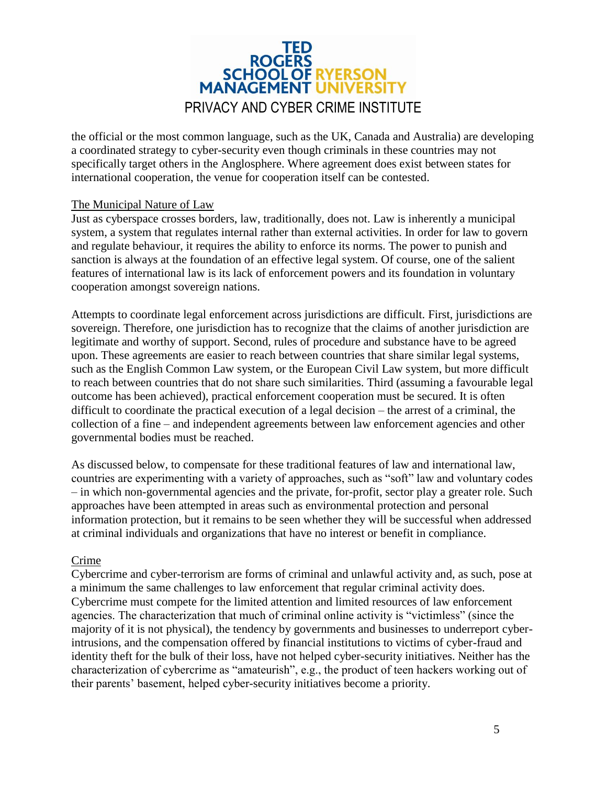

the official or the most common language, such as the UK, Canada and Australia) are developing a coordinated strategy to cyber-security even though criminals in these countries may not specifically target others in the Anglosphere. Where agreement does exist between states for international cooperation, the venue for cooperation itself can be contested.

#### <span id="page-4-0"></span>The Municipal Nature of Law

Just as cyberspace crosses borders, law, traditionally, does not. Law is inherently a municipal system, a system that regulates internal rather than external activities. In order for law to govern and regulate behaviour, it requires the ability to enforce its norms. The power to punish and sanction is always at the foundation of an effective legal system. Of course, one of the salient features of international law is its lack of enforcement powers and its foundation in voluntary cooperation amongst sovereign nations.

Attempts to coordinate legal enforcement across jurisdictions are difficult. First, jurisdictions are sovereign. Therefore, one jurisdiction has to recognize that the claims of another jurisdiction are legitimate and worthy of support. Second, rules of procedure and substance have to be agreed upon. These agreements are easier to reach between countries that share similar legal systems, such as the English Common Law system, or the European Civil Law system, but more difficult to reach between countries that do not share such similarities. Third (assuming a favourable legal outcome has been achieved), practical enforcement cooperation must be secured. It is often difficult to coordinate the practical execution of a legal decision – the arrest of a criminal, the collection of a fine – and independent agreements between law enforcement agencies and other governmental bodies must be reached.

As discussed below, to compensate for these traditional features of law and international law, countries are experimenting with a variety of approaches, such as "soft" law and voluntary codes – in which non-governmental agencies and the private, for-profit, sector play a greater role. Such approaches have been attempted in areas such as environmental protection and personal information protection, but it remains to be seen whether they will be successful when addressed at criminal individuals and organizations that have no interest or benefit in compliance.

#### <span id="page-4-1"></span>Crime

Cybercrime and cyber-terrorism are forms of criminal and unlawful activity and, as such, pose at a minimum the same challenges to law enforcement that regular criminal activity does. Cybercrime must compete for the limited attention and limited resources of law enforcement agencies. The characterization that much of criminal online activity is "victimless" (since the majority of it is not physical), the tendency by governments and businesses to underreport cyberintrusions, and the compensation offered by financial institutions to victims of cyber-fraud and identity theft for the bulk of their loss, have not helped cyber-security initiatives. Neither has the characterization of cybercrime as "amateurish", e.g., the product of teen hackers working out of their parents' basement, helped cyber-security initiatives become a priority.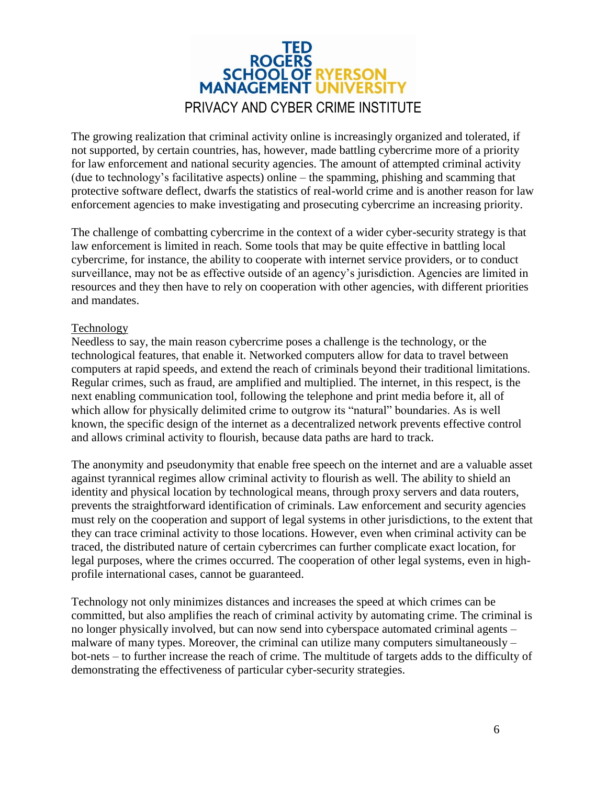

The growing realization that criminal activity online is increasingly organized and tolerated, if not supported, by certain countries, has, however, made battling cybercrime more of a priority for law enforcement and national security agencies. The amount of attempted criminal activity (due to technology's facilitative aspects) online – the spamming, phishing and scamming that protective software deflect, dwarfs the statistics of real-world crime and is another reason for law enforcement agencies to make investigating and prosecuting cybercrime an increasing priority.

The challenge of combatting cybercrime in the context of a wider cyber-security strategy is that law enforcement is limited in reach. Some tools that may be quite effective in battling local cybercrime, for instance, the ability to cooperate with internet service providers, or to conduct surveillance, may not be as effective outside of an agency's jurisdiction. Agencies are limited in resources and they then have to rely on cooperation with other agencies, with different priorities and mandates.

#### <span id="page-5-0"></span>Technology

Needless to say, the main reason cybercrime poses a challenge is the technology, or the technological features, that enable it. Networked computers allow for data to travel between computers at rapid speeds, and extend the reach of criminals beyond their traditional limitations. Regular crimes, such as fraud, are amplified and multiplied. The internet, in this respect, is the next enabling communication tool, following the telephone and print media before it, all of which allow for physically delimited crime to outgrow its "natural" boundaries. As is well known, the specific design of the internet as a decentralized network prevents effective control and allows criminal activity to flourish, because data paths are hard to track.

The anonymity and pseudonymity that enable free speech on the internet and are a valuable asset against tyrannical regimes allow criminal activity to flourish as well. The ability to shield an identity and physical location by technological means, through proxy servers and data routers, prevents the straightforward identification of criminals. Law enforcement and security agencies must rely on the cooperation and support of legal systems in other jurisdictions, to the extent that they can trace criminal activity to those locations. However, even when criminal activity can be traced, the distributed nature of certain cybercrimes can further complicate exact location, for legal purposes, where the crimes occurred. The cooperation of other legal systems, even in highprofile international cases, cannot be guaranteed.

Technology not only minimizes distances and increases the speed at which crimes can be committed, but also amplifies the reach of criminal activity by automating crime. The criminal is no longer physically involved, but can now send into cyberspace automated criminal agents – malware of many types. Moreover, the criminal can utilize many computers simultaneously – bot-nets – to further increase the reach of crime. The multitude of targets adds to the difficulty of demonstrating the effectiveness of particular cyber-security strategies.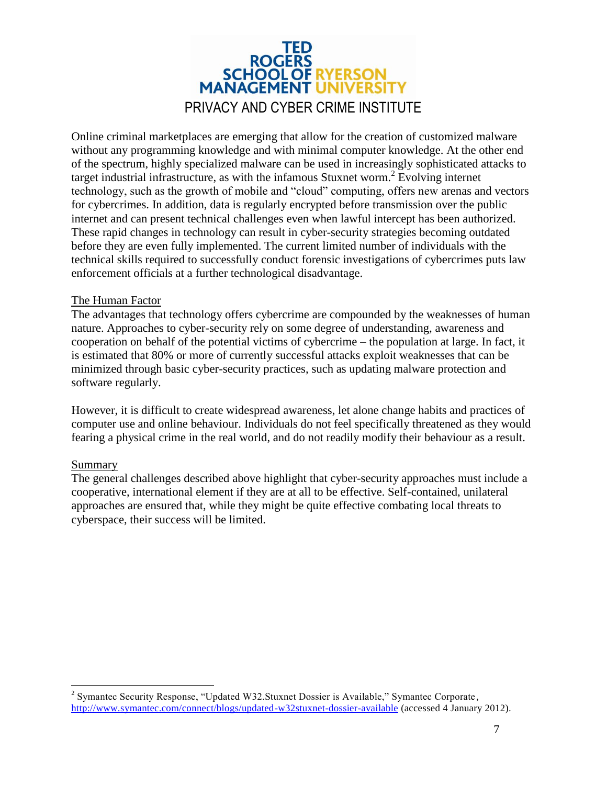

Online criminal marketplaces are emerging that allow for the creation of customized malware without any programming knowledge and with minimal computer knowledge. At the other end of the spectrum, highly specialized malware can be used in increasingly sophisticated attacks to target industrial infrastructure, as with the infamous Stuxnet worm.<sup>2</sup> Evolving internet technology, such as the growth of mobile and "cloud" computing, offers new arenas and vectors for cybercrimes. In addition, data is regularly encrypted before transmission over the public internet and can present technical challenges even when lawful intercept has been authorized. These rapid changes in technology can result in cyber-security strategies becoming outdated before they are even fully implemented. The current limited number of individuals with the technical skills required to successfully conduct forensic investigations of cybercrimes puts law enforcement officials at a further technological disadvantage.

#### <span id="page-6-0"></span>The Human Factor

The advantages that technology offers cybercrime are compounded by the weaknesses of human nature. Approaches to cyber-security rely on some degree of understanding, awareness and cooperation on behalf of the potential victims of cybercrime – the population at large. In fact, it is estimated that 80% or more of currently successful attacks exploit weaknesses that can be minimized through basic cyber-security practices, such as updating malware protection and software regularly.

However, it is difficult to create widespread awareness, let alone change habits and practices of computer use and online behaviour. Individuals do not feel specifically threatened as they would fearing a physical crime in the real world, and do not readily modify their behaviour as a result.

#### <span id="page-6-1"></span>Summary

 $\overline{a}$ 

The general challenges described above highlight that cyber-security approaches must include a cooperative, international element if they are at all to be effective. Self-contained, unilateral approaches are ensured that, while they might be quite effective combating local threats to cyberspace, their success will be limited.

<sup>&</sup>lt;sup>2</sup> Symantec Security Response, "Updated W32.Stuxnet Dossier is Available," Symantec Corporate, <http://www.symantec.com/connect/blogs/updated-w32stuxnet-dossier-available> (accessed 4 January 2012).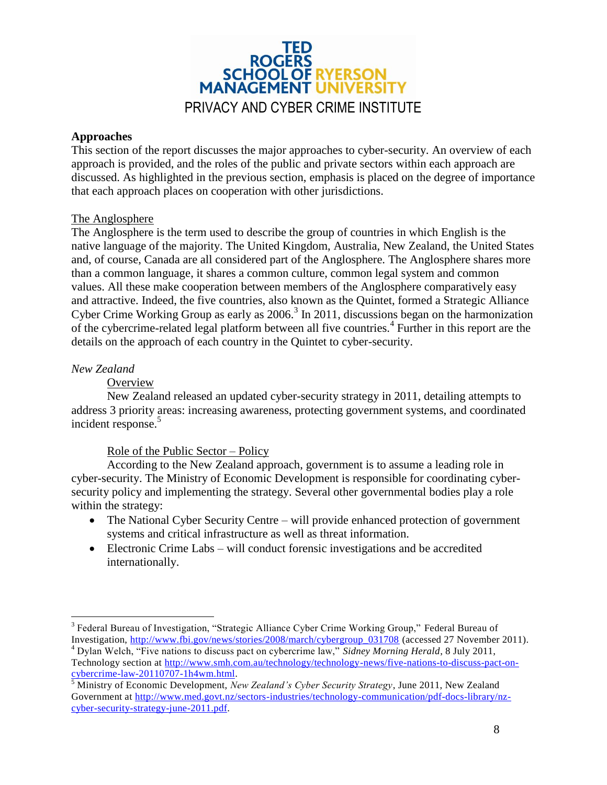

#### <span id="page-7-0"></span>**Approaches**

This section of the report discusses the major approaches to cyber-security. An overview of each approach is provided, and the roles of the public and private sectors within each approach are discussed. As highlighted in the previous section, emphasis is placed on the degree of importance that each approach places on cooperation with other jurisdictions.

#### <span id="page-7-1"></span>The Anglosphere

The Anglosphere is the term used to describe the group of countries in which English is the native language of the majority. The United Kingdom, Australia, New Zealand, the United States and, of course, Canada are all considered part of the Anglosphere. The Anglosphere shares more than a common language, it shares a common culture, common legal system and common values. All these make cooperation between members of the Anglosphere comparatively easy and attractive. Indeed, the five countries, also known as the Quintet, formed a Strategic Alliance Cyber Crime Working Group as early as  $2006<sup>3</sup>$  In 2011, discussions began on the harmonization of the cybercrime-related legal platform between all five countries.<sup>4</sup> Further in this report are the details on the approach of each country in the Quintet to cyber-security.

#### <span id="page-7-2"></span>*New Zealand*

 $\overline{a}$ 

#### **Overview**

New Zealand released an updated cyber-security strategy in 2011, detailing attempts to address 3 priority areas: increasing awareness, protecting government systems, and coordinated incident response.<sup>5</sup>

#### Role of the Public Sector – Policy

According to the New Zealand approach, government is to assume a leading role in cyber-security. The Ministry of Economic Development is responsible for coordinating cybersecurity policy and implementing the strategy. Several other governmental bodies play a role within the strategy:

- The National Cyber Security Centre will provide enhanced protection of government systems and critical infrastructure as well as threat information.
- Electronic Crime Labs will conduct forensic investigations and be accredited internationally.

<sup>&</sup>lt;sup>3</sup> Federal Bureau of Investigation, "Strategic Alliance Cyber Crime Working Group," Federal Bureau of Investigation, [http://www.fbi.gov/news/stories/2008/march/cybergroup\\_031708](http://www.fbi.gov/news/stories/2008/march/cybergroup_031708) (accessed 27 November 2011).

<sup>4</sup> Dylan Welch, "Five nations to discuss pact on cybercrime law," *Sidney Morning Herald*, 8 July 2011, Technology section at [http://www.smh.com.au/technology/technology-news/five-nations-to-discuss-pact-on](http://www.smh.com.au/technology/technology-news/five-nations-to-discuss-pact-on-cybercrime-law-20110707-1h4wm.html)[cybercrime-law-20110707-1h4wm.html.](http://www.smh.com.au/technology/technology-news/five-nations-to-discuss-pact-on-cybercrime-law-20110707-1h4wm.html)

<sup>5</sup> Ministry of Economic Development, *New Zealand's Cyber Security Strategy*, June 2011, New Zealand Government at [http://www.med.govt.nz/sectors-industries/technology-communication/pdf-docs-library/nz](http://www.med.govt.nz/sectors-industries/technology-communication/pdf-docs-library/nz-cyber-security-strategy-june-2011.pdf)[cyber-security-strategy-june-2011.pdf.](http://www.med.govt.nz/sectors-industries/technology-communication/pdf-docs-library/nz-cyber-security-strategy-june-2011.pdf)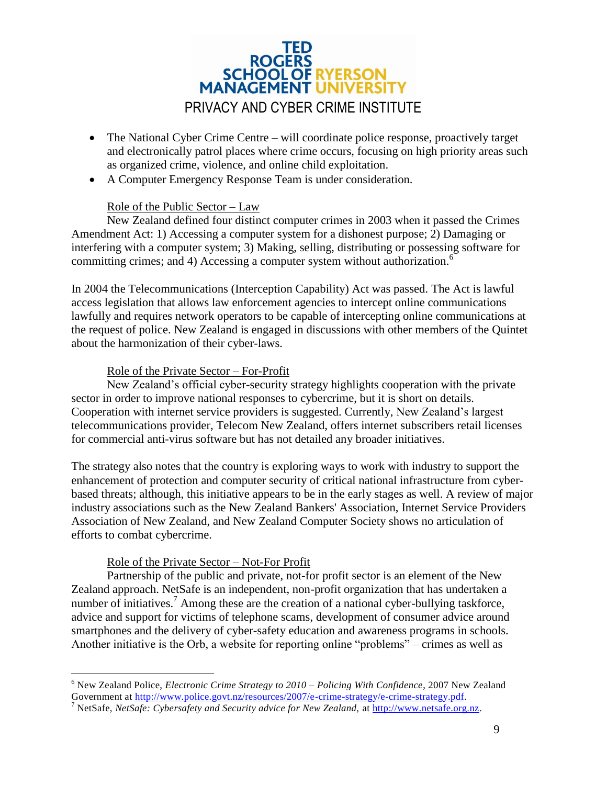

- The National Cyber Crime Centre will coordinate police response, proactively target and electronically patrol places where crime occurs, focusing on high priority areas such as organized crime, violence, and online child exploitation.
- A Computer Emergency Response Team is under consideration.

#### Role of the Public Sector – Law

New Zealand defined four distinct computer crimes in 2003 when it passed the Crimes Amendment Act: 1) Accessing a computer system for a dishonest purpose; 2) Damaging or interfering with a computer system; 3) Making, selling, distributing or possessing software for committing crimes; and 4) Accessing a computer system without authorization.<sup>6</sup>

In 2004 the Telecommunications (Interception Capability) Act was passed. The Act is lawful access legislation that allows law enforcement agencies to intercept online communications lawfully and requires network operators to be capable of intercepting online communications at the request of police. New Zealand is engaged in discussions with other members of the Quintet about the harmonization of their cyber-laws.

#### Role of the Private Sector – For-Profit

New Zealand's official cyber-security strategy highlights cooperation with the private sector in order to improve national responses to cybercrime, but it is short on details. Cooperation with internet service providers is suggested. Currently, New Zealand's largest telecommunications provider, Telecom New Zealand, offers internet subscribers retail licenses for commercial anti-virus software but has not detailed any broader initiatives.

The strategy also notes that the country is exploring ways to work with industry to support the enhancement of protection and computer security of critical national infrastructure from cyberbased threats; although, this initiative appears to be in the early stages as well. A review of major industry associations such as the New Zealand Bankers' Association, Internet Service Providers Association of New Zealand, and New Zealand Computer Society shows no articulation of efforts to combat cybercrime.

#### Role of the Private Sector – Not-For Profit

Partnership of the public and private, not-for profit sector is an element of the New Zealand approach. NetSafe is an independent, non-profit organization that has undertaken a number of initiatives.<sup>7</sup> Among these are the creation of a national cyber-bullying taskforce, advice and support for victims of telephone scams, development of consumer advice around smartphones and the delivery of cyber-safety education and awareness programs in schools. Another initiative is the Orb, a website for reporting online "problems" – crimes as well as

 $\overline{a}$ <sup>6</sup> New Zealand Police, *Electronic Crime Strategy to 2010 – Policing With Confidence*, 2007 New Zealand Government at [http://www.police.govt.nz/resources/2007/e-crime-strategy/e-crime-strategy.pdf.](http://www.police.govt.nz/resources/2007/e-crime-strategy/e-crime-strategy.pdf)

<sup>7</sup> NetSafe, *NetSafe: Cybersafety and Security advice for New Zealand,* at [http://www.netsafe.org.nz.](http://www.netsafe.org.nz/)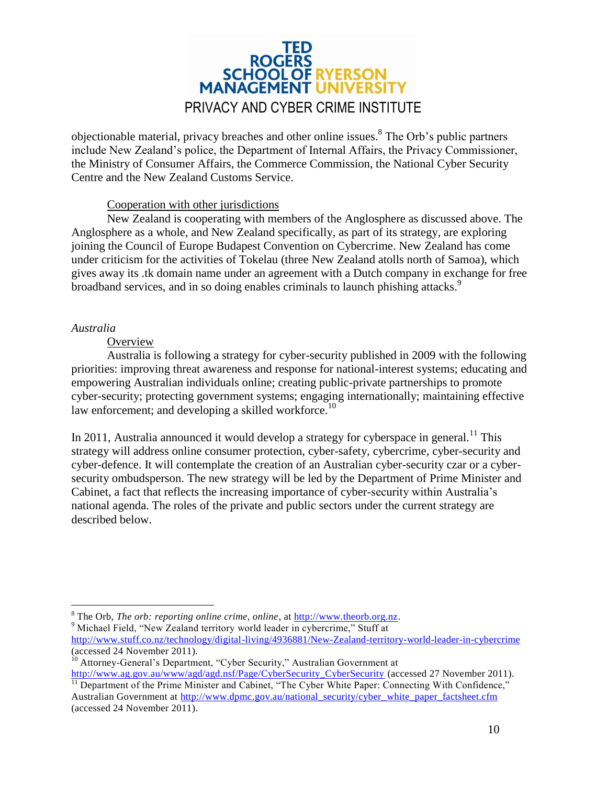# ROGERS<br>SCHOOL OF RYERSON **MANAGEMENT UNIVERSIT** PRIVACY AND CYBER CRIME INSTITUTE

objectionable material, privacy breaches and other online issues.<sup>8</sup> The Orb's public partners include New Zealand's police, the Department of Internal Affairs, the Privacy Commissioner, the Ministry of Consumer Affairs, the Commerce Commission, the National Cyber Security Centre and the New Zealand Customs Service.

#### Cooperation with other jurisdictions

New Zealand is cooperating with members of the Anglosphere as discussed above. The Anglosphere as a whole, and New Zealand specifically, as part of its strategy, are exploring joining the Council of Europe Budapest Convention on Cybercrime. New Zealand has come under criticism for the activities of Tokelau (three New Zealand atolls north of Samoa), which gives away its .tk domain name under an agreement with a Dutch company in exchange for free broadband services, and in so doing enables criminals to launch phishing attacks.<sup>9</sup>

#### <span id="page-9-0"></span>*Australia*

 $\overline{a}$ 

#### **Overview**

Australia is following a strategy for cyber-security published in 2009 with the following priorities: improving threat awareness and response for national-interest systems; educating and empowering Australian individuals online; creating public-private partnerships to promote cyber-security; protecting government systems; engaging internationally; maintaining effective law enforcement; and developing a skilled workforce.<sup>10</sup>

In 2011, Australia announced it would develop a strategy for cyberspace in general.<sup>11</sup> This strategy will address online consumer protection, cyber-safety, cybercrime, cyber-security and cyber-defence. It will contemplate the creation of an Australian cyber-security czar or a cybersecurity ombudsperson. The new strategy will be led by the Department of Prime Minister and Cabinet, a fact that reflects the increasing importance of cyber-security within Australia's national agenda. The roles of the private and public sectors under the current strategy are described below.

<sup>9</sup> Michael Field, "New Zealand territory world leader in cybercrime," Stuff at <http://www.stuff.co.nz/technology/digital-living/4936881/New-Zealand-territory-world-leader-in-cybercrime> (accessed 24 November 2011).

<sup>8</sup> The Orb, *The orb: reporting online crime, online*, at [http://www.theorb.org.nz.](http://www.theorb.org.nz/)

<sup>&</sup>lt;sup>10</sup> Attorney-General's Department, "Cyber Security," Australian Government at

http://www.ag.gov.au/www/agd/agd.nsf/Page/CyberSecurity CyberSecurity (accessed 27 November 2011). <sup>11</sup> Department of the Prime Minister and Cabinet, "The Cyber White Paper: Connecting With Confidence," Australian Government at [http://www.dpmc.gov.au/national\\_security/cyber\\_white\\_paper\\_factsheet.cfm](http://www.dpmc.gov.au/national_security/cyber_white_paper_factsheet.cfm) (accessed 24 November 2011).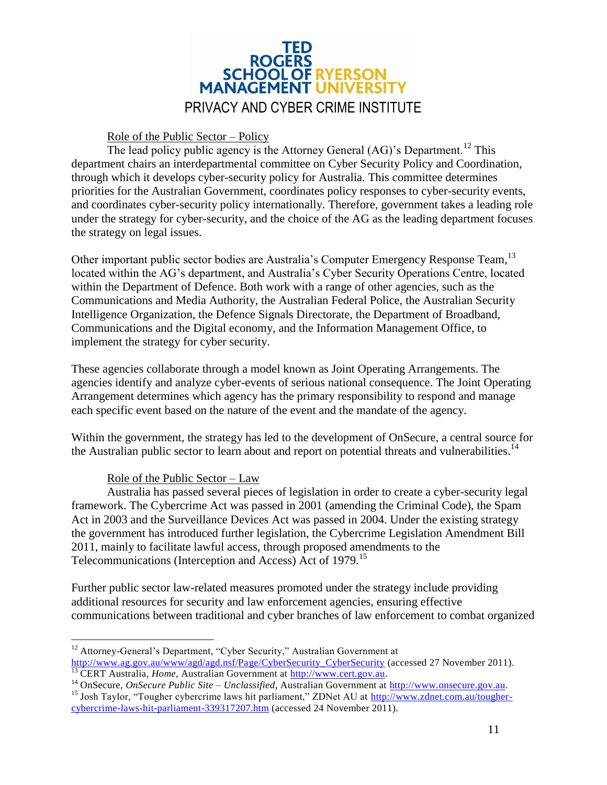

#### Role of the Public Sector – Policy

The lead policy public agency is the Attorney General  $(AG)$ 's Department.<sup>12</sup> This department chairs an interdepartmental committee on Cyber Security Policy and Coordination, through which it develops cyber-security policy for Australia. This committee determines priorities for the Australian Government, coordinates policy responses to cyber-security events, and coordinates cyber-security policy internationally. Therefore, government takes a leading role under the strategy for cyber-security, and the choice of the AG as the leading department focuses the strategy on legal issues.

Other important public sector bodies are Australia's Computer Emergency Response Team,<sup>13</sup> located within the AG's department, and Australia's Cyber Security Operations Centre, located within the Department of Defence. Both work with a range of other agencies, such as the Communications and Media Authority, the Australian Federal Police, the Australian Security Intelligence Organization, the Defence Signals Directorate, the Department of Broadband, Communications and the Digital economy, and the Information Management Office, to implement the strategy for cyber security.

These agencies collaborate through a model known as Joint Operating Arrangements. The agencies identify and analyze cyber-events of serious national consequence. The Joint Operating Arrangement determines which agency has the primary responsibility to respond and manage each specific event based on the nature of the event and the mandate of the agency.

Within the government, the strategy has led to the development of OnSecure, a central source for the Australian public sector to learn about and report on potential threats and vulnerabilities.<sup>14</sup>

#### Role of the Public Sector – Law

Australia has passed several pieces of legislation in order to create a cyber-security legal framework. The Cybercrime Act was passed in 2001 (amending the Criminal Code), the Spam Act in 2003 and the Surveillance Devices Act was passed in 2004. Under the existing strategy the government has introduced further legislation, the Cybercrime Legislation Amendment Bill 2011, mainly to facilitate lawful access, through proposed amendments to the Telecommunications (Interception and Access) Act of 1979.<sup>15</sup>

Further public sector law-related measures promoted under the strategy include providing additional resources for security and law enforcement agencies, ensuring effective communications between traditional and cyber branches of law enforcement to combat organized

 $\overline{a}$ <sup>12</sup> Attorney-General's Department, "Cyber Security," Australian Government at [http://www.ag.gov.au/www/agd/agd.nsf/Page/CyberSecurity\\_CyberSecurity](http://www.ag.gov.au/www/agd/agd.nsf/Page/CyberSecurity_CyberSecurity) (accessed 27 November 2011).

<sup>&</sup>lt;sup>13</sup> CERT Australia, *Home*, Australian Government at [http://www.cert.gov.au.](http://www.cert.gov.au/)

<sup>&</sup>lt;sup>14</sup> OnSecure, *OnSecure Public Site – Unclassified*, Australian Government at [http://www.onsecure.gov.au.](http://www.onsecure.gov.au/) <sup>15</sup> Josh Taylor, "Tougher cybercrime laws hit parliament," ZDNet AU at [http://www.zdnet.com.au/tougher-](http://www.zdnet.com.au/tougher-cybercrime-laws-hit-parliament-339317207.htm)

[cybercrime-laws-hit-parliament-339317207.htm](http://www.zdnet.com.au/tougher-cybercrime-laws-hit-parliament-339317207.htm) (accessed 24 November 2011).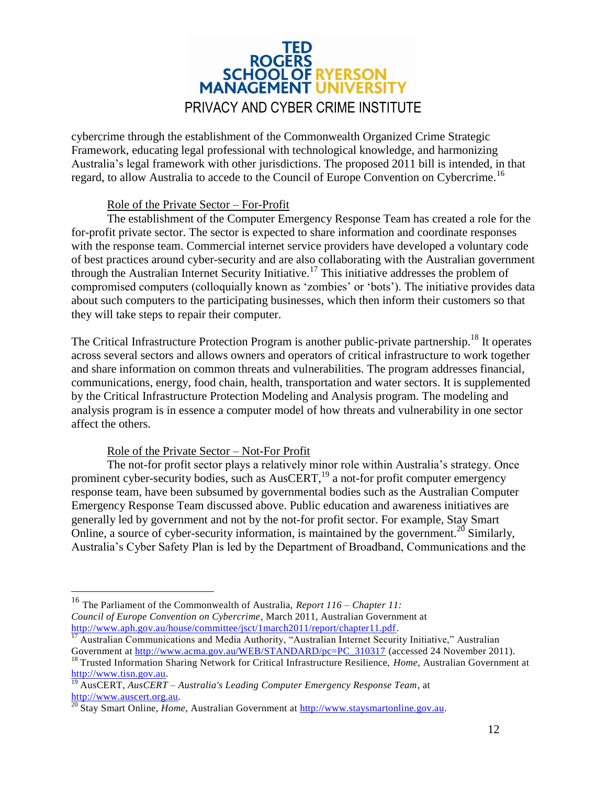

cybercrime through the establishment of the Commonwealth Organized Crime Strategic Framework, educating legal professional with technological knowledge, and harmonizing Australia's legal framework with other jurisdictions. The proposed 2011 bill is intended, in that regard, to allow Australia to accede to the Council of Europe Convention on Cybercrime.<sup>16</sup>

#### Role of the Private Sector – For-Profit

The establishment of the Computer Emergency Response Team has created a role for the for-profit private sector. The sector is expected to share information and coordinate responses with the response team. Commercial internet service providers have developed a voluntary code of best practices around cyber-security and are also collaborating with the Australian government through the Australian Internet Security Initiative.<sup>17</sup> This initiative addresses the problem of compromised computers (colloquially known as 'zombies' or 'bots'). The initiative provides data about such computers to the participating businesses, which then inform their customers so that they will take steps to repair their computer.

The Critical Infrastructure Protection Program is another public-private partnership.<sup>18</sup> It operates across several sectors and allows owners and operators of critical infrastructure to work together and share information on common threats and vulnerabilities. The program addresses financial, communications, energy, food chain, health, transportation and water sectors. It is supplemented by the Critical Infrastructure Protection Modeling and Analysis program. The modeling and analysis program is in essence a computer model of how threats and vulnerability in one sector affect the others.

#### Role of the Private Sector – Not-For Profit

 $\overline{a}$ 

The not-for profit sector plays a relatively minor role within Australia's strategy. Once prominent cyber-security bodies, such as  $AusCERT$ <sup>19</sup> a not-for profit computer emergency response team, have been subsumed by governmental bodies such as the Australian Computer Emergency Response Team discussed above. Public education and awareness initiatives are generally led by government and not by the not-for profit sector. For example, Stay Smart Online, a source of cyber-security information, is maintained by the government.<sup>20</sup> Similarly, Australia's Cyber Safety Plan is led by the Department of Broadband, Communications and the

<sup>16</sup> The Parliament of the Commonwealth of Australia, *Report 116 – Chapter 11: Council of Europe Convention on Cybercrime*, March 2011, Australian Government at [http://www.aph.gov.au/house/committee/jsct/1march2011/report/chapter11.pdf.](http://www.aph.gov.au/house/committee/jsct/1march2011/report/chapter11.pdf)

<sup>&</sup>lt;sup>17</sup> Australian Communications and Media Authority, "Australian Internet Security Initiative," Australian Government at [http://www.acma.gov.au/WEB/STANDARD/pc=PC\\_310317](http://www.acma.gov.au/WEB/STANDARD/pc=PC_310317) (accessed 24 November 2011).

<sup>&</sup>lt;sup>18</sup> Trusted Information Sharing Network for Critical Infrastructure Resilience, *Home*, Australian Government at [http://www.tisn.gov.au.](http://www.tisn.gov.au/)

<sup>19</sup> AusCERT, *AusCERT – Australia's Leading Computer Emergency Response Team*, at [http://www.auscert.org.au.](http://www.auscert.org.au/)

<sup>20</sup> Stay Smart Online, *Home*, Australian Government at [http://www.staysmartonline.gov.au.](http://www.staysmartonline.gov.au/)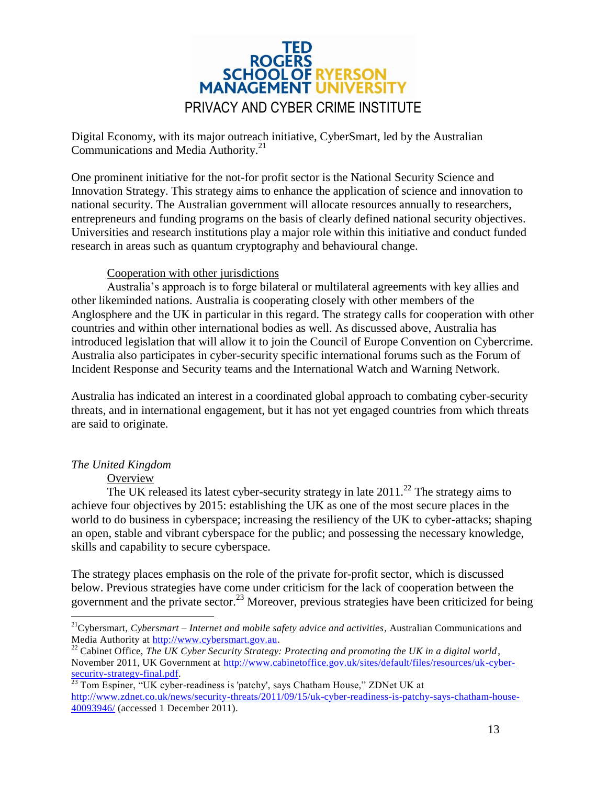

Digital Economy, with its major outreach initiative, CyberSmart, led by the Australian Communications and Media Authority.<sup>21</sup>

One prominent initiative for the not-for profit sector is the National Security Science and Innovation Strategy. This strategy aims to enhance the application of science and innovation to national security. The Australian government will allocate resources annually to researchers, entrepreneurs and funding programs on the basis of clearly defined national security objectives. Universities and research institutions play a major role within this initiative and conduct funded research in areas such as quantum cryptography and behavioural change.

#### Cooperation with other jurisdictions

Australia's approach is to forge bilateral or multilateral agreements with key allies and other likeminded nations. Australia is cooperating closely with other members of the Anglosphere and the UK in particular in this regard. The strategy calls for cooperation with other countries and within other international bodies as well. As discussed above, Australia has introduced legislation that will allow it to join the Council of Europe Convention on Cybercrime. Australia also participates in cyber-security specific international forums such as the Forum of Incident Response and Security teams and the International Watch and Warning Network.

Australia has indicated an interest in a coordinated global approach to combating cyber-security threats, and in international engagement, but it has not yet engaged countries from which threats are said to originate.

#### <span id="page-12-0"></span>*The United Kingdom*

 $\overline{a}$ 

#### **Overview**

The UK released its latest cyber-security strategy in late  $2011$ <sup>22</sup>. The strategy aims to achieve four objectives by 2015: establishing the UK as one of the most secure places in the world to do business in cyberspace; increasing the resiliency of the UK to cyber-attacks; shaping an open, stable and vibrant cyberspace for the public; and possessing the necessary knowledge, skills and capability to secure cyberspace.

The strategy places emphasis on the role of the private for-profit sector, which is discussed below. Previous strategies have come under criticism for the lack of cooperation between the government and the private sector.<sup>23</sup> Moreover, previous strategies have been criticized for being

<sup>22</sup> Cabinet Office, *The UK Cyber Security Strategy: Protecting and promoting the UK in a digital world*, November 2011, UK Government at [http://www.cabinetoffice.gov.uk/sites/default/files/resources/uk-cyber](http://www.cabinetoffice.gov.uk/sites/default/files/resources/uk-cyber-security-strategy-final.pdf)[security-strategy-final.pdf.](http://www.cabinetoffice.gov.uk/sites/default/files/resources/uk-cyber-security-strategy-final.pdf)

<sup>21</sup>Cybersmart, *Cybersmart – Internet and mobile safety advice and activities*, Australian Communications and Media Authority at [http://www.cybersmart.gov.au.](http://www.cybersmart.gov.au/)

 $^{23}$  Tom Espiner, "UK cyber-readiness is 'patchy', says Chatham House," ZDNet UK at [http://www.zdnet.co.uk/news/security-threats/2011/09/15/uk-cyber-readiness-is-patchy-says-chatham-house-](http://www.zdnet.co.uk/news/security-threats/2011/09/15/uk-cyber-readiness-is-patchy-says-chatham-house-40093946/)[40093946/](http://www.zdnet.co.uk/news/security-threats/2011/09/15/uk-cyber-readiness-is-patchy-says-chatham-house-40093946/) (accessed 1 December 2011).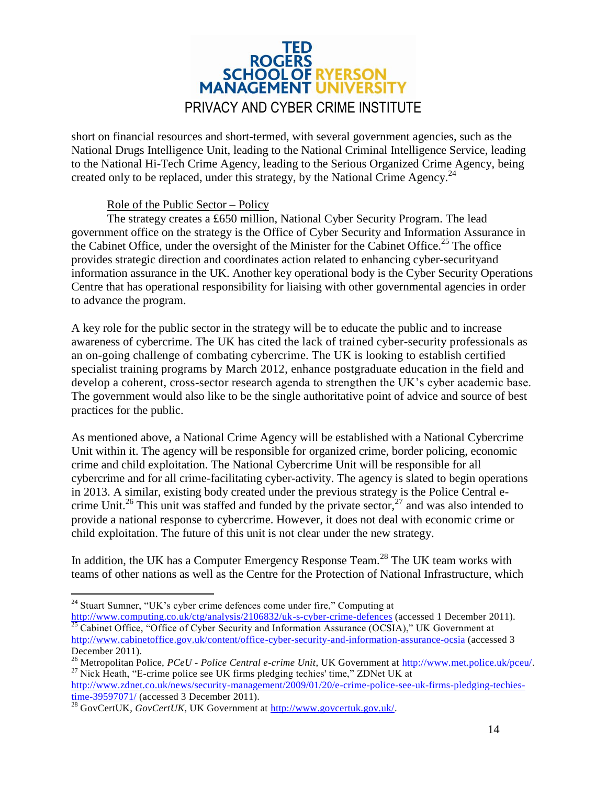### TED ROGERS<br>SCHOOL OF RYERSON **MANAGEMENT UNIVERSIT** PRIVACY AND CYBER CRIME INSTITUTE

short on financial resources and short-termed, with several government agencies, such as the National Drugs Intelligence Unit, leading to the National Criminal Intelligence Service, leading to the National Hi-Tech Crime Agency, leading to the Serious Organized Crime Agency, being created only to be replaced, under this strategy, by the National Crime Agency.<sup>24</sup>

#### Role of the Public Sector – Policy

The strategy creates a £650 million, National Cyber Security Program. The lead government office on the strategy is the Office of Cyber Security and Information Assurance in the Cabinet Office, under the oversight of the Minister for the Cabinet Office.<sup>25</sup> The office provides strategic direction and coordinates action related to enhancing cyber-securityand information assurance in the UK. Another key operational body is the Cyber Security Operations Centre that has operational responsibility for liaising with other governmental agencies in order to advance the program.

A key role for the public sector in the strategy will be to educate the public and to increase awareness of cybercrime. The UK has cited the lack of trained cyber-security professionals as an on-going challenge of combating cybercrime. The UK is looking to establish certified specialist training programs by March 2012, enhance postgraduate education in the field and develop a coherent, cross-sector research agenda to strengthen the UK's cyber academic base. The government would also like to be the single authoritative point of advice and source of best practices for the public.

As mentioned above, a National Crime Agency will be established with a National Cybercrime Unit within it. The agency will be responsible for organized crime, border policing, economic crime and child exploitation. The National Cybercrime Unit will be responsible for all cybercrime and for all crime-facilitating cyber-activity. The agency is slated to begin operations in 2013. A similar, existing body created under the previous strategy is the Police Central ecrime Unit.<sup>26</sup> This unit was staffed and funded by the private sector,<sup>27</sup> and was also intended to provide a national response to cybercrime. However, it does not deal with economic crime or child exploitation. The future of this unit is not clear under the new strategy.

In addition, the UK has a Computer Emergency Response Team.<sup>28</sup> The UK team works with teams of other nations as well as the Centre for the Protection of National Infrastructure, which

<http://www.computing.co.uk/ctg/analysis/2106832/uk-s-cyber-crime-defences> (accessed 1 December 2011). <sup>25</sup> Cabinet Office, "Office of Cyber Security and Information Assurance (OCSIA)," UK Government at <http://www.cabinetoffice.gov.uk/content/office-cyber-security-and-information-assurance-ocsia> (accessed 3

 $\overline{a}$ <sup>24</sup> Stuart Sumner, "UK's cyber crime defences come under fire," Computing at

December 2011). <sup>26</sup> Metropolitan Police, *PCeU - Police Central e-crime Unit*, UK Government at [http://www.met.police.uk/pceu/.](http://www.met.police.uk/pceu/)

 $27$  Nick Heath, "E-crime police see UK firms pledging techies' time," ZDNet UK at [http://www.zdnet.co.uk/news/security-management/2009/01/20/e-crime-police-see-uk-firms-pledging-techies](http://www.zdnet.co.uk/news/security-management/2009/01/20/e-crime-police-see-uk-firms-pledging-techies-time-39597071/)[time-39597071/](http://www.zdnet.co.uk/news/security-management/2009/01/20/e-crime-police-see-uk-firms-pledging-techies-time-39597071/) (accessed 3 December 2011).

<sup>&</sup>lt;sup>28</sup> GovCertUK, *GovCertUK*, UK Government at [http://www.govcertuk.gov.uk/.](http://www.govcertuk.gov.uk/)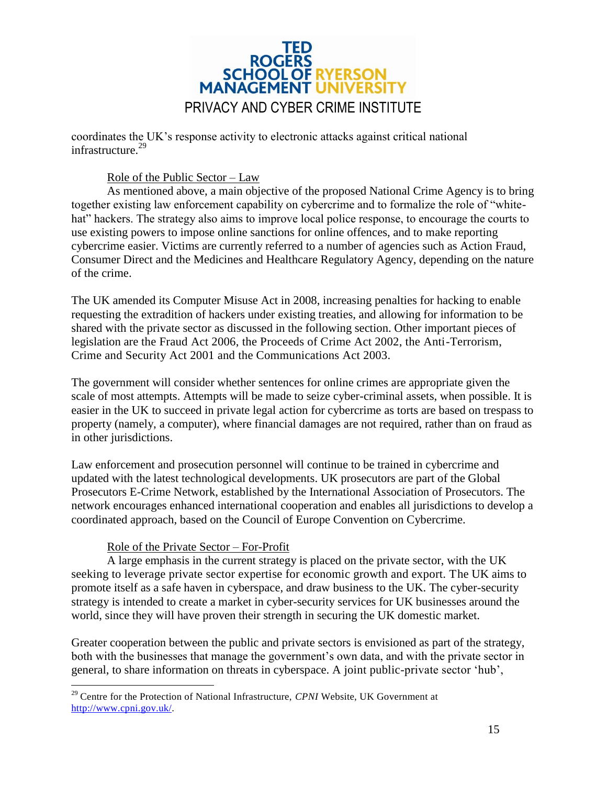

coordinates the UK's response activity to electronic attacks against critical national infrastructure.<sup>29</sup>

#### Role of the Public Sector – Law

As mentioned above, a main objective of the proposed National Crime Agency is to bring together existing law enforcement capability on cybercrime and to formalize the role of "whitehat" hackers. The strategy also aims to improve local police response, to encourage the courts to use existing powers to impose online sanctions for online offences, and to make reporting cybercrime easier. Victims are currently referred to a number of agencies such as Action Fraud, Consumer Direct and the Medicines and Healthcare Regulatory Agency, depending on the nature of the crime.

The UK amended its Computer Misuse Act in 2008, increasing penalties for hacking to enable requesting the extradition of hackers under existing treaties, and allowing for information to be shared with the private sector as discussed in the following section. Other important pieces of legislation are the Fraud Act 2006, the Proceeds of Crime Act 2002, the Anti-Terrorism, Crime and Security Act 2001 and the Communications Act 2003.

The government will consider whether sentences for online crimes are appropriate given the scale of most attempts. Attempts will be made to seize cyber-criminal assets, when possible. It is easier in the UK to succeed in private legal action for cybercrime as torts are based on trespass to property (namely, a computer), where financial damages are not required, rather than on fraud as in other jurisdictions.

Law enforcement and prosecution personnel will continue to be trained in cybercrime and updated with the latest technological developments. UK prosecutors are part of the Global Prosecutors E-Crime Network, established by the International Association of Prosecutors. The network encourages enhanced international cooperation and enables all jurisdictions to develop a coordinated approach, based on the Council of Europe Convention on Cybercrime.

#### Role of the Private Sector – For-Profit

A large emphasis in the current strategy is placed on the private sector, with the UK seeking to leverage private sector expertise for economic growth and export. The UK aims to promote itself as a safe haven in cyberspace, and draw business to the UK. The cyber-security strategy is intended to create a market in cyber-security services for UK businesses around the world, since they will have proven their strength in securing the UK domestic market.

Greater cooperation between the public and private sectors is envisioned as part of the strategy, both with the businesses that manage the government's own data, and with the private sector in general, to share information on threats in cyberspace. A joint public-private sector 'hub',

 $\overline{a}$ <sup>29</sup> Centre for the Protection of National Infrastructure, *CPNI* Website, UK Government at [http://www.cpni.gov.uk/.](http://www.cpni.gov.uk/)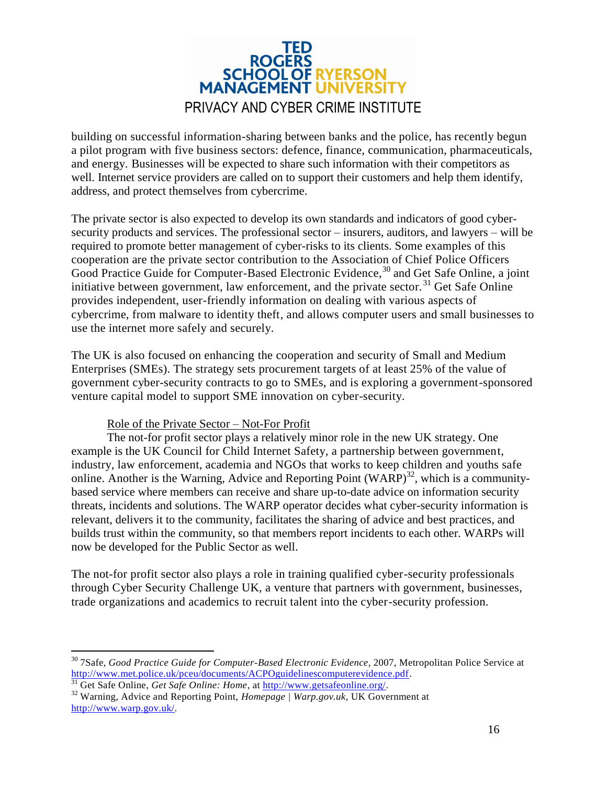

building on successful information-sharing between banks and the police, has recently begun a pilot program with five business sectors: defence, finance, communication, pharmaceuticals, and energy. Businesses will be expected to share such information with their competitors as well. Internet service providers are called on to support their customers and help them identify, address, and protect themselves from cybercrime.

The private sector is also expected to develop its own standards and indicators of good cybersecurity products and services. The professional sector – insurers, auditors, and lawyers – will be required to promote better management of cyber-risks to its clients. Some examples of this cooperation are the private sector contribution to the Association of Chief Police Officers Good Practice Guide for Computer-Based Electronic Evidence,<sup>30</sup> and Get Safe Online, a joint initiative between government, law enforcement, and the private sector.<sup>31</sup> Get Safe Online provides independent, user-friendly information on dealing with various aspects of cybercrime, from malware to identity theft, and allows computer users and small businesses to use the internet more safely and securely.

The UK is also focused on enhancing the cooperation and security of Small and Medium Enterprises (SMEs). The strategy sets procurement targets of at least 25% of the value of government cyber-security contracts to go to SMEs, and is exploring a government-sponsored venture capital model to support SME innovation on cyber-security.

#### Role of the Private Sector – Not-For Profit

The not-for profit sector plays a relatively minor role in the new UK strategy. One example is the UK Council for Child Internet Safety, a partnership between government, industry, law enforcement, academia and NGOs that works to keep children and youths safe online. Another is the Warning, Advice and Reporting Point  $(WARP)^{32}$ , which is a communitybased service where members can receive and share up-to-date advice on information security threats, incidents and solutions. The WARP operator decides what cyber-security information is relevant, delivers it to the community, facilitates the sharing of advice and best practices, and builds trust within the community, so that members report incidents to each other. WARPs will now be developed for the Public Sector as well.

The not-for profit sector also plays a role in training qualified cyber-security professionals through Cyber Security Challenge UK, a venture that partners with government, businesses, trade organizations and academics to recruit talent into the cyber-security profession.

 $\overline{a}$ 

<sup>30</sup> 7Safe*, Good Practice Guide for Computer-Based Electronic Evidence*, 2007, Metropolitan Police Service at [http://www.met.police.uk/pceu/documents/ACPOguidelinescomputerevidence.pdf.](http://www.met.police.uk/pceu/documents/ACPOguidelinescomputerevidence.pdf)

<sup>&</sup>lt;sup>31</sup> Get Safe Online, *Get Safe Online: Home*, at [http://www.getsafeonline.org/.](http://www.getsafeonline.org/)

<sup>32</sup> Warning, Advice and Reporting Point, *Homepage | Warp.gov.uk*, UK Government at [http://www.warp.gov.uk/.](http://www.warp.gov.uk/)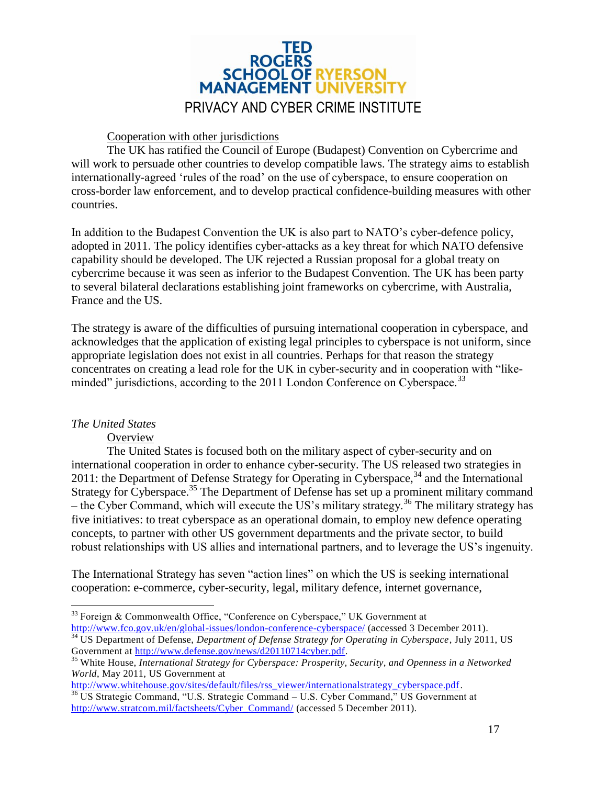

#### Cooperation with other jurisdictions

The UK has ratified the Council of Europe (Budapest) Convention on Cybercrime and will work to persuade other countries to develop compatible laws. The strategy aims to establish internationally-agreed 'rules of the road' on the use of cyberspace, to ensure cooperation on cross-border law enforcement, and to develop practical confidence-building measures with other countries.

In addition to the Budapest Convention the UK is also part to NATO's cyber-defence policy, adopted in 2011. The policy identifies cyber-attacks as a key threat for which NATO defensive capability should be developed. The UK rejected a Russian proposal for a global treaty on cybercrime because it was seen as inferior to the Budapest Convention. The UK has been party to several bilateral declarations establishing joint frameworks on cybercrime, with Australia, France and the US.

The strategy is aware of the difficulties of pursuing international cooperation in cyberspace, and acknowledges that the application of existing legal principles to cyberspace is not uniform, since appropriate legislation does not exist in all countries. Perhaps for that reason the strategy concentrates on creating a lead role for the UK in cyber-security and in cooperation with "likeminded" jurisdictions, according to the 2011 London Conference on Cyberspace.<sup>33</sup>

#### <span id="page-16-0"></span>*The United States*

#### **Overview**

The United States is focused both on the military aspect of cyber-security and on international cooperation in order to enhance cyber-security. The US released two strategies in 2011: the Department of Defense Strategy for Operating in Cyberspace,  $34$  and the International Strategy for Cyberspace.<sup>35</sup> The Department of Defense has set up a prominent military command – the Cyber Command, which will execute the US's military strategy.<sup>36</sup> The military strategy has five initiatives: to treat cyberspace as an operational domain, to employ new defence operating concepts, to partner with other US government departments and the private sector, to build robust relationships with US allies and international partners, and to leverage the US's ingenuity.

The International Strategy has seven "action lines" on which the US is seeking international cooperation: e-commerce, cyber-security, legal, military defence, internet governance,

 $\overline{a}$ <sup>33</sup> Foreign & Commonwealth Office, "Conference on Cyberspace," UK Government at <http://www.fco.gov.uk/en/global-issues/london-conference-cyberspace/> (accessed 3 December 2011).

<sup>&</sup>lt;sup>34</sup> US Department of Defense, *Department of Defense Strategy for Operating in Cyberspace*, July 2011, US Government at [http://www.defense.gov/news/d20110714cyber.pdf.](http://www.defense.gov/news/d20110714cyber.pdf)

<sup>35</sup> White House, *International Strategy for Cyberspace: Prosperity, Security, and Openness in a Networked World*, May 2011, US Government at

[http://www.whitehouse.gov/sites/default/files/rss\\_viewer/internationalstrategy\\_cyberspace.pdf.](http://www.whitehouse.gov/sites/default/files/rss_viewer/internationalstrategy_cyberspace.pdf) <sup>36</sup> US Strategic Command, "U.S. Strategic Command – U.S. Cyber Command," US Government at [http://www.stratcom.mil/factsheets/Cyber\\_Command/](http://www.stratcom.mil/factsheets/Cyber_Command/) (accessed 5 December 2011).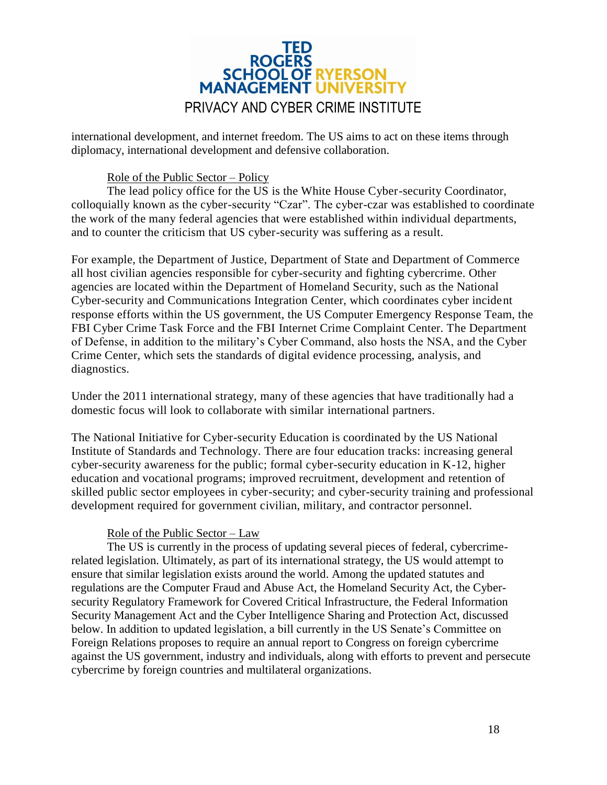

international development, and internet freedom. The US aims to act on these items through diplomacy, international development and defensive collaboration.

#### Role of the Public Sector – Policy

The lead policy office for the US is the White House Cyber-security Coordinator, colloquially known as the cyber-security "Czar". The cyber-czar was established to coordinate the work of the many federal agencies that were established within individual departments, and to counter the criticism that US cyber-security was suffering as a result.

For example, the Department of Justice, Department of State and Department of Commerce all host civilian agencies responsible for cyber-security and fighting cybercrime. Other agencies are located within the Department of Homeland Security, such as the National Cyber-security and Communications Integration Center, which coordinates cyber incident response efforts within the US government, the US Computer Emergency Response Team, the FBI Cyber Crime Task Force and the FBI Internet Crime Complaint Center. The Department of Defense, in addition to the military's Cyber Command, also hosts the NSA, and the Cyber Crime Center, which sets the standards of digital evidence processing, analysis, and diagnostics.

Under the 2011 international strategy, many of these agencies that have traditionally had a domestic focus will look to collaborate with similar international partners.

The National Initiative for Cyber-security Education is coordinated by the US National Institute of Standards and Technology. There are four education tracks: increasing general cyber-security awareness for the public; formal cyber-security education in K-12, higher education and vocational programs; improved recruitment, development and retention of skilled public sector employees in cyber-security; and cyber-security training and professional development required for government civilian, military, and contractor personnel.

#### Role of the Public Sector – Law

The US is currently in the process of updating several pieces of federal, cybercrimerelated legislation. Ultimately, as part of its international strategy, the US would attempt to ensure that similar legislation exists around the world. Among the updated statutes and regulations are the Computer Fraud and Abuse Act, the Homeland Security Act, the Cybersecurity Regulatory Framework for Covered Critical Infrastructure, the Federal Information Security Management Act and the Cyber Intelligence Sharing and Protection Act, discussed below. In addition to updated legislation, a bill currently in the US Senate's Committee on Foreign Relations proposes to require an annual report to Congress on foreign cybercrime against the US government, industry and individuals, along with efforts to prevent and persecute cybercrime by foreign countries and multilateral organizations.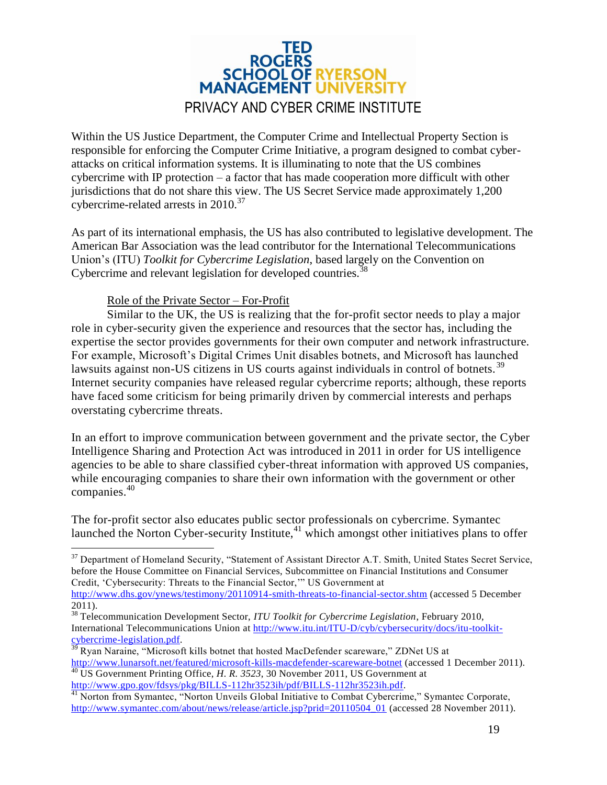

Within the US Justice Department, the Computer Crime and Intellectual Property Section is responsible for enforcing the Computer Crime Initiative, a program designed to combat cyberattacks on critical information systems. It is illuminating to note that the US combines cybercrime with IP protection – a factor that has made cooperation more difficult with other jurisdictions that do not share this view. The US Secret Service made approximately 1,200 cybercrime-related arrests in 2010.<sup>37</sup>

As part of its international emphasis, the US has also contributed to legislative development. The American Bar Association was the lead contributor for the International Telecommunications Union's (ITU) *Toolkit for Cybercrime Legislation*, based largely on the Convention on Cybercrime and relevant legislation for developed countries.<sup>38</sup>

#### Role of the Private Sector – For-Profit

Similar to the UK, the US is realizing that the for-profit sector needs to play a major role in cyber-security given the experience and resources that the sector has, including the expertise the sector provides governments for their own computer and network infrastructure. For example, Microsoft's Digital Crimes Unit disables botnets, and Microsoft has launched lawsuits against non-US citizens in US courts against individuals in control of botnets.<sup>39</sup> Internet security companies have released regular cybercrime reports; although, these reports have faced some criticism for being primarily driven by commercial interests and perhaps overstating cybercrime threats.

In an effort to improve communication between government and the private sector, the Cyber Intelligence Sharing and Protection Act was introduced in 2011 in order for US intelligence agencies to be able to share classified cyber-threat information with approved US companies, while encouraging companies to share their own information with the government or other companies.<sup>40</sup>

The for-profit sector also educates public sector professionals on cybercrime. Symantec launched the Norton Cyber-security Institute, $41$  which amongst other initiatives plans to offer

 $\overline{a}$ 

<sup>&</sup>lt;sup>37</sup> Department of Homeland Security, "Statement of Assistant Director A.T. Smith, United States Secret Service, before the House Committee on Financial Services, Subcommittee on Financial Institutions and Consumer Credit, 'Cybersecurity: Threats to the Financial Sector,'" US Government at <http://www.dhs.gov/ynews/testimony/20110914-smith-threats-to-financial-sector.shtm> (accessed 5 December

<sup>2011).</sup>

<sup>38</sup> Telecommunication Development Sector, *ITU Toolkit for Cybercrime Legislation*, February 2010, International Telecommunications Union at [http://www.itu.int/ITU-D/cyb/cybersecurity/docs/itu-toolkit-](http://www.itu.int/ITU-D/cyb/cybersecurity/docs/itu-toolkit-cybercrime-legislation.pdf) $\frac{\text{cycotromumum}}{39 \text{ B cm} \cdot \text{N}}$ 

Ryan Naraine, "Microsoft kills botnet that hosted MacDefender scareware," ZDNet US at <http://www.lunarsoft.net/featured/microsoft-kills-macdefender-scareware-botnet> (accessed 1 December 2011). <sup>40</sup> US Government Printing Office, *H. R. 3523*, 30 November 2011, US Government at [http://www.gpo.gov/fdsys/pkg/BILLS-112hr3523ih/pdf/BILLS-112hr3523ih.pdf.](http://www.gpo.gov/fdsys/pkg/BILLS-112hr3523ih/pdf/BILLS-112hr3523ih.pdf)

<sup>&</sup>lt;sup>41</sup> Norton from Symantec, "Norton Unveils Global Initiative to Combat Cybercrime," Symantec Corporate, [http://www.symantec.com/about/news/release/article.jsp?prid=20110504\\_01](http://www.symantec.com/about/news/release/article.jsp?prid=20110504_01) (accessed 28 November 2011).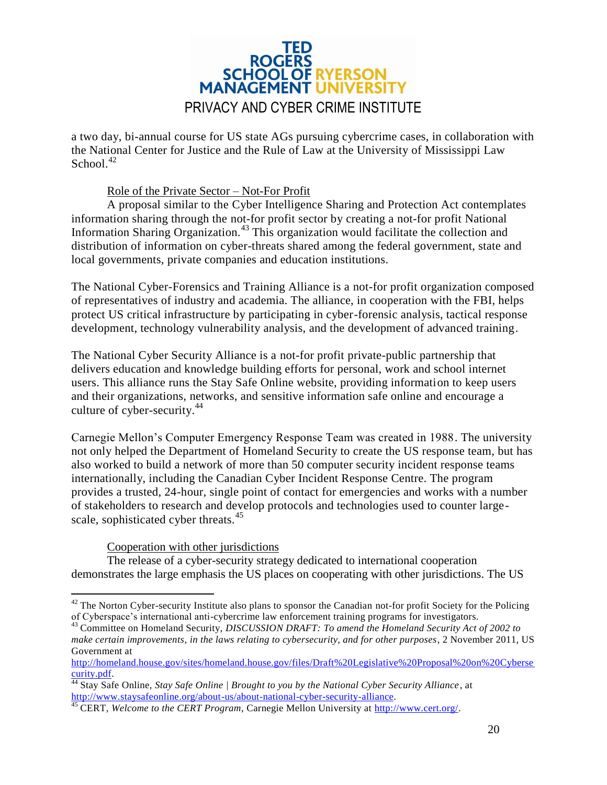

a two day, bi-annual course for US state AGs pursuing cybercrime cases, in collaboration with the National Center for Justice and the Rule of Law at the University of Mississippi Law School.<sup>42</sup>

#### Role of the Private Sector – Not-For Profit

A proposal similar to the Cyber Intelligence Sharing and Protection Act contemplates information sharing through the not-for profit sector by creating a not-for profit National Information Sharing Organization.<sup>43</sup> This organization would facilitate the collection and distribution of information on cyber-threats shared among the federal government, state and local governments, private companies and education institutions.

The National Cyber-Forensics and Training Alliance is a not-for profit organization composed of representatives of industry and academia. The alliance, in cooperation with the FBI, helps protect US critical infrastructure by participating in cyber-forensic analysis, tactical response development, technology vulnerability analysis, and the development of advanced training.

The National Cyber Security Alliance is a not-for profit private-public partnership that delivers education and knowledge building efforts for personal, work and school internet users. This alliance runs the Stay Safe Online website, providing information to keep users and their organizations, networks, and sensitive information safe online and encourage a culture of cyber-security.<sup>44</sup>

Carnegie Mellon's Computer Emergency Response Team was created in 1988. The university not only helped the Department of Homeland Security to create the US response team, but has also worked to build a network of more than 50 computer security incident response teams internationally, including the Canadian Cyber Incident Response Centre. The program provides a trusted, 24-hour, single point of contact for emergencies and works with a number of stakeholders to research and develop protocols and technologies used to counter largescale, sophisticated cyber threats.<sup>45</sup>

#### Cooperation with other jurisdictions

The release of a cyber-security strategy dedicated to international cooperation demonstrates the large emphasis the US places on cooperating with other jurisdictions. The US

 $\overline{a}$  $42$  The Norton Cyber-security Institute also plans to sponsor the Canadian not-for profit Society for the Policing of Cyberspace's international anti-cybercrime law enforcement training programs for investigators.

<sup>43</sup> Committee on Homeland Security, *DISCUSSION DRAFT: To amend the Homeland Security Act of 2002 to make certain improvements*, *in the laws relating to cybersecurity, and for other purposes*, 2 November 2011, US Government at

[http://homeland.house.gov/sites/homeland.house.gov/files/Draft%20Legislative%20Proposal%20on%20Cyberse](http://homeland.house.gov/sites/homeland.house.gov/files/Draft%20Legislative%20Proposal%20on%20Cybersecurity.pdf) [curity.pdf.](http://homeland.house.gov/sites/homeland.house.gov/files/Draft%20Legislative%20Proposal%20on%20Cybersecurity.pdf)

<sup>44</sup> Stay Safe Online, *Stay Safe Online | Brought to you by the National Cyber Security Alliance*, at [http://www.staysafeonline.org/about-us/about-national-cyber-security-alliance.](http://www.staysafeonline.org/about-us/about-national-cyber-security-alliance)

<sup>45</sup> CERT, *Welcome to the CERT Program*, Carnegie Mellon University at [http://www.cert.org/.](http://www.cert.org/)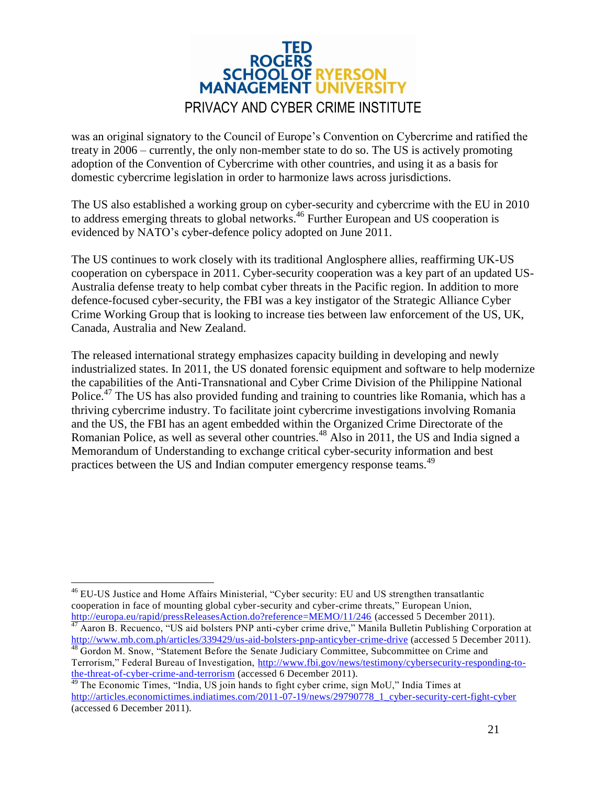

was an original signatory to the Council of Europe's Convention on Cybercrime and ratified the treaty in 2006 – currently, the only non-member state to do so. The US is actively promoting adoption of the Convention of Cybercrime with other countries, and using it as a basis for domestic cybercrime legislation in order to harmonize laws across jurisdictions.

The US also established a working group on cyber-security and cybercrime with the EU in 2010 to address emerging threats to global networks. <sup>46</sup> Further European and US cooperation is evidenced by NATO's cyber-defence policy adopted on June 2011.

The US continues to work closely with its traditional Anglosphere allies, reaffirming UK-US cooperation on cyberspace in 2011. Cyber-security cooperation was a key part of an updated US-Australia defense treaty to help combat cyber threats in the Pacific region. In addition to more defence-focused cyber-security, the FBI was a key instigator of the Strategic Alliance Cyber Crime Working Group that is looking to increase ties between law enforcement of the US, UK, Canada, Australia and New Zealand.

The released international strategy emphasizes capacity building in developing and newly industrialized states. In 2011, the US donated forensic equipment and software to help modernize the capabilities of the Anti-Transnational and Cyber Crime Division of the Philippine National Police.<sup>47</sup> The US has also provided funding and training to countries like Romania, which has a thriving cybercrime industry. To facilitate joint cybercrime investigations involving Romania and the US, the FBI has an agent embedded within the Organized Crime Directorate of the Romanian Police, as well as several other countries.<sup>48</sup> Also in 2011, the US and India signed a Memorandum of Understanding to exchange critical cyber-security information and best practices between the US and Indian computer emergency response teams.<sup>49</sup>

 $\overline{a}$ <sup>46</sup> EU-US Justice and Home Affairs Ministerial, "Cyber security: EU and US strengthen transatlantic cooperation in face of mounting global cyber-security and cyber-crime threats," European Union, <http://europa.eu/rapid/pressReleasesAction.do?reference=MEMO/11/246> (accessed 5 December 2011).

<sup>47</sup> Aaron B. Recuenco, "US aid bolsters PNP anti-cyber crime drive," Manila Bulletin Publishing Corporation at <http://www.mb.com.ph/articles/339429/us-aid-bolsters-pnp-anticyber-crime-drive> (accessed 5 December 2011). <sup>48</sup> Gordon M. Snow, "Statement Before the Senate Judiciary Committee, Subcommittee on Crime and

Terrorism," Federal Bureau of Investigation, [http://www.fbi.gov/news/testimony/cybersecurity-responding-to](http://www.fbi.gov/news/testimony/cybersecurity-responding-to-the-threat-of-cyber-crime-and-terrorism)[the-threat-of-cyber-crime-and-terrorism](http://www.fbi.gov/news/testimony/cybersecurity-responding-to-the-threat-of-cyber-crime-and-terrorism) (accessed 6 December 2011).

<sup>49</sup> The Economic Times, "India, US join hands to fight cyber crime, sign MoU," India Times at [http://articles.economictimes.indiatimes.com/2011-07-19/news/29790778\\_1\\_cyber-security-cert-fight-cyber](http://articles.economictimes.indiatimes.com/2011-07-19/news/29790778_1_cyber-security-cert-fight-cyber) (accessed 6 December 2011).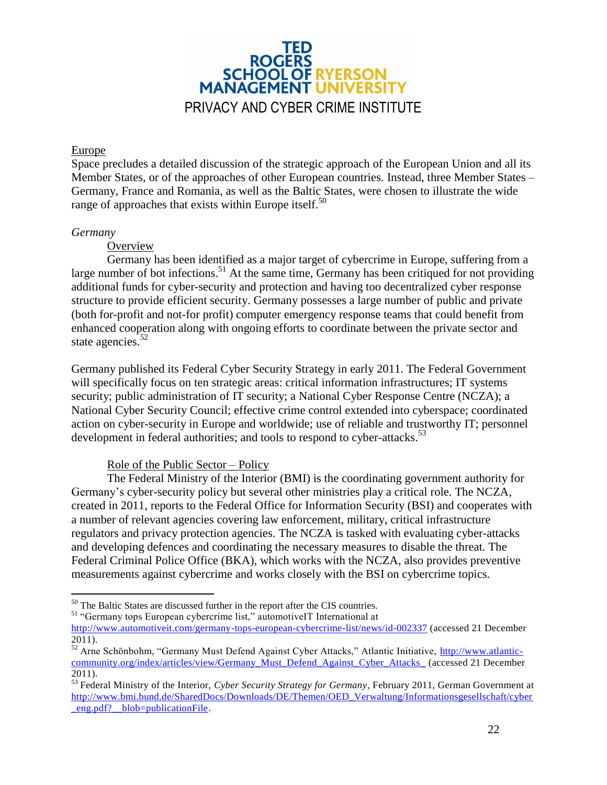

#### <span id="page-21-0"></span>Europe

Space precludes a detailed discussion of the strategic approach of the European Union and all its Member States, or of the approaches of other European countries. Instead, three Member States – Germany, France and Romania, as well as the Baltic States, were chosen to illustrate the wide range of approaches that exists within Europe itself.<sup>50</sup>

#### <span id="page-21-1"></span>*Germany*

 $\overline{a}$ 

#### **Overview**

Germany has been identified as a major target of cybercrime in Europe, suffering from a large number of bot infections.<sup>51</sup> At the same time, Germany has been critiqued for not providing additional funds for cyber-security and protection and having too decentralized cyber response structure to provide efficient security. Germany possesses a large number of public and private (both for-profit and not-for profit) computer emergency response teams that could benefit from enhanced cooperation along with ongoing efforts to coordinate between the private sector and state agencies. $52$ 

Germany published its Federal Cyber Security Strategy in early 2011. The Federal Government will specifically focus on ten strategic areas: critical information infrastructures; IT systems security; public administration of IT security; a National Cyber Response Centre (NCZA); a National Cyber Security Council; effective crime control extended into cyberspace; coordinated action on cyber-security in Europe and worldwide; use of reliable and trustworthy IT; personnel development in federal authorities; and tools to respond to cyber-attacks.<sup>53</sup>

#### Role of the Public Sector – Policy

The Federal Ministry of the Interior (BMI) is the coordinating government authority for Germany's cyber-security policy but several other ministries play a critical role. The NCZA, created in 2011, reports to the Federal Office for Information Security (BSI) and cooperates with a number of relevant agencies covering law enforcement, military, critical infrastructure regulators and privacy protection agencies. The NCZA is tasked with evaluating cyber-attacks and developing defences and coordinating the necessary measures to disable the threat. The Federal Criminal Police Office (BKA), which works with the NCZA, also provides preventive measurements against cybercrime and works closely with the BSI on cybercrime topics.

<sup>&</sup>lt;sup>50</sup> The Baltic States are discussed further in the report after the CIS countries.

<sup>51</sup> "Germany tops European cybercrime list," automotiveIT International at

<http://www.automotiveit.com/germany-tops-european-cybercrime-list/news/id-002337> (accessed 21 December 2011).

<sup>52</sup> Arne Schönbohm, "Germany Must Defend Against Cyber Attacks," Atlantic Initiative, [http://www.atlantic](http://www.atlantic-community.org/index/articles/view/Germany_Must_Defend_Against_Cyber_Attacks_)[community.org/index/articles/view/Germany\\_Must\\_Defend\\_Against\\_Cyber\\_Attacks\\_](http://www.atlantic-community.org/index/articles/view/Germany_Must_Defend_Against_Cyber_Attacks_) (accessed 21 December 2011).

<sup>53</sup> Federal Ministry of the Interior, *Cyber Security Strategy for Germany*, February 2011, German Government at [http://www.bmi.bund.de/SharedDocs/Downloads/DE/Themen/OED\\_Verwaltung/Informationsgesellschaft/cyber](http://www.bmi.bund.de/SharedDocs/Downloads/DE/Themen/OED_Verwaltung/Informationsgesellschaft/cyber_eng.pdf?__blob=publicationFile) eng.pdf? blob=publicationFile.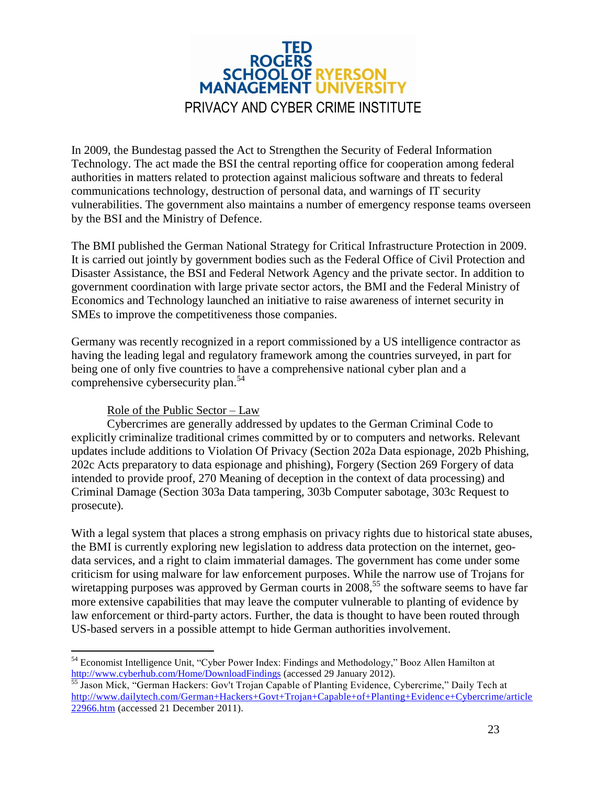

In 2009, the Bundestag passed the Act to Strengthen the Security of Federal Information Technology. The act made the BSI the central reporting office for cooperation among federal authorities in matters related to protection against malicious software and threats to federal communications technology, destruction of personal data, and warnings of IT security vulnerabilities. The government also maintains a number of emergency response teams overseen by the BSI and the Ministry of Defence.

The BMI published the German National Strategy for Critical Infrastructure Protection in 2009. It is carried out jointly by government bodies such as the Federal Office of Civil Protection and Disaster Assistance, the BSI and Federal Network Agency and the private sector. In addition to government coordination with large private sector actors, the BMI and the Federal Ministry of Economics and Technology launched an initiative to raise awareness of internet security in SMEs to improve the competitiveness those companies.

Germany was recently recognized in a report commissioned by a US intelligence contractor as having the leading legal and regulatory framework among the countries surveyed, in part for being one of only five countries to have a comprehensive national cyber plan and a comprehensive cybersecurity plan.<sup>54</sup>

#### Role of the Public Sector – Law

Cybercrimes are generally addressed by updates to the German Criminal Code to explicitly criminalize traditional crimes committed by or to computers and networks. Relevant updates include additions to Violation Of Privacy (Section 202a Data espionage, 202b Phishing, 202c Acts preparatory to data espionage and phishing), Forgery (Section 269 Forgery of data intended to provide proof, 270 Meaning of deception in the context of data processing) and Criminal Damage (Section 303a Data tampering, 303b Computer sabotage, 303c Request to prosecute).

With a legal system that places a strong emphasis on privacy rights due to historical state abuses, the BMI is currently exploring new legislation to address data protection on the internet, geodata services, and a right to claim immaterial damages. The government has come under some criticism for using malware for law enforcement purposes. While the narrow use of Trojans for wiretapping purposes was approved by German courts in 2008,<sup>55</sup> the software seems to have far more extensive capabilities that may leave the computer vulnerable to planting of evidence by law enforcement or third-party actors. Further, the data is thought to have been routed through US-based servers in a possible attempt to hide German authorities involvement.

 $\overline{a}$ <sup>54</sup> Economist Intelligence Unit, "Cyber Power Index: Findings and Methodology," Booz Allen Hamilton at <http://www.cyberhub.com/Home/DownloadFindings> (accessed 29 January 2012).

<sup>&</sup>lt;sup>55</sup> Jason Mick, "German Hackers: Gov't Trojan Capable of Planting Evidence, Cybercrime," Daily Tech at [http://www.dailytech.com/German+Hackers+Govt+Trojan+Capable+of+Planting+Evidenc](http://www.dailytech.com/German+Hackers+Govt+Trojan+Capable+of+Planting+Evidence+Cybercrime/article22966.htm) e+Cybercrime/article [22966.htm](http://www.dailytech.com/German+Hackers+Govt+Trojan+Capable+of+Planting+Evidence+Cybercrime/article22966.htm) (accessed 21 December 2011).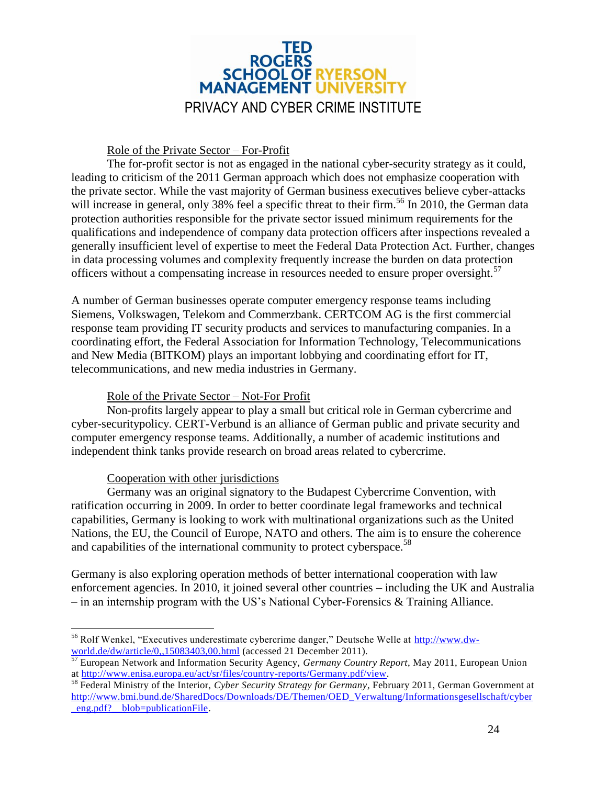

#### Role of the Private Sector – For-Profit

The for-profit sector is not as engaged in the national cyber-security strategy as it could, leading to criticism of the 2011 German approach which does not emphasize cooperation with the private sector. While the vast majority of German business executives believe cyber-attacks will increase in general, only 38% feel a specific threat to their firm.<sup>56</sup> In 2010, the German data protection authorities responsible for the private sector issued minimum requirements for the qualifications and independence of company data protection officers after inspections revealed a generally insufficient level of expertise to meet the Federal Data Protection Act. Further, changes in data processing volumes and complexity frequently increase the burden on data protection officers without a compensating increase in resources needed to ensure proper oversight.<sup>57</sup>

A number of German businesses operate computer emergency response teams including Siemens, Volkswagen, Telekom and Commerzbank. CERTCOM AG is the first commercial response team providing IT security products and services to manufacturing companies. In a coordinating effort, the Federal Association for Information Technology, Telecommunications and New Media (BITKOM) plays an important lobbying and coordinating effort for IT, telecommunications, and new media industries in Germany.

#### Role of the Private Sector – Not-For Profit

Non-profits largely appear to play a small but critical role in German cybercrime and cyber-securitypolicy. CERT-Verbund is an alliance of German public and private security and computer emergency response teams. Additionally, a number of academic institutions and independent think tanks provide research on broad areas related to cybercrime.

#### Cooperation with other jurisdictions

Germany was an original signatory to the Budapest Cybercrime Convention, with ratification occurring in 2009. In order to better coordinate legal frameworks and technical capabilities, Germany is looking to work with multinational organizations such as the United Nations, the EU, the Council of Europe, NATO and others. The aim is to ensure the coherence and capabilities of the international community to protect cyberspace.<sup>58</sup>

Germany is also exploring operation methods of better international cooperation with law enforcement agencies. In 2010, it joined several other countries – including the UK and Australia – in an internship program with the US's National Cyber-Forensics & Training Alliance.

 $\overline{a}$ <sup>56</sup> Rolf Wenkel, "Executives underestimate cybercrime danger," Deutsche Welle at [http://www.dw](http://www.dw-world.de/dw/article/0,,15083403,00.html)[world.de/dw/article/0,,15083403,00.html](http://www.dw-world.de/dw/article/0,,15083403,00.html) (accessed 21 December 2011).

<sup>57</sup> European Network and Information Security Agency, *Germany Country Report*, May 2011, European Union at [http://www.enisa.europa.eu/act/sr/files/country-reports/Germany.pdf/view.](http://www.enisa.europa.eu/act/sr/files/country-reports/Germany.pdf/view)

<sup>58</sup> Federal Ministry of the Interior, *Cyber Security Strategy for Germany*, February 2011, German Government at [http://www.bmi.bund.de/SharedDocs/Downloads/DE/Themen/OED\\_Verwaltung/Informationsgesellschaft/cyber](http://www.bmi.bund.de/SharedDocs/Downloads/DE/Themen/OED_Verwaltung/Informationsgesellschaft/cyber_eng.pdf?__blob=publicationFile) eng.pdf? blob=publicationFile.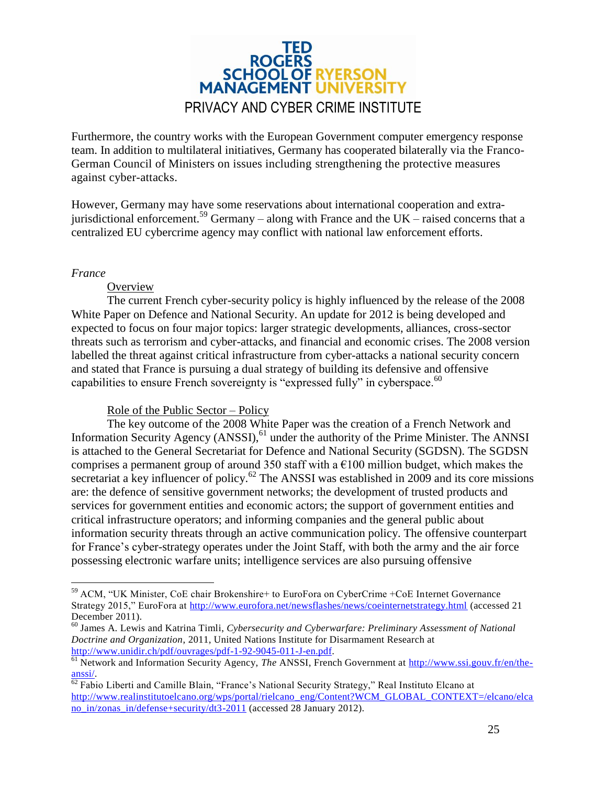

Furthermore, the country works with the European Government computer emergency response team. In addition to multilateral initiatives, Germany has cooperated bilaterally via the Franco-German Council of Ministers on issues including strengthening the protective measures against cyber-attacks.

However, Germany may have some reservations about international cooperation and extrajurisdictional enforcement.<sup>59</sup> Germany – along with France and the UK – raised concerns that a centralized EU cybercrime agency may conflict with national law enforcement efforts.

#### <span id="page-24-0"></span>*France*

 $\overline{a}$ 

#### **Overview**

The current French cyber-security policy is highly influenced by the release of the 2008 White Paper on Defence and National Security. An update for 2012 is being developed and expected to focus on four major topics: larger strategic developments, alliances, cross-sector threats such as terrorism and cyber-attacks, and financial and economic crises. The 2008 version labelled the threat against critical infrastructure from cyber-attacks a national security concern and stated that France is pursuing a dual strategy of building its defensive and offensive capabilities to ensure French sovereignty is "expressed fully" in cyberspace.<sup>60</sup>

#### Role of the Public Sector – Policy

The key outcome of the 2008 White Paper was the creation of a French Network and Information Security Agency (ANSSI),<sup>61</sup> under the authority of the Prime Minister. The ANNSI is attached to the General Secretariat for Defence and National Security (SGDSN). The SGDSN comprises a permanent group of around 350 staff with a  $\epsilon$ 100 million budget, which makes the secretariat a key influencer of policy.<sup>62</sup> The ANSSI was established in 2009 and its core missions are: the defence of sensitive government networks; the development of trusted products and services for government entities and economic actors; the support of government entities and critical infrastructure operators; and informing companies and the general public about information security threats through an active communication policy. The offensive counterpart for France's cyber-strategy operates under the Joint Staff, with both the army and the air force possessing electronic warfare units; intelligence services are also pursuing offensive

<sup>59</sup> ACM, "UK Minister, CoE chair Brokenshire+ to EuroFora on CyberCrime +CoE Internet Governance Strategy 2015," EuroFora at<http://www.eurofora.net/newsflashes/news/coeinternetstrategy.html> (accessed 21 December 2011).

<sup>60</sup> James A. Lewis and Katrina Timli, *Cybersecurity and Cyberwarfare: Preliminary Assessment of National Doctrine and Organization*, 2011, United Nations Institute for Disarmament Research at [http://www.unidir.ch/pdf/ouvrages/pdf-1-92-9045-011-J-en.pdf.](http://www.unidir.ch/pdf/ouvrages/pdf-1-92-9045-011-J-en.pdf)

<sup>61</sup> Network and Information Security Agency, *The* ANSSI, French Government at [http://www.ssi.gouv.fr/en/the](http://www.ssi.gouv.fr/en/the-anssi/)[anssi/.](http://www.ssi.gouv.fr/en/the-anssi/)

 $62$  Fabio Liberti and Camille Blain, "France's National Security Strategy," Real Instituto Elcano at [http://www.realinstitutoelcano.org/wps/portal/rielcano\\_eng/Content?WCM\\_GLOBAL\\_CONTEXT=/elcano/elca](http://www.realinstitutoelcano.org/wps/portal/rielcano_eng/Content?WCM_GLOBAL_CONTEXT=/elcano/elcano_in/zonas_in/defense+security/dt3-2011) no in/zonas in/defense+security/dt3-2011 (accessed 28 January 2012).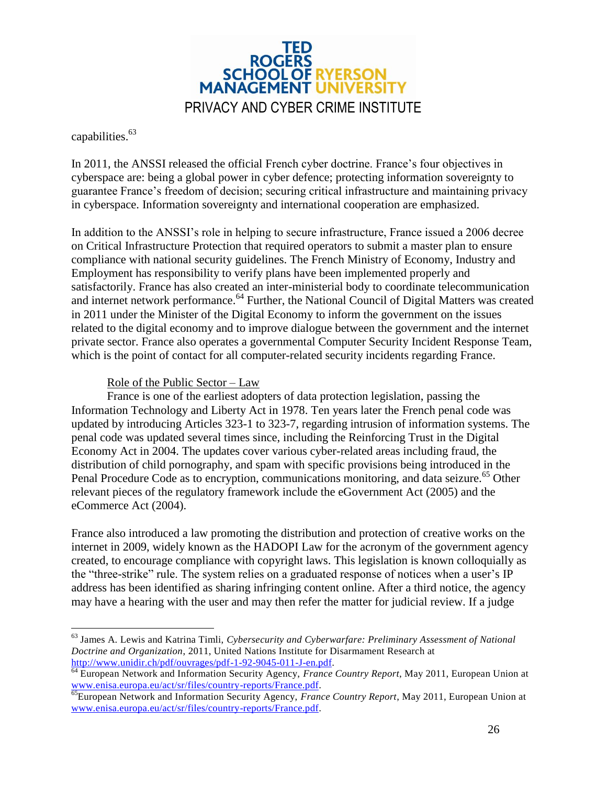

capabilities.<sup>63</sup>

 $\overline{a}$ 

In 2011, the ANSSI released the official French cyber doctrine. France's four objectives in cyberspace are: being a global power in cyber defence; protecting information sovereignty to guarantee France's freedom of decision; securing critical infrastructure and maintaining privacy in cyberspace. Information sovereignty and international cooperation are emphasized.

In addition to the ANSSI's role in helping to secure infrastructure, France issued a 2006 decree on Critical Infrastructure Protection that required operators to submit a master plan to ensure compliance with national security guidelines. The French Ministry of Economy, Industry and Employment has responsibility to verify plans have been implemented properly and satisfactorily. France has also created an inter-ministerial body to coordinate telecommunication and internet network performance.<sup>64</sup> Further, the National Council of Digital Matters was created in 2011 under the Minister of the Digital Economy to inform the government on the issues related to the digital economy and to improve dialogue between the government and the internet private sector. France also operates a governmental Computer Security Incident Response Team, which is the point of contact for all computer-related security incidents regarding France.

#### Role of the Public Sector – Law

France is one of the earliest adopters of data protection legislation, passing the Information Technology and Liberty Act in 1978. Ten years later the French penal code was updated by introducing Articles 323-1 to 323-7, regarding intrusion of information systems. The penal code was updated several times since, including the Reinforcing Trust in the Digital Economy Act in 2004. The updates cover various cyber-related areas including fraud, the distribution of child pornography, and spam with specific provisions being introduced in the Penal Procedure Code as to encryption, communications monitoring, and data seizure.<sup>65</sup> Other relevant pieces of the regulatory framework include the eGovernment Act (2005) and the eCommerce Act (2004).

France also introduced a law promoting the distribution and protection of creative works on the internet in 2009, widely known as the HADOPI Law for the acronym of the government agency created, to encourage compliance with copyright laws. This legislation is known colloquially as the "three-strike" rule. The system relies on a graduated response of notices when a user's IP address has been identified as sharing infringing content online. After a third notice, the agency may have a hearing with the user and may then refer the matter for judicial review. If a judge

<sup>63</sup> James A. Lewis and Katrina Timli, *Cybersecurity and Cyberwarfare: Preliminary Assessment of National Doctrine and Organization*, 2011, United Nations Institute for Disarmament Research at [http://www.unidir.ch/pdf/ouvrages/pdf-1-92-9045-011-J-en.pdf.](http://www.unidir.ch/pdf/ouvrages/pdf-1-92-9045-011-J-en.pdf)

<sup>&</sup>lt;sup>64</sup> European Network and Information Security Agency, *France Country Report*, May 2011, European Union at [www.enisa.europa.eu/act/sr/files/country-reports/France.pdf.](http://www.enisa.europa.eu/act/sr/files/country-reports/France.pdf)

<sup>65</sup>European Network and Information Security Agency, *France Country Report*, May 2011, European Union at [www.enisa.europa.eu/act/sr/files/country-reports/France.pdf.](http://www.enisa.europa.eu/act/sr/files/country-reports/France.pdf)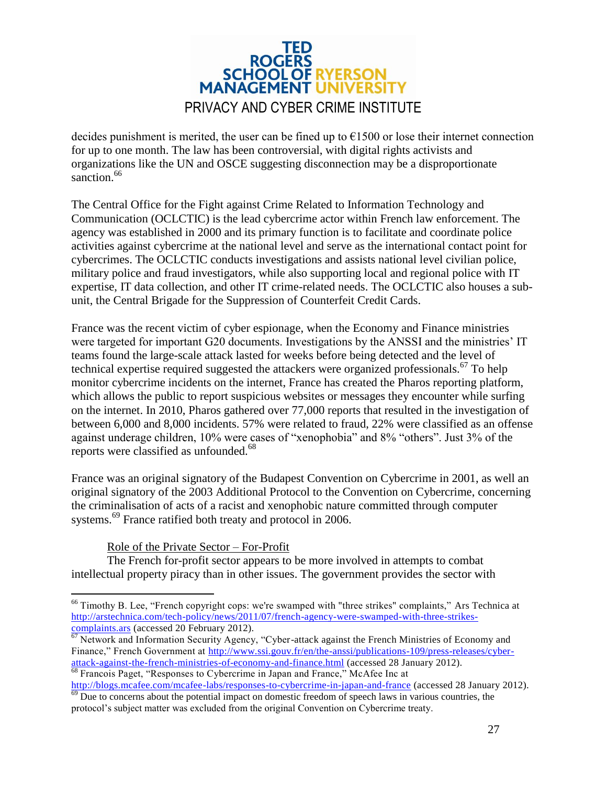

decides punishment is merited, the user can be fined up to  $E1500$  or lose their internet connection for up to one month. The law has been controversial, with digital rights activists and organizations like the UN and OSCE suggesting disconnection may be a disproportionate sanction.<sup>66</sup>

The Central Office for the Fight against Crime Related to Information Technology and Communication (OCLCTIC) is the lead cybercrime actor within French law enforcement. The agency was established in 2000 and its primary function is to facilitate and coordinate police activities against cybercrime at the national level and serve as the international contact point for cybercrimes. The OCLCTIC conducts investigations and assists national level civilian police, military police and fraud investigators, while also supporting local and regional police with IT expertise, IT data collection, and other IT crime-related needs. The OCLCTIC also houses a subunit, the Central Brigade for the Suppression of Counterfeit Credit Cards.

France was the recent victim of cyber espionage, when the Economy and Finance ministries were targeted for important G20 documents. Investigations by the ANSSI and the ministries' IT teams found the large-scale attack lasted for weeks before being detected and the level of technical expertise required suggested the attackers were organized professionals.<sup>67</sup> To help monitor cybercrime incidents on the internet, France has created the Pharos reporting platform, which allows the public to report suspicious websites or messages they encounter while surfing on the internet. In 2010, Pharos gathered over 77,000 reports that resulted in the investigation of between 6,000 and 8,000 incidents. 57% were related to fraud, 22% were classified as an offense against underage children, 10% were cases of "xenophobia" and 8% "others". Just 3% of the reports were classified as unfounded.<sup>68</sup>

France was an original signatory of the Budapest Convention on Cybercrime in 2001, as well an original signatory of the 2003 Additional Protocol to the Convention on Cybercrime, concerning the criminalisation of acts of a racist and xenophobic nature committed through computer systems.<sup>69</sup> France ratified both treaty and protocol in 2006.

#### Role of the Private Sector – For-Profit

The French for-profit sector appears to be more involved in attempts to combat intellectual property piracy than in other issues. The government provides the sector with

 $\overline{a}$ <sup>66</sup> Timothy B. Lee, "French copyright cops: we're swamped with "three strikes" complaints," Ars Technica at [http://arstechnica.com/tech-policy/news/2011/07/french-agency-were-swamped-with-three-strikes](http://arstechnica.com/tech-policy/news/2011/07/french-agency-were-swamped-with-three-strikes-complaints.ars)[complaints.ars](http://arstechnica.com/tech-policy/news/2011/07/french-agency-were-swamped-with-three-strikes-complaints.ars) (accessed 20 February 2012).

 $67$  Network and Information Security Agency, "Cyber-attack against the French Ministries of Economy and Finance," French Government at [http://www.ssi.gouv.fr/en/the-anssi/publications-109/press-releases/cyber](http://www.ssi.gouv.fr/en/the-anssi/publications-109/press-releases/cyber-attack-against-the-french-ministries-of-economy-and-finance.html)[attack-against-the-french-ministries-of-economy-and-finance.html](http://www.ssi.gouv.fr/en/the-anssi/publications-109/press-releases/cyber-attack-against-the-french-ministries-of-economy-and-finance.html) (accessed 28 January 2012). <sup>68</sup> Francois Paget, "Responses to Cybercrime in Japan and France," McAfee Inc at

<http://blogs.mcafee.com/mcafee-labs/responses-to-cybercrime-in-japan-and-france> (accessed 28 January 2012). <sup>69</sup> Due to concerns about the potential impact on domestic freedom of speech laws in various countries, the

protocol's subject matter was excluded from the original Convention on Cybercrime treaty.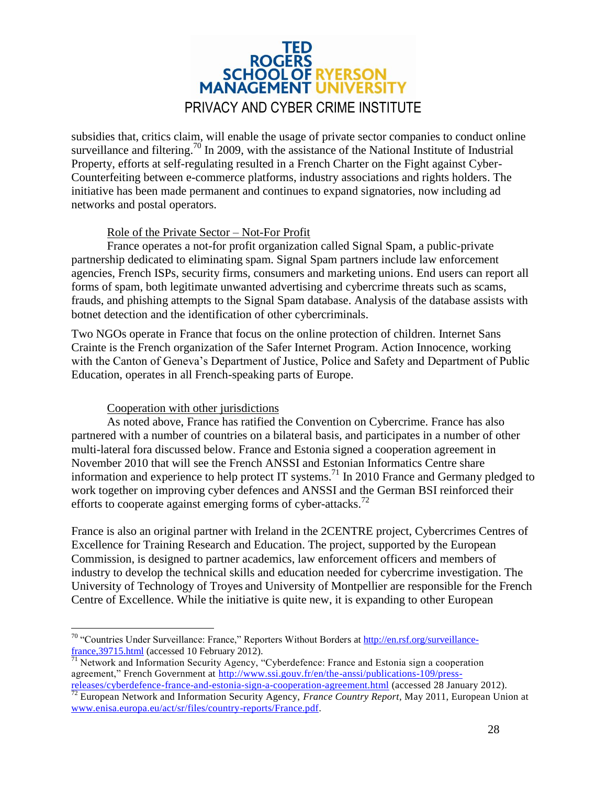

subsidies that, critics claim, will enable the usage of private sector companies to conduct online surveillance and filtering.<sup>70</sup> In 2009, with the assistance of the National Institute of Industrial Property, efforts at self-regulating resulted in a French Charter on the Fight against Cyber-Counterfeiting between e-commerce platforms, industry associations and rights holders. The initiative has been made permanent and continues to expand signatories, now including ad networks and postal operators.

#### Role of the Private Sector – Not-For Profit

France operates a not-for profit organization called Signal Spam, a public-private partnership dedicated to eliminating spam. Signal Spam partners include law enforcement agencies, French ISPs, security firms, consumers and marketing unions. End users can report all forms of spam, both legitimate unwanted advertising and cybercrime threats such as scams, frauds, and phishing attempts to the Signal Spam database. Analysis of the database assists with botnet detection and the identification of other cybercriminals.

Two NGOs operate in France that focus on the online protection of children. Internet Sans Crainte is the French organization of the Safer Internet Program. Action Innocence, working with the Canton of Geneva's Department of Justice, Police and Safety and Department of Public Education, operates in all French-speaking parts of Europe.

#### Cooperation with other jurisdictions

 $\overline{a}$ 

As noted above, France has ratified the Convention on Cybercrime. France has also partnered with a number of countries on a bilateral basis, and participates in a number of other multi-lateral fora discussed below. France and Estonia signed a cooperation agreement in November 2010 that will see the French ANSSI and Estonian Informatics Centre share information and experience to help protect IT systems.<sup>71</sup> In 2010 France and Germany pledged to work together on improving cyber defences and ANSSI and the German BSI reinforced their efforts to cooperate against emerging forms of cyber-attacks.<sup>72</sup>

France is also an original partner with Ireland in the 2CENTRE project, Cybercrimes Centres of Excellence for Training Research and Education. The project, supported by the European Commission, is designed to partner academics, law enforcement officers and members of industry to develop the technical skills and education needed for cybercrime investigation. The University of Technology of Troyes and University of Montpellier are responsible for the French Centre of Excellence. While the initiative is quite new, it is expanding to other European

<sup>&</sup>lt;sup>70</sup> "Countries Under Surveillance: France," Reporters Without Borders a[t http://en.rsf.org/surveillance](http://en.rsf.org/surveillance-france,39715.html)france, 39715.html (accessed 10 February 2012).

 $71$  Network and Information Security Agency, "Cyberdefence: France and Estonia sign a cooperation agreement," French Government at [http://www.ssi.gouv.fr/en/the-anssi/publications-109/press-](http://www.ssi.gouv.fr/en/the-anssi/publications-109/press-releases/cyberdefence-france-and-estonia-sign-a-cooperation-agreement.html)

[releases/cyberdefence-france-and-estonia-sign-a-cooperation-agreement.html](http://www.ssi.gouv.fr/en/the-anssi/publications-109/press-releases/cyberdefence-france-and-estonia-sign-a-cooperation-agreement.html) (accessed 28 January 2012). <sup>72</sup> European Network and Information Security Agency, *France Country Report*, May 2011, European Union at [www.enisa.europa.eu/act/sr/files/country-reports/France.pdf.](http://www.enisa.europa.eu/act/sr/files/country-reports/France.pdf)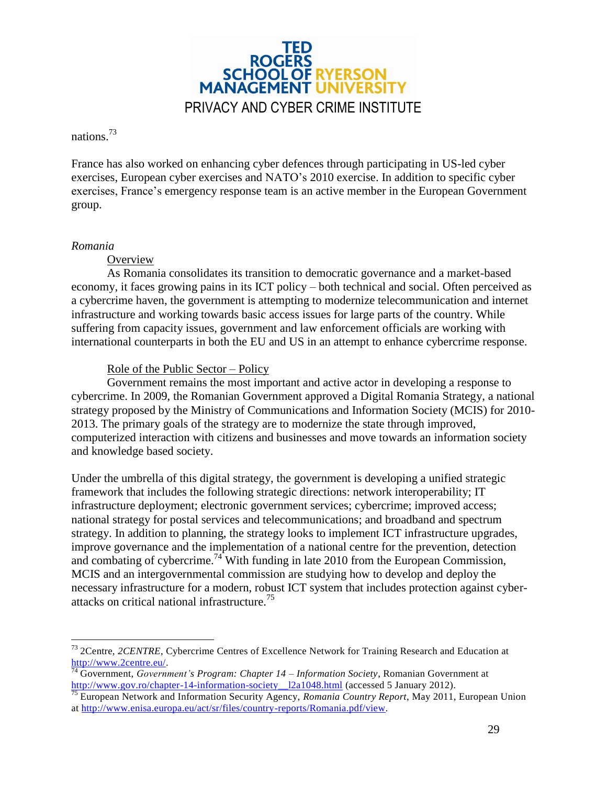

nations.<sup>73</sup>

France has also worked on enhancing cyber defences through participating in US-led cyber exercises, European cyber exercises and NATO's 2010 exercise. In addition to specific cyber exercises, France's emergency response team is an active member in the European Government group.

#### <span id="page-28-0"></span>*Romania*

 $\overline{a}$ 

**Overview** 

As Romania consolidates its transition to democratic governance and a market-based economy, it faces growing pains in its ICT policy – both technical and social. Often perceived as a cybercrime haven, the government is attempting to modernize telecommunication and internet infrastructure and working towards basic access issues for large parts of the country. While suffering from capacity issues, government and law enforcement officials are working with international counterparts in both the EU and US in an attempt to enhance cybercrime response.

#### Role of the Public Sector – Policy

Government remains the most important and active actor in developing a response to cybercrime. In 2009, the Romanian Government approved a Digital Romania Strategy, a national strategy proposed by the Ministry of Communications and Information Society (MCIS) for 2010- 2013. The primary goals of the strategy are to modernize the state through improved, computerized interaction with citizens and businesses and move towards an information society and knowledge based society.

Under the umbrella of this digital strategy, the government is developing a unified strategic framework that includes the following strategic directions: network interoperability; IT infrastructure deployment; electronic government services; cybercrime; improved access; national strategy for postal services and telecommunications; and broadband and spectrum strategy. In addition to planning, the strategy looks to implement ICT infrastructure upgrades, improve governance and the implementation of a national centre for the prevention, detection and combating of cybercrime.<sup>74</sup> With funding in late 2010 from the European Commission, MCIS and an intergovernmental commission are studying how to develop and deploy the necessary infrastructure for a modern, robust ICT system that includes protection against cyberattacks on critical national infrastructure.<sup>75</sup>

<sup>73</sup> 2Centre, *2CENTRE*, Cybercrime Centres of Excellence Network for Training Research and Education at [http://www.2centre.eu/.](http://www.2centre.eu/)

<sup>74</sup> Government, *Government's Program: Chapter 14 – Information Society*, Romanian Government at http://www.gov.ro/chapter-14-information-society\_12a1048.html (accessed 5 January 2012).

<sup>75</sup> European Network and Information Security Agency, *Romania Country Report*, May 2011, European Union at [http://www.enisa.europa.eu/act/sr/files/country-reports/Romania.pdf/view.](http://www.enisa.europa.eu/act/sr/files/country-reports/Romania.pdf/view)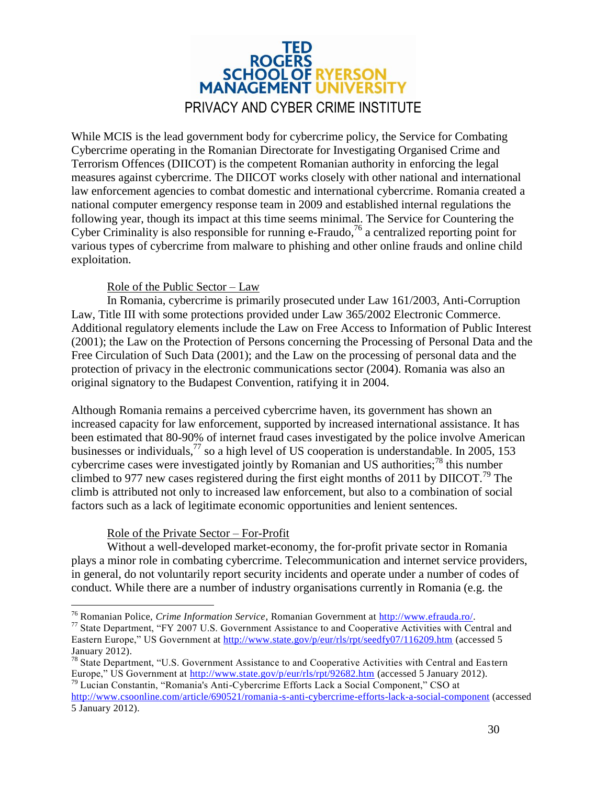

While MCIS is the lead government body for cybercrime policy, the Service for Combating Cybercrime operating in the Romanian Directorate for Investigating Organised Crime and Terrorism Offences (DIICOT) is the competent Romanian authority in enforcing the legal measures against cybercrime. The DIICOT works closely with other national and international law enforcement agencies to combat domestic and international cybercrime. Romania created a national computer emergency response team in 2009 and established internal regulations the following year, though its impact at this time seems minimal. The Service for Countering the Cyber Criminality is also responsible for running e-Fraudo,<sup>76</sup> a centralized reporting point for various types of cybercrime from malware to phishing and other online frauds and online child exploitation.

#### Role of the Public Sector – Law

In Romania, cybercrime is primarily prosecuted under Law 161/2003, Anti-Corruption Law, Title III with some protections provided under Law 365/2002 Electronic Commerce. Additional regulatory elements include the Law on Free Access to Information of Public Interest (2001); the Law on the Protection of Persons concerning the Processing of Personal Data and the Free Circulation of Such Data (2001); and the Law on the processing of personal data and the protection of privacy in the electronic communications sector (2004). Romania was also an original signatory to the Budapest Convention, ratifying it in 2004.

Although Romania remains a perceived cybercrime haven, its government has shown an increased capacity for law enforcement, supported by increased international assistance. It has been estimated that 80-90% of internet fraud cases investigated by the police involve American businesses or individuals,  $^{77}$  so a high level of US cooperation is understandable. In 2005, 153 cybercrime cases were investigated jointly by Romanian and US authorities;<sup>78</sup> this number climbed to 977 new cases registered during the first eight months of 2011 by DIICOT.<sup>79</sup> The climb is attributed not only to increased law enforcement, but also to a combination of social factors such as a lack of legitimate economic opportunities and lenient sentences.

#### Role of the Private Sector – For-Profit

 $\overline{a}$ 

Without a well-developed market-economy, the for-profit private sector in Romania plays a minor role in combating cybercrime. Telecommunication and internet service providers, in general, do not voluntarily report security incidents and operate under a number of codes of conduct. While there are a number of industry organisations currently in Romania (e.g. the

<sup>76</sup> Romanian Police, *Crime Information Service*, Romanian Government at [http://www.efrauda.ro/.](http://www.efrauda.ro/)

<sup>77</sup> State Department, "FY 2007 U.S. Government Assistance to and Cooperative Activities with Central and Eastern Europe," US Government at<http://www.state.gov/p/eur/rls/rpt/seedfy07/116209.htm> (accessed 5 January 2012).

<sup>78</sup> State Department, "U.S. Government Assistance to and Cooperative Activities with Central and Eastern Europe," US Government at<http://www.state.gov/p/eur/rls/rpt/92682.htm> (accessed 5 January 2012). <sup>79</sup> Lucian Constantin, "Romania's Anti-Cybercrime Efforts Lack a Social Component," CSO at

<http://www.csoonline.com/article/690521/romania-s-anti-cybercrime-efforts-lack-a-social-component> (accessed 5 January 2012).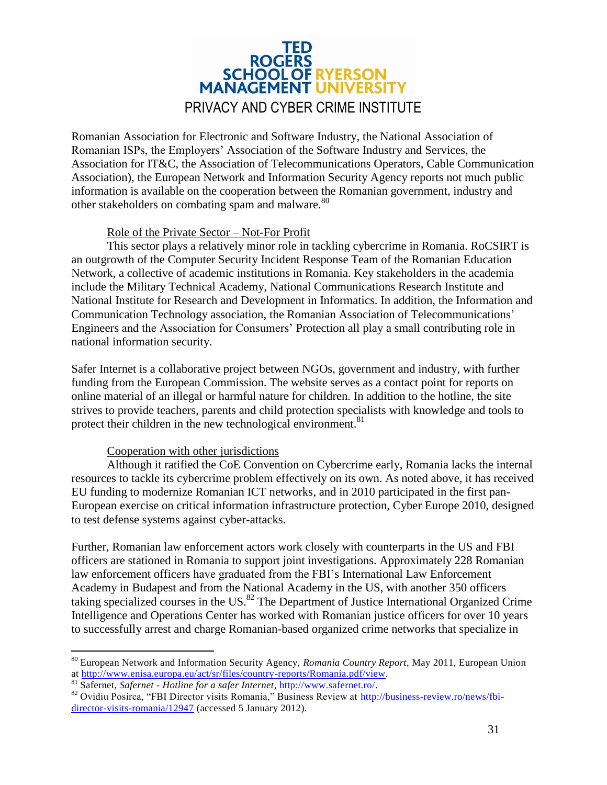

Romanian Association for Electronic and Software Industry, the National Association of Romanian ISPs, the Employers' Association of the Software Industry and Services, the Association for IT&C, the Association of Telecommunications Operators, Cable Communication Association), the European Network and Information Security Agency reports not much public information is available on the cooperation between the Romanian government, industry and other stakeholders on combating spam and malware.<sup>80</sup>

#### Role of the Private Sector – Not-For Profit

This sector plays a relatively minor role in tackling cybercrime in Romania. RoCSIRT is an outgrowth of the Computer Security Incident Response Team of the Romanian Education Network, a collective of academic institutions in Romania. Key stakeholders in the academia include the Military Technical Academy, National Communications Research Institute and National Institute for Research and Development in Informatics. In addition, the Information and Communication Technology association, the Romanian Association of Telecommunications' Engineers and the Association for Consumers' Protection all play a small contributing role in national information security.

Safer Internet is a collaborative project between NGOs, government and industry, with further funding from the European Commission. The website serves as a contact point for reports on online material of an illegal or harmful nature for children. In addition to the hotline, the site strives to provide teachers, parents and child protection specialists with knowledge and tools to protect their children in the new technological environment.<sup>81</sup>

#### Cooperation with other jurisdictions

Although it ratified the CoE Convention on Cybercrime early, Romania lacks the internal resources to tackle its cybercrime problem effectively on its own. As noted above, it has received EU funding to modernize Romanian ICT networks, and in 2010 participated in the first pan-European exercise on critical information infrastructure protection, Cyber Europe 2010, designed to test defense systems against cyber-attacks.

Further, Romanian law enforcement actors work closely with counterparts in the US and FBI officers are stationed in Romania to support joint investigations. Approximately 228 Romanian law enforcement officers have graduated from the FBI's International Law Enforcement Academy in Budapest and from the National Academy in the US, with another 350 officers taking specialized courses in the US.<sup>82</sup> The Department of Justice International Organized Crime Intelligence and Operations Center has worked with Romanian justice officers for over 10 years to successfully arrest and charge Romanian-based organized crime networks that specialize in

 $\overline{a}$ 

<sup>80</sup> European Network and Information Security Agency, *Romania Country Report*, May 2011, European Union at [http://www.enisa.europa.eu/act/sr/files/country-reports/Romania.pdf/view.](http://www.enisa.europa.eu/act/sr/files/country-reports/Romania.pdf/view)

<sup>81</sup> Safernet, *Safernet - Hotline for a safer Internet*, [http://www.safernet.ro/.](http://www.safernet.ro/)

<sup>82</sup> Ovidiu Posirca, "FBI Director visits Romania," Business Review at [http://business-review.ro/news/fbi](http://business-review.ro/news/fbi-director-visits-romania/12947)[director-visits-romania/12947](http://business-review.ro/news/fbi-director-visits-romania/12947) (accessed 5 January 2012).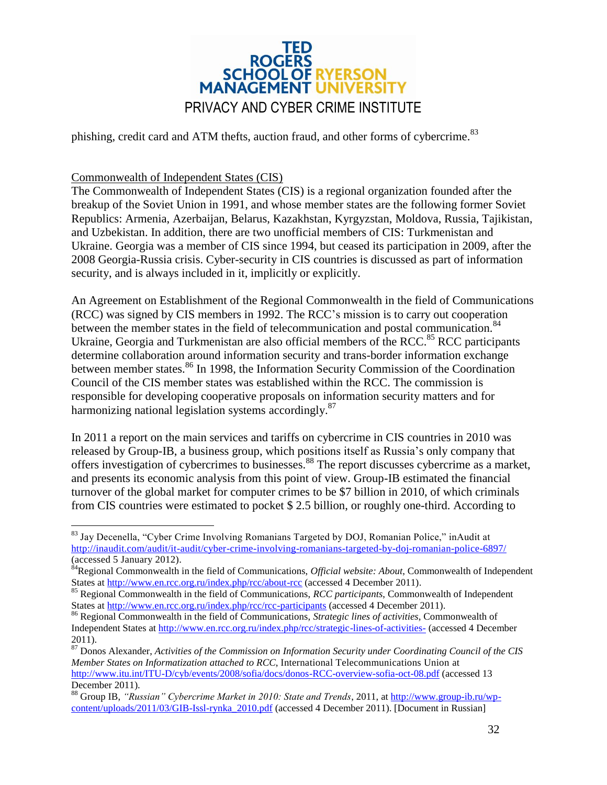

phishing, credit card and ATM thefts, auction fraud, and other forms of cybercrime.<sup>83</sup>

#### <span id="page-31-0"></span>Commonwealth of Independent States (CIS)

 $\overline{a}$ 

The Commonwealth of Independent States (CIS) is a regional organization founded after the breakup of the Soviet Union in 1991, and whose member states are the following former Soviet Republics: Armenia, Azerbaijan, Belarus, Kazakhstan, Kyrgyzstan, Moldova, Russia, Tajikistan, and Uzbekistan. In addition, there are two unofficial members of CIS: Turkmenistan and Ukraine. Georgia was a member of CIS since 1994, but ceased its participation in 2009, after the 2008 Georgia-Russia crisis. Cyber-security in CIS countries is discussed as part of information security, and is always included in it, implicitly or explicitly.

An Agreement on Establishment of the Regional Commonwealth in the field of Communications (RCC) was signed by CIS members in 1992. The RCC's mission is to carry out cooperation between the member states in the field of telecommunication and postal communication.<sup>84</sup> Ukraine, Georgia and Turkmenistan are also official members of the RCC. $85$  RCC participants determine collaboration around information security and trans-border information exchange between member states.<sup>86</sup> In 1998, the Information Security Commission of the Coordination Council of the CIS member states was established within the RCC. The commission is responsible for developing cooperative proposals on information security matters and for harmonizing national legislation systems accordingly.<sup>87</sup>

In 2011 a report on the main services and tariffs on cybercrime in CIS countries in 2010 was released by Group-IB, a business group, which positions itself as Russia's only company that offers investigation of cybercrimes to businesses.<sup>88</sup> The report discusses cybercrime as a market, and presents its economic analysis from this point of view. Group-IB estimated the financial turnover of the global market for computer crimes to be \$7 billion in 2010, of which criminals from CIS countries were estimated to pocket \$ 2.5 billion, or roughly one-third. According to

<sup>&</sup>lt;sup>83</sup> Jay Decenella, "Cyber Crime Involving Romanians Targeted by DOJ, Romanian Police," inAudit at <http://inaudit.com/audit/it-audit/cyber-crime-involving-romanians-targeted-by-doj-romanian-police-6897/> (accessed 5 January 2012).

<sup>84</sup>Regional Commonwealth in the field of Communications, *Official website: About*, Commonwealth of Independent States at<http://www.en.rcc.org.ru/index.php/rcc/about-rcc> (accessed 4 December 2011).

<sup>85</sup> Regional Commonwealth in the field of Communications, *RCC participants*, Commonwealth of Independent States at [http://www.en.rcc.org.ru/index.php/rcc/rcc-participants](../../../../AppData/Local/Microsoft/Windows/Temporary%20Internet%20Files/Content.Outlook/OHD1IP70/%20http:/--www.en.rcc.org.ru-index.php-rcc-rcc-participants) (accessed 4 December 2011).

<sup>86</sup> Regional Commonwealth in the field of Communications, *Strategic lines of activities*, Commonwealth of Independent States at<http://www.en.rcc.org.ru/index.php/rcc/strategic-lines-of-activities-> (accessed 4 December 2011).

<sup>87</sup> Donos Alexander, *Activities of the Commission on Information Security under Coordinating Council of the CIS Member States on Informatization attached to RCC*, International Telecommunications Union at <http://www.itu.int/ITU-D/cyb/events/2008/sofia/docs/donos-RCC-overview-sofia-oct-08.pdf> (accessed 13 December 2011).

<sup>88</sup> Group IB, *"Russian" Cybercrime Market in 2010: State and Trends*, 2011, at [http://www.group-ib.ru/wp](../../../../AppData/Local/Microsoft/Windows/Temporary%20Internet%20Files/Content.Outlook/OHD1IP70/%20http:/--www.group-ib.ru-wp-content-uploads-2011-03-GIB-Issl-rynka_2010.pdf)[content/uploads/2011/03/GIB-Issl-rynka\\_2010.pdf](../../../../AppData/Local/Microsoft/Windows/Temporary%20Internet%20Files/Content.Outlook/OHD1IP70/%20http:/--www.group-ib.ru-wp-content-uploads-2011-03-GIB-Issl-rynka_2010.pdf) (accessed 4 December 2011). [Document in Russian]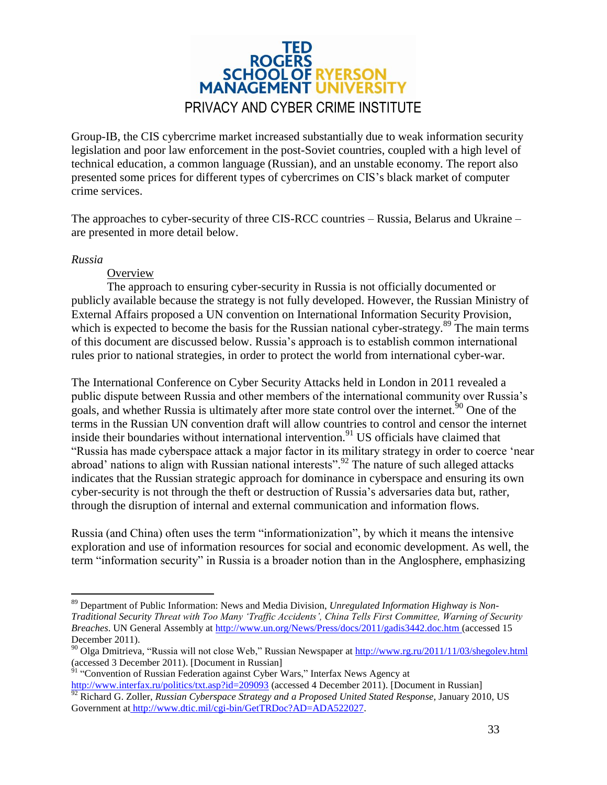

Group-IB, the CIS cybercrime market increased substantially due to weak information security legislation and poor law enforcement in the post-Soviet countries, coupled with a high level of technical education, a common language (Russian), and an unstable economy. The report also presented some prices for different types of cybercrimes on CIS's black market of computer crime services.

The approaches to cyber-security of three CIS-RCC countries – Russia, Belarus and Ukraine – are presented in more detail below.

#### <span id="page-32-0"></span>*Russia*

 $\overline{a}$ 

**Overview** 

The approach to ensuring cyber-security in Russia is not officially documented or publicly available because the strategy is not fully developed. However, the Russian Ministry of External Affairs proposed a UN convention on International Information Security Provision, which is expected to become the basis for the Russian national cyber-strategy.<sup>89</sup> The main terms of this document are discussed below. Russia's approach is to establish common international rules prior to national strategies, in order to protect the world from international cyber-war.

The International Conference on Cyber Security Attacks held in London in 2011 revealed a public dispute between Russia and other members of the international community over Russia's goals, and whether Russia is ultimately after more state control over the internet.<sup>50</sup> One of the terms in the Russian UN convention draft will allow countries to control and censor the internet inside their boundaries without international intervention.<sup>91</sup> US officials have claimed that "Russia has made cyberspace attack a major factor in its military strategy in order to coerce 'near abroad' nations to align with Russian national interests".<sup>92</sup> The nature of such alleged attacks indicates that the Russian strategic approach for dominance in cyberspace and ensuring its own cyber-security is not through the theft or destruction of Russia's adversaries data but, rather, through the disruption of internal and external communication and information flows.

Russia (and China) often uses the term "informationization", by which it means the intensive exploration and use of information resources for social and economic development. As well, the term "information security" in Russia is a broader notion than in the Anglosphere, emphasizing

<sup>91</sup> "Conven[t](../../../../AppData/Local/Microsoft/Windows/Temporary%20Internet%20Files/Content.Outlook/OHD1IP70/%20http:/--www.interfax.ru-politics-txt.asp?id=209093)ion of Russian Federation against Cyber Wars," Interfax News Agency at [http://www.interfax.ru/politics/txt.asp?id=209093](../../../../AppData/Local/Microsoft/Windows/Temporary%20Internet%20Files/Content.Outlook/OHD1IP70/%20http:/--www.interfax.ru-politics-txt.asp?id=209093) (accessed 4 December 2011). [Document in Russian] <sup>92</sup> Richard G. Zoller, *Russian Cyberspace Strategy and a Proposed United Stated Response*, January 2010, US Government at [http://www.dtic.mil/cgi-bin/GetTRDoc?AD=ADA522027.](../../../../AppData/Local/Microsoft/Windows/Temporary%20Internet%20Files/Content.Outlook/OHD1IP70/%20http:/--www.dtic.mil-cgi-bin-GetTRDoc?AD=ADA522027)

<sup>89</sup> Department of Public Information: News and Media Division, *Unregulated Information Highway is Non-Traditional Security Threat with Too Many 'Traffic Accidents', China Tells First Committee, Warning of Security Breaches*. UN General Assembly at<http://www.un.org/News/Press/docs/2011/gadis3442.doc.htm> (accessed 15 December 2011).

<sup>90</sup> Olga Dmitrieva, "Russia will not close Web," Russian Newspaper at [http://www.rg.ru/2011/11/03/shegolev.html](../../../../AppData/Local/Microsoft/Windows/Temporary%20Internet%20Files/Content.Outlook/OHD1IP70/%20http:/--www.rg.ru-2011-11-03-shegolev.html) (accessed 3 December 2011). [Document in Russian]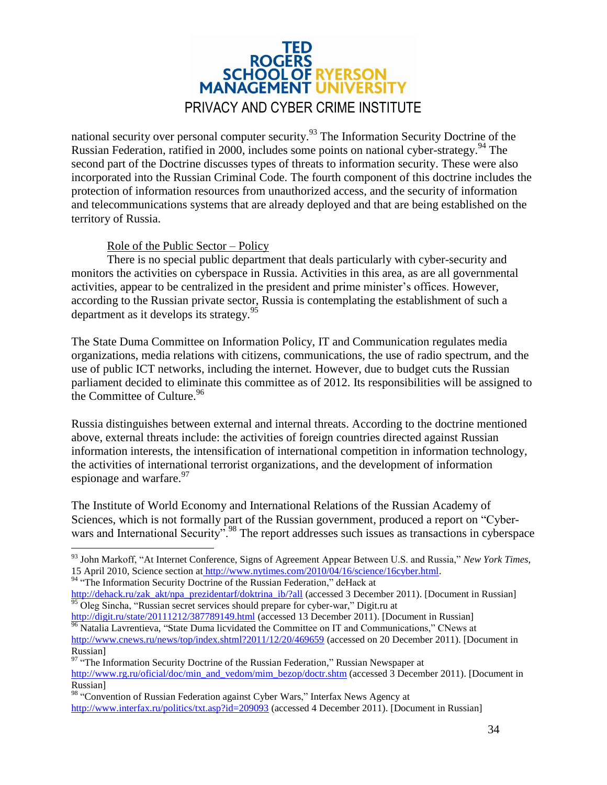

national security over personal computer security.<sup>93</sup> The Information Security Doctrine of the Russian Federation, ratified in 2000, includes some points on national cyber-strategy. <sup>94</sup> The second part of the Doctrine discusses types of threats to information security. These were also incorporated into the Russian Criminal Code. The fourth component of this doctrine includes the protection of information resources from unauthorized access, and the security of information and telecommunications systems that are already deployed and that are being established on the territory of Russia.

#### Role of the Public Sector – Policy

There is no special public department that deals particularly with cyber-security and monitors the activities on cyberspace in Russia. Activities in this area, as are all governmental activities, appear to be centralized in the president and prime minister's offices. However, according to the Russian private sector, Russia is contemplating the establishment of such a department as it develops its strategy.  $95$ 

The State Duma Committee on Information Policy, IT and Communication regulates media organizations, media relations with citizens, communications, the use of radio spectrum, and the use of public ICT networks, including the internet*.* However, due to budget cuts the Russian parliament decided to eliminate this committee as of 2012. Its responsibilities will be assigned to the Committee of Culture.<sup>96</sup>

Russia distinguishes between external and internal threats. According to the doctrine mentioned above, external threats include: the activities of foreign countries directed against Russian information interests, the intensification of international competition in information technology, the activities of international terrorist organizations, and the development of information espionage and warfare. $97$ 

The Institute of World Economy and International Relations of the Russian Academy of Sciences, which is not formally part of the Russian government, produced a report on "Cyberwars and International Security".<sup>98</sup> The report addresses such issues as transactions in cyberspace

<sup>94</sup> "The Information Security Doctrine of the Russian Federation," deHack at

 $\overline{a}$ 

<sup>93</sup> John Markoff, "At Internet Conference, Signs of Agreement Appear Between U.S. and Russia," *New York Times*, 15 April 2010, Science section at [http://www.nytimes.com/2010/04/16/science/16cyber.html.](../../../../AppData/Local/Microsoft/Windows/Temporary%20Internet%20Files/Content.Outlook/OHD1IP70/%20http:/--www.nytimes.com-2010-04-16-science-16cyber.html)

[http://dehack.ru/zak\\_akt/npa\\_prezidentarf/doktrina\\_ib/?all](../../../../AppData/Local/Microsoft/Windows/Temporary%20Internet%20Files/Content.Outlook/OHD1IP70/%20http:/--dehack.ru-zak_akt-npa_prezidentarf-doktrina_ib-?all) (accessed 3 December 2011). [Document in Russian]  $\frac{95}{95}$  Oleg Sincha, "Russian secre[t](../../../../AppData/Local/Microsoft/Windows/Temporary%20Internet%20Files/Content.Outlook/OHD1IP70/%20http:/--www.hardforum.ru-t92299-) services should prepare for cyber-war," Digit.ru at

[http://digit.ru/state/20111212/387789149.html](../../../../AppData/Local/Microsoft/Windows/Temporary%20Internet%20Files/Content.Outlook/OHD1IP70/%20http:/--www.hardforum.ru-t92299-) (accessed 13 December 2011). [Document in Russian] <sup>96</sup> Natalia Lavrentieva, "State Duma licvidated the Committee on IT and Communications," CNews at <http://www.cnews.ru/news/top/index.shtml?2011/12/20/469659> (accessed on 20 December 2011). [Document in Russian]

<sup>&</sup>lt;sup>97</sup> "The Information Security Doctrine of the Russian Federation," Russian Newspaper at [http://www.rg.ru/oficial/doc/min\\_and\\_vedom/mim\\_bezop/doctr.shtm](http://www.rg.ru/oficial/doc/min_and_vedom/mim_bezop/doctr.shtm) (accessed 3 December 2011). [Document in Russian]

<sup>98 &</sup>quot;Conven[t](../../../../AppData/Local/Microsoft/Windows/Temporary%20Internet%20Files/Content.Outlook/OHD1IP70/%20http:/--www.interfax.ru-politics-txt.asp?id=209093)ion of Russian Federation against Cyber Wars," Interfax News Agency at [http://www.interfax.ru/politics/txt.asp?id=209093](../../../../AppData/Local/Microsoft/Windows/Temporary%20Internet%20Files/Content.Outlook/OHD1IP70/%20http:/--www.interfax.ru-politics-txt.asp?id=209093) (accessed 4 December 2011). [Document in Russian]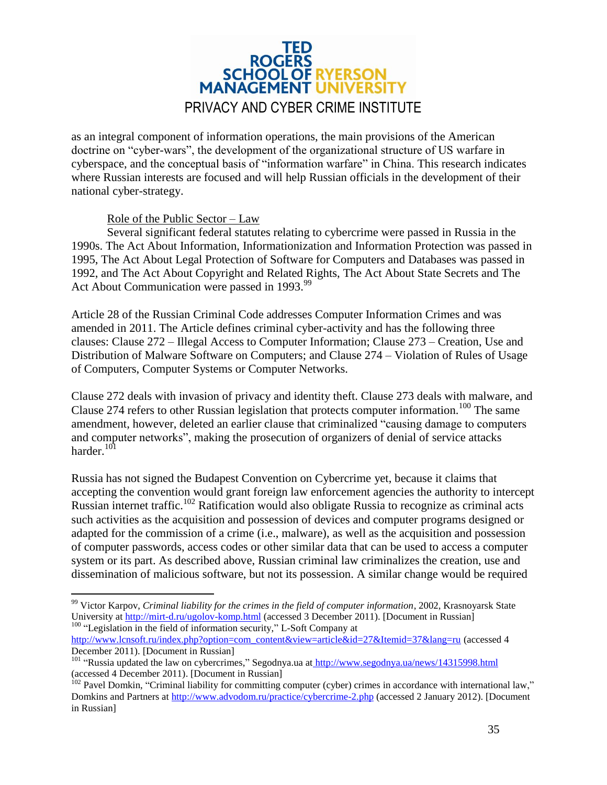

as an integral component of information operations, the main provisions of the American doctrine on "cyber-wars", the development of the organizational structure of US warfare in cyberspace, and the conceptual basis of "information warfare" in China. This research indicates where Russian interests are focused and will help Russian officials in the development of their national cyber-strategy.

#### Role of the Public Sector – Law

 $\overline{a}$ 

Several significant federal statutes relating to cybercrime were passed in Russia in the 1990s. The Act About Information, Informationization and Information Protection was passed in 1995, The Act About Legal Protection of Software for Computers and Databases was passed in 1992, and The Act About Copyright and Related Rights, The Act About State Secrets and The Act About Communication were passed in 1993.<sup>99</sup>

Article 28 of the Russian Criminal Code addresses Computer Information Crimes and was amended in 2011. The Article defines criminal cyber-activity and has the following three clauses: Clause 272 – Illegal Access to Computer Information; Clause 273 – Creation, Use and Distribution of Malware Software on Computers; and Clause 274 – Violation of Rules of Usage of Computers, Computer Systems or Computer Networks.

Clause 272 deals with invasion of privacy and identity theft. Clause 273 deals with malware, and Clause 274 refers to other Russian legislation that protects computer information.<sup>100</sup> The same amendment, however, deleted an earlier clause that criminalized "causing damage to computers and computer networks", making the prosecution of organizers of denial of service attacks harder. $101$ 

Russia has not signed the Budapest Convention on Cybercrime yet, because it claims that accepting the convention would grant foreign law enforcement agencies the authority to intercept Russian internet traffic.<sup>102</sup> Ratification would also obligate Russia to recognize as criminal acts such activities as the acquisition and possession of devices and computer programs designed or adapted for the commission of a crime (i.e., malware), as well as the acquisition and possession of computer passwords, access codes or other similar data that can be used to access a computer system or its part. As described above, Russian criminal law criminalizes the creation, use and dissemination of malicious software, but not its possession. A similar change would be required

<sup>99</sup> Victor Karpov, *Criminal liability for the crimes in the field of computer information*, 2002, Krasnoyarsk State University at [http://mirt-d.ru/ugolov-komp.html](../../../../AppData/Local/Microsoft/Windows/Temporary%20Internet%20Files/Content.Outlook/OHD1IP70/%20http:/--mirt-d.ru-ugolov-komp.html) (accessed 3 December 2011). [Document in Russian] <sup>100</sup>"Legislation in the field of information security," L-Soft Company at

[http://www.lcnsoft.ru/index.php?option=com\\_content&view=article&id=27&Itemid=37&lang=ru](../../../../AppData/Local/Microsoft/Windows/Temporary%20Internet%20Files/Content.Outlook/OHD1IP70/%20http:/--www.lcnsoft.ru-index.php?option=com_content&view=article&id=27&Itemid=37&lang=ru) (accessed 4 December 2011). [Document in Russian]

<sup>&</sup>lt;sup>101</sup> "Russia updated the law on cybercrimes," Segodnya.ua at [http://www.segodnya.ua/news/14315998.html](../../../../AppData/Local/Microsoft/Windows/Temporary%20Internet%20Files/Content.Outlook/OHD1IP70/%20http:/--www.segodnya.ua-news-14315998.html) (accessed 4 December 2011). [Document in Russian]

 $102$  Pavel Domkin, "Criminal liability for committing computer (cyber) crimes in accordance with international law," Domkins and Partners at [http://www.advodom.ru/practice/cybercrime-2.php](../../../../AppData/Local/Microsoft/Windows/Temporary%20Internet%20Files/Content.Outlook/OHD1IP70/%20http:/--www.advodom.ru-practice-cybercrime-2.php) (accessed 2 January 2012). [Document in Russian]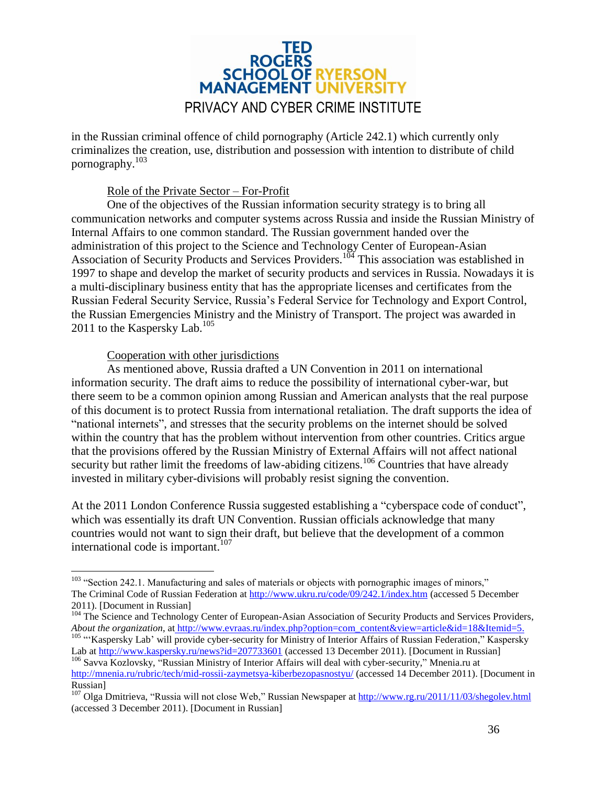

in the Russian criminal offence of child pornography (Article 242.1) which currently only criminalizes the creation, use, distribution and possession with intention to distribute of child pornography.<sup>103</sup>

#### Role of the Private Sector – For-Profit

One of the objectives of the Russian information security strategy is to bring all communication networks and computer systems across Russia and inside the Russian Ministry of Internal Affairs to one common standard. The Russian government handed over the administration of this project to the Science and Technology Center of European-Asian Association of Security Products and Services Providers.<sup>104</sup> This association was established in 1997 to shape and develop the market of security products and services in Russia. Nowadays it is a multi-disciplinary business entity that has the appropriate licenses and certificates from the Russian Federal Security Service, Russia's Federal Service for Technology and Export Control, the Russian Emergencies Ministry and the Ministry of Transport. The project was awarded in 2011 to the Kaspersky Lab.<sup>105</sup>

#### Cooperation with other jurisdictions

 $\overline{a}$ 

As mentioned above, Russia drafted a UN Convention in 2011 on international information security. The draft aims to reduce the possibility of international cyber-war, but there seem to be a common opinion among Russian and American analysts that the real purpose of this document is to protect Russia from international retaliation. The draft supports the idea of "national internets", and stresses that the security problems on the internet should be solved within the country that has the problem without intervention from other countries. Critics argue that the provisions offered by the Russian Ministry of External Affairs will not affect national security but rather limit the freedoms of law-abiding citizens.<sup>106</sup> Countries that have already invested in military cyber-divisions will probably resist signing the convention.

At the 2011 London Conference Russia suggested establishing a "cyberspace code of conduct", which was essentially its draft UN Convention. Russian officials acknowledge that many countries would not want to sign their draft, but believe that the development of a common international code is important. 107

<sup>&</sup>lt;sup>103</sup> "Section 242.1. Manufacturing and sales of materials or objects with pornographic images of minors," The Criminal Code of Russian Federation a[t http://www.ukru.ru/code/09/242.1/index.htm](http://www.ukru.ru/code/09/242.1/index.htm) (accessed 5 December 2011). [Document in Russian]

<sup>&</sup>lt;sup>104</sup> The Science and Technology Center of European-Asian Association of Security Products and Services Providers, *About the organization*, at [http://www.evraas.ru/index.php?option=com\\_content&view=article&id=18&Itemid=5.](../../../../AppData/Local/Microsoft/Windows/Temporary%20Internet%20Files/Content.Outlook/OHD1IP70/%20http:/--www.evraas.ru-index.php?option=com_content&view=article&id=18&Itemid=5)

<sup>&</sup>lt;sup>105</sup> "Kaspersky Lab' will provide cyber-security for Ministry of Interior Affairs of Russian Federation," Kaspersky Lab at <http://www.kaspersky.ru/news?id=207733601> (accessed 13 December 2011). [Document in Russian] <sup>106</sup> Savva Kozlovsky, "Russian Ministry of Interior Affairs will deal with cyber-security," Mnenia.ru a[t](../../../../AppData/Local/Microsoft/Windows/Temporary%20Internet%20Files/Content.Outlook/OHD1IP70/%20http:/--mnenia.ru-rubric-tech-mid-rossii-zaymetsya-kiberbezopasnostyu-)

[http://mnenia.ru/rubric/tech/mid-rossii-zaymetsya-kiberbezopasnostyu/](../../../../AppData/Local/Microsoft/Windows/Temporary%20Internet%20Files/Content.Outlook/OHD1IP70/%20http:/--mnenia.ru-rubric-tech-mid-rossii-zaymetsya-kiberbezopasnostyu-) (accessed 14 December 2011). [Document in Russian]

<sup>&</sup>lt;sup>107</sup> Olga Dmitrieva, "Russia will not close Web," Russian Newspaper a[t http://www.rg.ru/2011/11/03/shegolev.html](../../../../AppData/Local/Microsoft/Windows/Temporary%20Internet%20Files/Content.Outlook/OHD1IP70/%20http:/--www.rg.ru-2011-11-03-shegolev.html) (accessed 3 December 2011). [Document in Russian]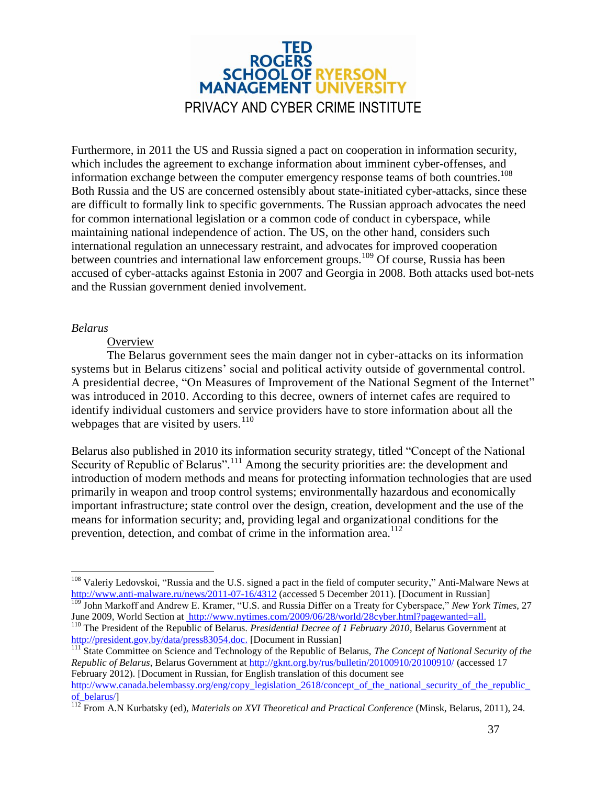## **ROGERS SCHOOL OF RYERSON MANAGEMENT UNIVERSIT** PRIVACY AND CYBER CRIME INSTITUTE

Furthermore, in 2011 the US and Russia signed a pact on cooperation in information security, which includes the agreement to exchange information about imminent cyber-offenses, and information exchange between the computer emergency response teams of both countries. 108 Both Russia and the US are concerned ostensibly about state-initiated cyber-attacks, since these are difficult to formally link to specific governments. The Russian approach advocates the need for common international legislation or a common code of conduct in cyberspace, while maintaining national independence of action. The US, on the other hand, considers such international regulation an unnecessary restraint, and advocates for improved cooperation between countries and international law enforcement groups.<sup>109</sup> Of course, Russia has been accused of cyber-attacks against Estonia in 2007 and Georgia in 2008. Both attacks used bot-nets and the Russian government denied involvement.

#### <span id="page-36-0"></span>*Belarus*

#### **Overview**

The Belarus government sees the main danger not in cyber-attacks on its information systems but in Belarus citizens' social and political activity outside of governmental control. A presidential decree, "On Measures of Improvement of the National Segment of the Internet" was introduced in 2010. According to this decree, owners of internet cafes are required to identify individual customers and service providers have to store information about all the webpages that are visited by users. $110$ 

Belarus also published in 2010 its information security strategy, titled "Concept of the National Security of Republic of Belarus".<sup>111</sup> Among the security priorities are: the development and introduction of modern methods and means for protecting information technologies that are used primarily in weapon and troop control systems; environmentally hazardous and economically important infrastructure; state control over the design, creation, development and the use of the means for information security; and, providing legal and organizational conditions for the prevention, detection, and combat of crime in the information area.<sup>112</sup>

<sup>111</sup> State Committee on Science and Technology of the Republic of Belarus, *The Concept of National Security of the Republic of Belarus*, Belarus Government at [http://gknt.org.by/rus/bulletin/20100910/20100910/](../../../../AppData/Local/Microsoft/Windows/Temporary%20Internet%20Files/Content.Outlook/OHD1IP70/%20http:/--gknt.org.by-rus-bulletin-20100910-20100910-) (accessed 17 February 2012). [Document in Russian, for English translation of this document see [http://www.canada.belembassy.org/eng/copy\\_legislation\\_2618/concept\\_of\\_the\\_national\\_security\\_of\\_the\\_republic\\_](http://www.canada.belembassy.org/eng/copy_legislation_2618/concept_of_the_national_security_of_the_republic_of_belarus/)

 $\overline{a}$ <sup>108</sup> Valeriy Ledovskoi, "Russia and [t](../../../../AppData/Local/Microsoft/Windows/Temporary%20Internet%20Files/Content.Outlook/OHD1IP70/%20http:/--www.anti-malware.ru-news-2011-07-16-4312)he U.S. signed a pact in the field of computer security," Anti-Malware News at [http://www.anti-malware.ru/news/2011-07-16/4312](../../../../AppData/Local/Microsoft/Windows/Temporary%20Internet%20Files/Content.Outlook/OHD1IP70/%20http:/--www.anti-malware.ru-news-2011-07-16-4312) (accessed 5 December 2011). [Document in Russian]

<sup>109</sup> John Markoff and Andrew E. Kramer, "U.S. and Russia Differ on a Treaty for Cyberspace," *New York Times,* 27 June 2009, World Section at [http://www.nytimes.com/2009/06/28/world/28cyber.html?pagewanted=all.](../../../../AppData/Local/Microsoft/Windows/Temporary%20Internet%20Files/Content.Outlook/OHD1IP70/%20http:/--www.nytimes.com-2009-06-28-world-28cyber.html?pagewanted=all)

<sup>110</sup> The President of the Republic of Belarus. *Presidential Decree of 1 February 2010*, Belarus Government at [http://president.gov.by/data/press83054.doc.](http://president.gov.by/data/press83054.doc) [Document in Russian]

of belarus/l

<sup>112</sup> From A.N Kurbatsky (ed), *Materials on XVI Theoretical and Practical Conference* (Minsk, Belarus, 2011), 24.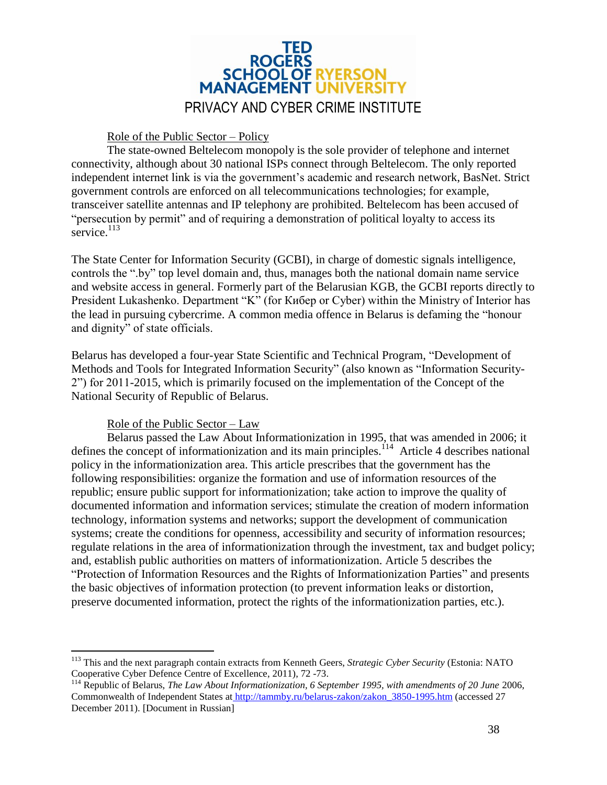

#### Role of the Public Sector – Policy

The state-owned Beltelecom monopoly is the sole provider of telephone and internet connectivity, although about 30 national ISPs connect through Beltelecom. The only reported independent internet link is via the government's academic and research network, BasNet. Strict government controls are enforced on all telecommunications technologies; for example, transceiver satellite antennas and IP telephony are prohibited. Beltelecom has been accused of "persecution by permit" and of requiring a demonstration of political loyalty to access its service. $113$ 

The State Center for Information Security (GCBI), in charge of domestic signals intelligence, controls the ".by" top level domain and, thus, manages both the national domain name service and website access in general. Formerly part of the Belarusian KGB, the GCBI reports directly to President Lukashenko. Department "K" (for K $u$ <sub>6</sub> are Cyber) within the Ministry of Interior has the lead in pursuing cybercrime. A common media offence in Belarus is defaming the "honour and dignity" of state officials.

Belarus has developed a four-year State Scientific and Technical Program, "Development of Methods and Tools for Integrated Information Security" (also known as "Information Security-2") for 2011-2015, which is primarily focused on the implementation of the Concept of the National Security of Republic of Belarus.

#### Role of the Public Sector – Law

 $\overline{a}$ 

Belarus passed the Law About Informationization in 1995, that was amended in 2006; it defines the concept of informationization and its main principles.<sup>114</sup> Article 4 describes national policy in the informationization area. This article prescribes that the government has the following responsibilities: organize the formation and use of information resources of the republic; ensure public support for informationization; take action to improve the quality of documented information and information services; stimulate the creation of modern information technology, information systems and networks; support the development of communication systems; create the conditions for openness, accessibility and security of information resources; regulate relations in the area of informationization through the investment, tax and budget policy; and, establish public authorities on matters of informationization. Article 5 describes the "Protection of Information Resources and the Rights of Informationization Parties" and presents the basic objectives of information protection (to prevent information leaks or distortion, preserve documented information, protect the rights of the informationization parties, etc.).

<sup>113</sup> This and the next paragraph contain extracts from Kenneth Geers, *Strategic Cyber Security* (Estonia: NATO Cooperative Cyber Defence Centre of Excellence, 2011), 72 -73.

<sup>&</sup>lt;sup>114</sup> Republic of Belarus, *The Law About Informationization*, 6 September 1995, with amendments of 20 June 2006, Commonwealth of Independent States at [http://tammby.ru/belarus-zakon/zakon\\_3850-1995.htm](../../../../AppData/Local/Microsoft/Windows/Temporary%20Internet%20Files/Content.Outlook/OHD1IP70/%20http:/--tammby.ru-belarus-zakon-zakon_3850-1995.htm) (accessed 27 December 2011). [Document in Russian]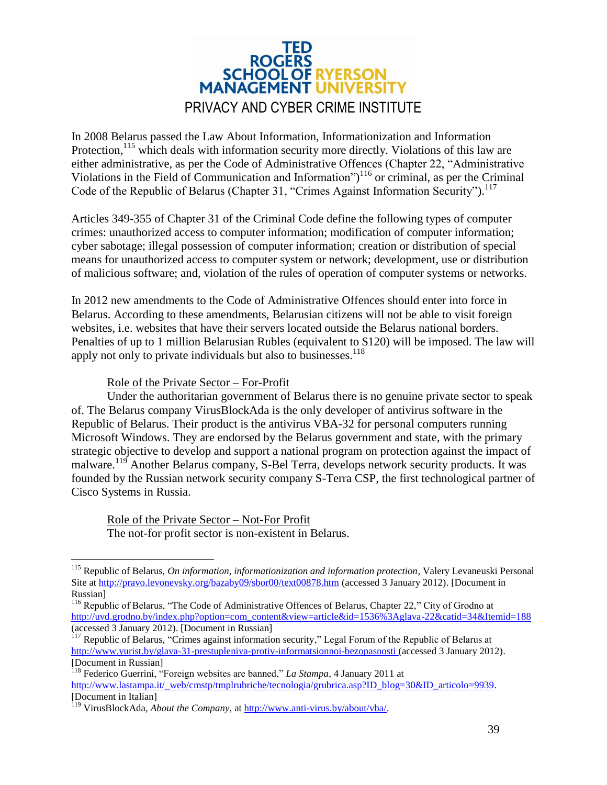

In 2008 Belarus passed the Law About Information, Informationization and Information Protection,<sup>115</sup> which deals with information security more directly. Violations of this law are either administrative, as per the Code of Administrative Offences (Chapter 22, "Administrative Violations in the Field of Communication and Information")<sup>116</sup> or criminal, as per the Criminal Code of the Republic of Belarus (Chapter 31, "Crimes Against Information Security").<sup>117</sup>

Articles 349-355 of Chapter 31 of the Criminal Code define the following types of computer crimes: unauthorized access to computer information; modification of computer information; cyber sabotage; illegal possession of computer information; creation or distribution of special means for unauthorized access to computer system or network; development, use or distribution of malicious software; and, violation of the rules of operation of computer systems or networks.

In 2012 new amendments to the Code of Administrative Offences should enter into force in Belarus. According to these amendments, Belarusian citizens will not be able to visit foreign websites, i.e. websites that have their servers located outside the Belarus national borders. Penalties of up to 1 million Belarusian Rubles (equivalent to \$120) will be imposed. The law will apply not only to private individuals but also to businesses. $118$ 

Role of the Private Sector – For-Profit

 $\overline{a}$ 

Under the authoritarian government of Belarus there is no genuine private sector to speak of. The Belarus company VirusBlockAda is the only developer of antivirus software in the Republic of Belarus. Their product is the antivirus VBA-32 for personal computers running Microsoft Windows. They are endorsed by the Belarus government and state, with the primary strategic objective to develop and support a national program on protection against the impact of malware.<sup>119</sup> Another Belarus company, S-Bel Terra, develops network security products. It was founded by the Russian network security company S-Terra CSP, the first technological partner of Cisco Systems in Russia.

Role of the Private Sector – Not-For Profit The not-for profit sector is non-existent in Belarus.

<sup>&</sup>lt;sup>115</sup> Republic of Belarus, *On information, informationization and information protection*, Valery Levaneuski Personal Site at [http://pravo.levonevsky.org/bazaby09/sbor00/text00878.htm](../../../../AppData/Local/Microsoft/Windows/Temporary%20Internet%20Files/Content.Outlook/OHD1IP70/%20http:/--pravo.levonevsky.org-bazaby09-sbor00-text00878.htm) (accessed 3 January 2012). [Document in Russian]

<sup>&</sup>lt;sup>116</sup> Republic of Belarus, "The Code of Adminis[t](../../../../AppData/Local/Microsoft/Windows/Temporary%20Internet%20Files/Content.Outlook/OHD1IP70/%20http:/--uvd.grodno.by-index.php?option=com_content&view=article&id=1536%3Aglava-22&catid=34&Itemid=188)rative Offences of Belarus, Chapter 22," City of Grodno at [http://uvd.grodno.by/index.php?option=com\\_content&view=article&id=1536%3Aglava-22&catid=34&Itemid=188](../../../../AppData/Local/Microsoft/Windows/Temporary%20Internet%20Files/Content.Outlook/OHD1IP70/%20http:/--uvd.grodno.by-index.php?option=com_content&view=article&id=1536%3Aglava-22&catid=34&Itemid=188) (accessed 3 January 2012). [Document in Russian]

<sup>&</sup>lt;sup>117</sup> Republic of Belarus, "Crimes agains[t](../../../../AppData/Local/Microsoft/Windows/Temporary%20Internet%20Files/Content.Outlook/OHD1IP70/%20http:/--www.yurist.by-glava-31-prestupleniya-protiv-informatsionnoi-bezopasnosti) information security," Legal Forum of the Republic of Belarus at [http://www.yurist.by/glava-31-prestupleniya-protiv-informatsionnoi-bezopasnosti](../../../../AppData/Local/Microsoft/Windows/Temporary%20Internet%20Files/Content.Outlook/OHD1IP70/%20http:/--www.yurist.by-glava-31-prestupleniya-protiv-informatsionnoi-bezopasnosti) (accessed 3 January 2012). [Document in Russian]

<sup>118</sup> Federico Guerrini, "Foreign websites are banned," *La Stampa*, 4 January 2011 a[t](../../../../AppData/Local/Microsoft/Windows/Temporary%20Internet%20Files/Content.Outlook/OHD1IP70/%20http:/--www.lastampa.it-_web-cmstp-tmplrubriche-tecnologia-grubrica.asp?ID_blog=30&ID_articolo=9939)

[http://www.lastampa.it/\\_web/cmstp/tmplrubriche/tecnologia/grubrica.asp?ID\\_blog=30&ID\\_articolo=9939.](../../../../AppData/Local/Microsoft/Windows/Temporary%20Internet%20Files/Content.Outlook/OHD1IP70/%20http:/--www.lastampa.it-_web-cmstp-tmplrubriche-tecnologia-grubrica.asp?ID_blog=30&ID_articolo=9939) [Document in Italian]

<sup>119</sup> VirusBlockAda, *About the Company*, at [http://www.anti-virus.by/about/vba/.](http://www.anti-virus.by/about/vba/)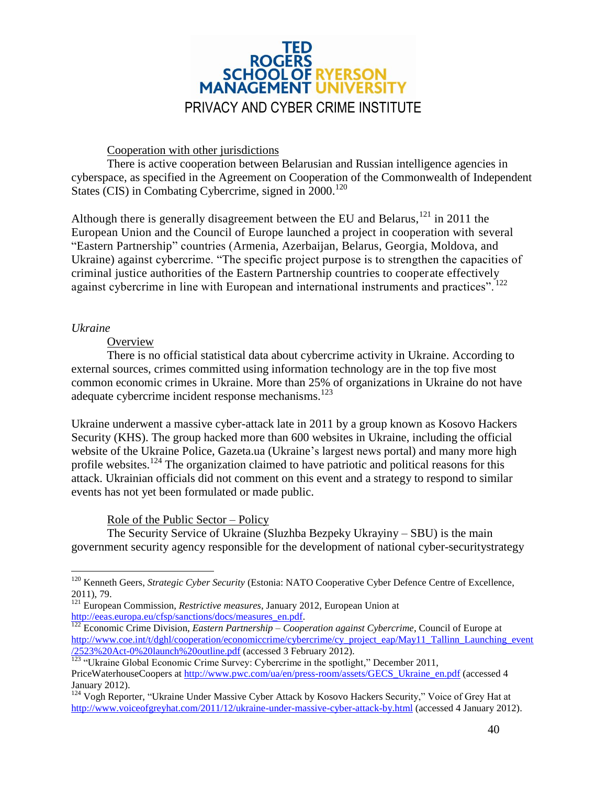

#### Cooperation with other jurisdictions

There is active cooperation between Belarusian and Russian intelligence agencies in cyberspace, as specified in the Agreement on Cooperation of the Commonwealth of Independent States (CIS) in Combating Cybercrime, signed in  $2000$ .<sup>120</sup>

Although there is generally disagreement between the EU and Belarus,  $^{121}$  in 2011 the European Union and the Council of Europe launched a project in cooperation with several "Eastern Partnership" countries (Armenia, Azerbaijan, Belarus, Georgia, Moldova, and Ukraine) against cybercrime. "The specific project purpose is to strengthen the capacities of criminal justice authorities of the Eastern Partnership countries to cooperate effectively against cybercrime in line with European and international instruments and practices".<sup>122</sup>

#### <span id="page-39-0"></span>*Ukraine*

 $\overline{a}$ 

#### **Overview**

There is no official statistical data about cybercrime activity in Ukraine. According to external sources, crimes committed using information technology are in the top five most common economic crimes in Ukraine. More than 25% of organizations in Ukraine do not have adequate cybercrime incident response mechanisms.<sup>123</sup>

Ukraine underwent a massive cyber-attack late in 2011 by a group known as Kosovo Hackers Security (KHS). The group hacked more than 600 websites in Ukraine, including the official website of the Ukraine Police, Gazeta.ua (Ukraine's largest news portal) and many more high profile websites.<sup>124</sup> The organization claimed to have patriotic and political reasons for this attack. Ukrainian officials did not comment on this event and a strategy to respond to similar events has not yet been formulated or made public.

#### Role of the Public Sector – Policy

The Security Service of Ukraine (Sluzhba Bezpeky Ukrayiny – SBU) is the main government security agency responsible for the development of national cyber-securitystrategy

<sup>&</sup>lt;sup>120</sup> Kenneth Geers, *Strategic Cyber Security* (Estonia: NATO Cooperative Cyber Defence Centre of Excellence, 2011), 79.

<sup>&</sup>lt;sup>121</sup> European Commission, *Restrictive measures*, January 2012, European Union at [http://eeas.europa.eu/cfsp/sanctions/docs/measures\\_en.pdf.](http://eeas.europa.eu/cfsp/sanctions/docs/measures_en.pdf)

<sup>122</sup> Economic Crime Division, *Eastern Partnership – Cooperation against Cybercrime,* Council of Europe at [http://www.coe.int/t/dghl/cooperation/economiccrime/cybercrime/cy\\_project\\_eap/May11\\_Tallinn\\_Launching\\_event](http://www.coe.int/t/dghl/cooperation/economiccrime/cybercrime/cy_project_eap/May11_Tallinn_Launching_event/2523%20Act-0%20launch%20outline.pdf) [/2523%20Act-0%20launch%20outline.pdf](http://www.coe.int/t/dghl/cooperation/economiccrime/cybercrime/cy_project_eap/May11_Tallinn_Launching_event/2523%20Act-0%20launch%20outline.pdf) (accessed 3 February 2012).

<sup>&</sup>lt;sup>123</sup> "Ukraine Global Economic Crime Survey: Cybercrime in the spotlight," December 2011, PriceWaterhouseCoopers at [http://www.pwc.com/ua/en/press-room/assets/GECS\\_Ukraine\\_en.pdf](http://www.pwc.com/ua/en/press-room/assets/GECS_Ukraine_en.pdf) (accessed 4 January 2012).

<sup>&</sup>lt;sup>124</sup> Vogh Reporter, "Ukraine Under Massive Cyber Attack by Kosovo Hackers Security," Voice of Grey Hat at <http://www.voiceofgreyhat.com/2011/12/ukraine-under-massive-cyber-attack-by.html> (accessed 4 January 2012).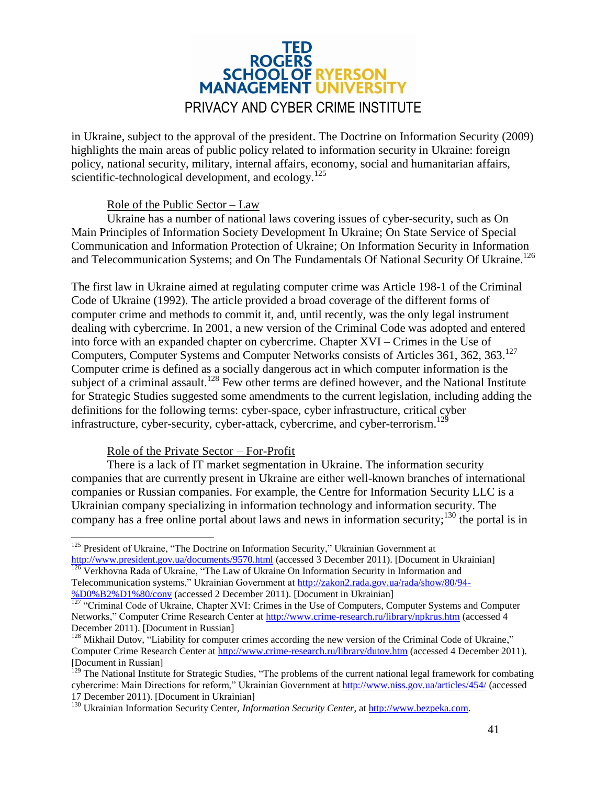# **ROGERS<br>SCHOOL OF RYERSON MANAGEMENT UNIVERSIT** PRIVACY AND CYBER CRIME INSTITUTE

in Ukraine, subject to the approval of the president. The Doctrine on Information Security (2009) highlights the main areas of public policy related to information security in Ukraine: foreign policy, national security, military, internal affairs, economy, social and humanitarian affairs, scientific-technological development, and ecology.<sup>125</sup>

#### Role of the Public Sector – Law

Ukraine has a number of national laws covering issues of cyber-security, such as On Main Principles of Information Society Development In Ukraine; On State Service of Special Communication and Information Protection of Ukraine; On Information Security in Information and Telecommunication Systems; and On The Fundamentals Of National Security Of Ukraine.<sup>126</sup>

The first law in Ukraine aimed at regulating computer crime was Article 198-1 of the Criminal Code of Ukraine (1992). The article provided a broad coverage of the different forms of computer crime and methods to commit it, and, until recently, was the only legal instrument dealing with cybercrime. In 2001, a new version of the Criminal Code was adopted and entered into force with an expanded chapter on cybercrime. Chapter XVI – Crimes in the Use of Computers, Computer Systems and Computer Networks consists of Articles 361, 362, 363.<sup>127</sup> Computer crime is defined as a socially dangerous act in which computer information is the subject of a criminal assault.<sup>128</sup> Few other terms are defined however, and the National Institute for Strategic Studies suggested some amendments to the current legislation, including adding the definitions for the following terms: cyber-space, cyber infrastructure, critical cyber infrastructure, cyber-security, cyber-attack, cybercrime, and cyber-terrorism.<sup>129</sup>

#### Role of the Private Sector – For-Profit

There is a lack of IT market segmentation in Ukraine. The information security companies that are currently present in Ukraine are either well-known branches of international companies or Russian companies. For example, the Centre for Information Security LLC is a Ukrainian company specializing in information technology and information security. The company has a free online portal about laws and news in information security;  $130$  the portal is in

 $\overline{a}$ <sup>125</sup> President of Ukraine, "The Doctrine on Information Security," Ukrainian Government at <http://www.president.gov.ua/documents/9570.html> (accessed 3 December 2011). [Document in Ukrainian] 126 Verkhovna Rada of Ukraine, "The Law of Ukraine On Information Security in Information and

Telecommunication systems," Ukrainian Government at [http://zakon2.rada.gov.ua/rada/show/80/94-](http://zakon2.rada.gov.ua/rada/show/80/94-%D0%B2%D1%80/conv) [%D0%B2%D1%80/conv](http://zakon2.rada.gov.ua/rada/show/80/94-%D0%B2%D1%80/conv) (accessed 2 December 2011). [Document in Ukrainian]

 $\frac{127}{127}$  "Criminal Code of Ukraine, Chapter XVI: Crimes in the Use of Computers, Computer Systems and Computer Networks," Computer Crime Research Center at <http://www.crime-research.ru/library/npkrus.htm> (accessed 4 December 2011). [Document in Russian]

<sup>&</sup>lt;sup>128</sup> Mikhail Dutov, "Liability for computer crimes according the new version of the Criminal Code of Ukraine," Computer Crime Research Center at <http://www.crime-research.ru/library/dutov.htm> (accessed 4 December 2011). [Document in Russian]

 $^{129}$  The National Institute for Strategic Studies, "The problems of the current national legal framework for combating cybercrime: Main Directions for reform," Ukrainian Government at <http://www.niss.gov.ua/articles/454/> (accessed 17 December 2011). [Document in Ukrainian]

<sup>130</sup> Ukrainian Information Security Center, *Information Security Center*, at [http://www.bezpeka.com.](http://www.bezpeka.com/)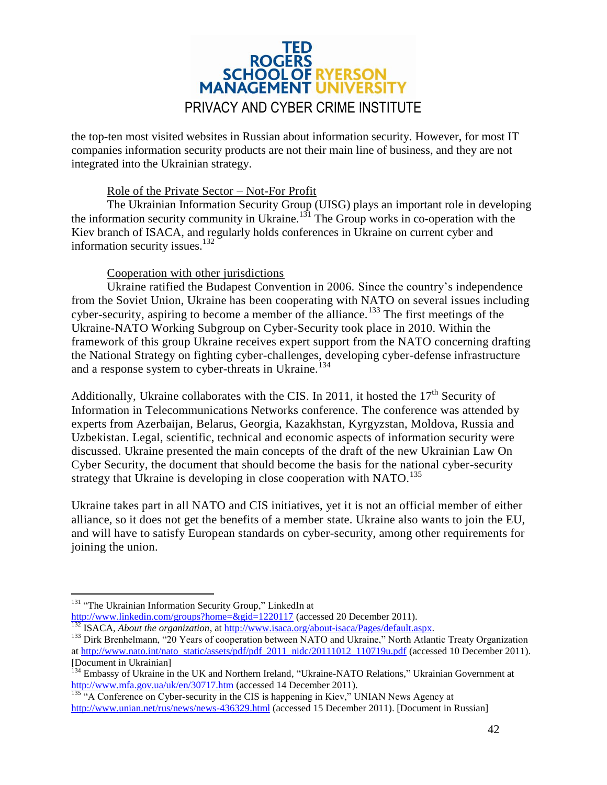

the top-ten most visited websites in Russian about information security. However, for most IT companies information security products are not their main line of business, and they are not integrated into the Ukrainian strategy.

#### Role of the Private Sector – Not-For Profit

The Ukrainian Information Security Group (UISG) plays an important role in developing the information security community in Ukraine.<sup>131</sup> The Group works in co-operation with the Kiev branch of ISACA, and regularly holds conferences in Ukraine on current cyber and information security issues.<sup>132</sup>

#### Cooperation with other jurisdictions

Ukraine ratified the Budapest Convention in 2006. Since the country's independence from the Soviet Union, Ukraine has been cooperating with NATO on several issues including cyber-security, aspiring to become a member of the alliance.<sup>133</sup> The first meetings of the Ukraine-NATO Working Subgroup on Cyber-Security took place in 2010. Within the framework of this group Ukraine receives expert support from the NATO concerning drafting the National Strategy on fighting cyber-challenges, developing cyber-defense infrastructure and a response system to cyber-threats in Ukraine.<sup>134</sup>

Additionally, Ukraine collaborates with the CIS. In 2011, it hosted the  $17<sup>th</sup>$  Security of Information in Telecommunications Networks conference. The conference was attended by experts from Azerbaijan, Belarus, Georgia, Kazakhstan, Kyrgyzstan, Moldova, Russia and Uzbekistan. Legal, scientific, technical and economic aspects of information security were discussed. Ukraine presented the main concepts of the draft of the new Ukrainian Law On Cyber Security, the document that should become the basis for the national cyber-security strategy that Ukraine is developing in close cooperation with  $NATO$ <sup>135</sup>

Ukraine takes part in all NATO and CIS initiatives, yet it is not an official member of either alliance, so it does not get the benefits of a member state. Ukraine also wants to join the EU, and will have to satisfy European standards on cyber-security, among other requirements for joining the union.

 $\overline{a}$ 

<http://www.linkedin.com/groups?home=&gid=1220117> (accessed 20 December 2011).

<sup>&</sup>lt;sup>131</sup> "The Ukrainian Information Security Group," LinkedIn at

<sup>132</sup> ISACA, *About the organization*, at [http://www.isaca.org/about-isaca/Pages/default.aspx.](http://www.isaca.org/about-isaca/Pages/default.aspx)

<sup>&</sup>lt;sup>133</sup> Dirk Brenhelmann, "20 Years of cooperation between NATO and Ukraine," North Atlantic Treaty Organization at [http://www.nato.int/nato\\_static/assets/pdf/pdf\\_2011\\_nidc/20111012\\_110719u.pdf](http://www.nato.int/nato_static/assets/pdf/pdf_2011_nidc/20111012_110719u.pdf) (accessed 10 December 2011). [Document in Ukrainian]

<sup>&</sup>lt;sup>134</sup> Embassy of Ukraine in the UK and Northern Ireland, "Ukraine-NATO Relations," Ukrainian Government at <http://www.mfa.gov.ua/uk/en/30717.htm> (accessed 14 December 2011).

 $135$  "A Conference on Cyber-security in the CIS is happening in Kiev," UNIAN News Agency at <http://www.unian.net/rus/news/news-436329.html> (accessed 15 December 2011). [Document in Russian]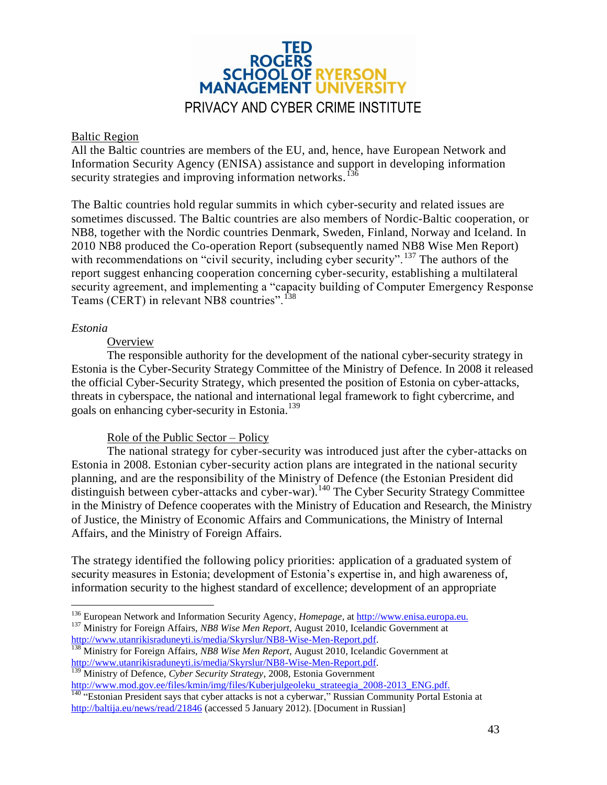

#### <span id="page-42-0"></span>Baltic Region

All the Baltic countries are members of the EU, and, hence, have European Network and Information Security Agency (ENISA) assistance and support in developing information security strategies and improving information networks.<sup>13</sup>

The Baltic countries hold regular summits in which cyber-security and related issues are sometimes discussed. The Baltic countries are also members of Nordic-Baltic cooperation, or NB8, together with the Nordic countries Denmark, Sweden, Finland, Norway and Iceland. In 2010 NB8 produced the Co-operation Report (subsequently named NB8 Wise Men Report) with recommendations on "civil security, including cyber security". <sup>137</sup> The authors of the report suggest enhancing cooperation concerning cyber-security, establishing a multilateral security agreement, and implementing a "capacity building of Computer Emergency Response Teams (CERT) in relevant NB8 countries".<sup>138</sup>

#### <span id="page-42-1"></span>*Estonia*

 $\overline{a}$ 

#### **Overview**

The responsible authority for the development of the national cyber-security strategy in Estonia is the Cyber-Security Strategy Committee of the Ministry of Defence. In 2008 it released the official Cyber-Security Strategy, which presented the position of Estonia on cyber-attacks, threats in cyberspace, the national and international legal framework to fight cybercrime, and goals on enhancing cyber-security in Estonia.<sup>139</sup>

#### Role of the Public Sector – Policy

The national strategy for cyber-security was introduced just after the cyber-attacks on Estonia in 2008. Estonian cyber-security action plans are integrated in the national security planning, and are the responsibility of the Ministry of Defence (the Estonian President did distinguish between cyber-attacks and cyber-war).<sup>140</sup> The Cyber Security Strategy Committee in the Ministry of Defence cooperates with the Ministry of Education and Research, the Ministry of Justice, the Ministry of Economic Affairs and Communications, the Ministry of Internal Affairs, and the Ministry of Foreign Affairs.

The strategy identified the following policy priorities: application of a graduated system of security measures in Estonia; development of Estonia's expertise in, and high awareness of, information security to the highest standard of excellence; development of an appropriate

<sup>136</sup> European Network and Information Security Agency, *Homepage*, at [http://www.enisa.europa.eu.](http://www.enisa.europa.eu/)

<sup>137</sup> Ministry for Foreign Affairs, *NB8 Wise Men Report*, August 2010, Icelandic Government at [http://www.utanrikisraduneyti.is/media/Skyrslur/NB8-Wise-Men-Report.pdf.](http://www.utanrikisraduneyti.is/media/Skyrslur/NB8-Wise-Men-Report.pdf)

<sup>138</sup> Ministry for Foreign Affairs, *NB8 Wise Men Report*, August 2010, Icelandic Government at [http://www.utanrikisraduneyti.is/media/Skyrslur/NB8-Wise-Men-Report.pdf.](http://www.utanrikisraduneyti.is/media/Skyrslur/NB8-Wise-Men-Report.pdf)

<sup>139</sup> Minis[t](../../../../AppData/Local/Microsoft/Windows/Temporary%20Internet%20Files/Content.Outlook/OHD1IP70/%20http:/--www.mod.gov.ee-files-kmin-img-files-Kuberjulgeoleku_strateegia_2008-2013_ENG.pdf)ry of Defence, *Cyber Security Strategy*, 2008, Estonia Government [http://www.mod.gov.ee/files/kmin/img/files/Kuberjulgeoleku\\_strateegia\\_2008-2013\\_ENG.pdf.](../../../../AppData/Local/Microsoft/Windows/Temporary%20Internet%20Files/Content.Outlook/OHD1IP70/%20http:/--www.mod.gov.ee-files-kmin-img-files-Kuberjulgeoleku_strateegia_2008-2013_ENG.pdf)

<sup>&</sup>lt;sup>140</sup> "Estonian President says that cyber attacks is not a cyberwar," Russian Community Portal Estonia at <http://baltija.eu/news/read/21846> (accessed 5 January 2012). [Document in Russian]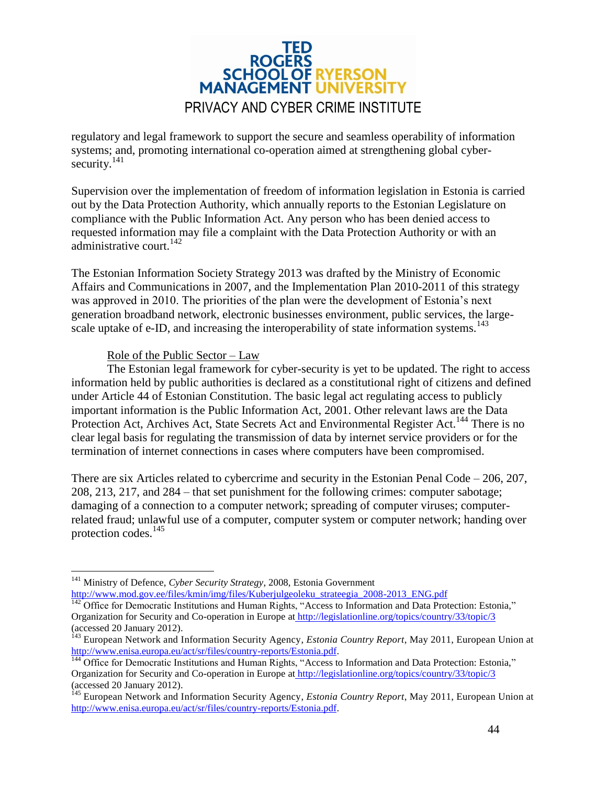

regulatory and legal framework to support the secure and seamless operability of information systems; and, promoting international co-operation aimed at strengthening global cybersecurity.<sup>141</sup>

Supervision over the implementation of freedom of information legislation in Estonia is carried out by the Data Protection Authority, which annually reports to the Estonian Legislature on compliance with the Public Information Act. Any person who has been denied access to requested information may file a complaint with the Data Protection Authority or with an administrative court.<sup>142</sup>

The Estonian Information Society Strategy 2013 was drafted by the Ministry of Economic Affairs and Communications in 2007, and the Implementation Plan 2010-2011 of this strategy was approved in 2010. The priorities of the plan were the development of Estonia's next generation broadband network, electronic businesses environment, public services, the largescale uptake of e-ID, and increasing the interoperability of state information systems.<sup>143</sup>

#### Role of the Public Sector – Law

 $\overline{a}$ 

The Estonian legal framework for cyber-security is yet to be updated. The right to access information held by public authorities is declared as a constitutional right of citizens and defined under Article 44 of Estonian Constitution. The basic legal act regulating access to publicly important information is the Public Information Act, 2001. Other relevant laws are the Data Protection Act, Archives Act, State Secrets Act and Environmental Register Act.<sup>144</sup> There is no clear legal basis for regulating the transmission of data by internet service providers or for the termination of internet connections in cases where computers have been compromised.

There are six Articles related to cybercrime and security in the Estonian Penal Code – 206, 207, 208, 213, 217, and 284 – that set punishment for the following crimes: computer sabotage; damaging of a connection to a computer network; spreading of computer viruses; computerrelated fraud; unlawful use of a computer, computer system or computer network; handing over protection codes.<sup>145</sup>

<sup>141</sup> Ministry of Defence, *Cyber Security Strategy*, 2008, Estonia Governmen[t](../../../../AppData/Local/Microsoft/Windows/Temporary%20Internet%20Files/Content.Outlook/OHD1IP70/%20http:/--www.mod.gov.ee-files-kmin-img-files-Kuberjulgeoleku_strateegia_2008-2013_ENG.pdf) [http://www.mod.gov.ee/files/kmin/img/files/Kuberjulgeoleku\\_strateegia\\_2008-2013\\_ENG.pdf](../../../../AppData/Local/Microsoft/Windows/Temporary%20Internet%20Files/Content.Outlook/OHD1IP70/%20http:/--www.mod.gov.ee-files-kmin-img-files-Kuberjulgeoleku_strateegia_2008-2013_ENG.pdf)

<sup>&</sup>lt;sup>142</sup> Office for Democratic Institutions and Human Rights, "Access to Information and Data Protection: Estonia," Organization for Security and Co-operation in Europe at [http://legislationline.org/topics/country/33/topic/3](../../../../AppData/Local/Microsoft/Windows/Temporary%20Internet%20Files/Content.Outlook/OHD1IP70/%20http:/--legislationline.org-topics-country-33-topic-3) (accessed 20 January 2012).

<sup>143</sup> European Network and Information Security Agency, *Estonia Country Report*, May 2011, European Union at [http://www.enisa.europa.eu/act/sr/files/country-reports/Estonia.pdf.](http://www.enisa.europa.eu/act/sr/files/country-reports/Estonia.pdf)

<sup>&</sup>lt;sup>144</sup> Office for Democratic Institutions and Human Rights, "Access to Information and Data Protection: Estonia," Organization for Security and Co-operation in Europe at [http://legislationline.org/topics/country/33/topic/3](../../../../AppData/Local/Microsoft/Windows/Temporary%20Internet%20Files/Content.Outlook/OHD1IP70/%20http:/--legislationline.org-topics-country-33-topic-3) (accessed 20 January 2012).

<sup>145</sup> European Network and Information Security Agency, *Estonia Country Report*, May 2011, European Union at [http://www.enisa.europa.eu/act/sr/files/country-reports/Estonia.pdf.](http://www.enisa.europa.eu/act/sr/files/country-reports/Estonia.pdf)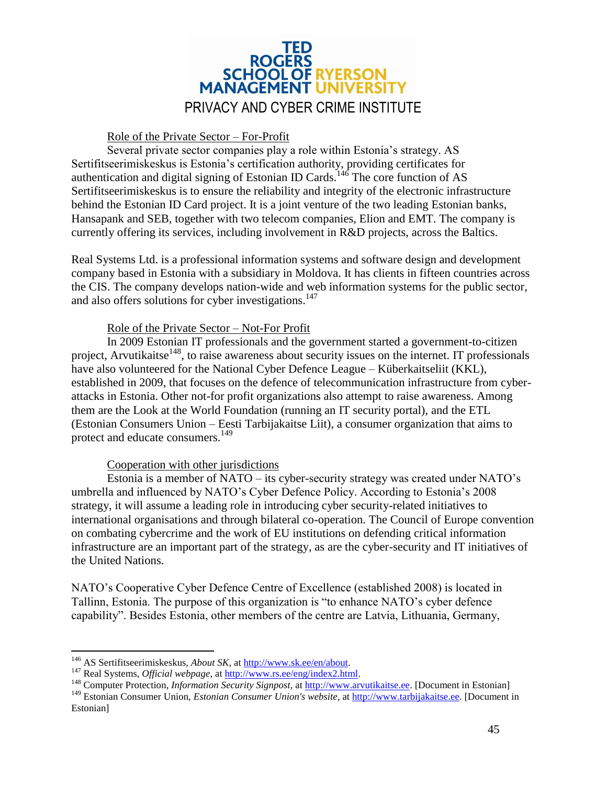

#### Role of the Private Sector – For-Profit

Several private sector companies play a role within Estonia's strategy. AS Sertifitseerimiskeskus is Estonia's certification authority, providing certificates for authentication and digital signing of Estonian ID Cards.<sup>146</sup> The core function of AS Sertifitseerimiskeskus is to ensure the reliability and integrity of the electronic infrastructure behind the Estonian ID Card project. It is a joint venture of the two leading Estonian banks, Hansapank and SEB, together with two telecom companies, Elion and EMT. The company is currently offering its services, including involvement in R&D projects, across the Baltics.

Real Systems Ltd. is a professional information systems and software design and development company based in Estonia with a subsidiary in Moldova. It has clients in fifteen countries across the CIS. The company develops nation-wide and web information systems for the public sector, and also offers solutions for cyber investigations. 147

#### Role of the Private Sector – Not-For Profit

In 2009 Estonian IT professionals and the government started a government-to-citizen project, Arvutikaitse<sup>148</sup>, to raise awareness about security issues on the internet. IT professionals have also volunteered for the National Cyber Defence League – Küberkaitseliit (KKL), established in 2009, that focuses on the defence of telecommunication infrastructure from cyberattacks in Estonia. Other not-for profit organizations also attempt to raise awareness. Among them are the Look at the World Foundation (running an IT security portal), and the ETL (Estonian Consumers Union – Eesti Tarbijakaitse Liit), a consumer organization that aims to protect and educate consumers.<sup>149</sup>

#### Cooperation with other jurisdictions

Estonia is a member of NATO – its cyber-security strategy was created under NATO's umbrella and influenced by NATO's Cyber Defence Policy. According to Estonia's 2008 strategy, it will assume a leading role in introducing cyber security-related initiatives to international organisations and through bilateral co-operation. The Council of Europe convention on combating cybercrime and the work of EU institutions on defending critical information infrastructure are an important part of the strategy, as are the cyber-security and IT initiatives of the United Nations.

NATO's Cooperative Cyber Defence Centre of Excellence (established 2008) is located in Tallinn, Estonia. The purpose of this organization is "to enhance NATO's cyber defence capability". Besides Estonia, other members of the centre are Latvia, Lithuania, Germany,

 $\overline{a}$ 

<sup>146</sup> AS Sertifitseerimiskeskus, *About SK*, at [http://www.sk.ee/en/about.](http://www.sk.ee/en/about)

<sup>&</sup>lt;sup>147</sup> Real Systems, *Official webpage*, at [http://www.rs.ee/eng/index2.html.](http://www.rs.ee/eng/index2.html)

<sup>148</sup> Computer Protection, *Information Security Signpost*, at [http://www.arvutikaitse.ee.](http://www.arvutikaitse.ee/) [Document in Estonian]

<sup>&</sup>lt;sup>149</sup> Estonian Consumer Union, *Estonian Consumer Union's website*, at [http://www.tarbijakaitse.ee.](http://www.tarbijakaitse.ee/) [Document in Estonian]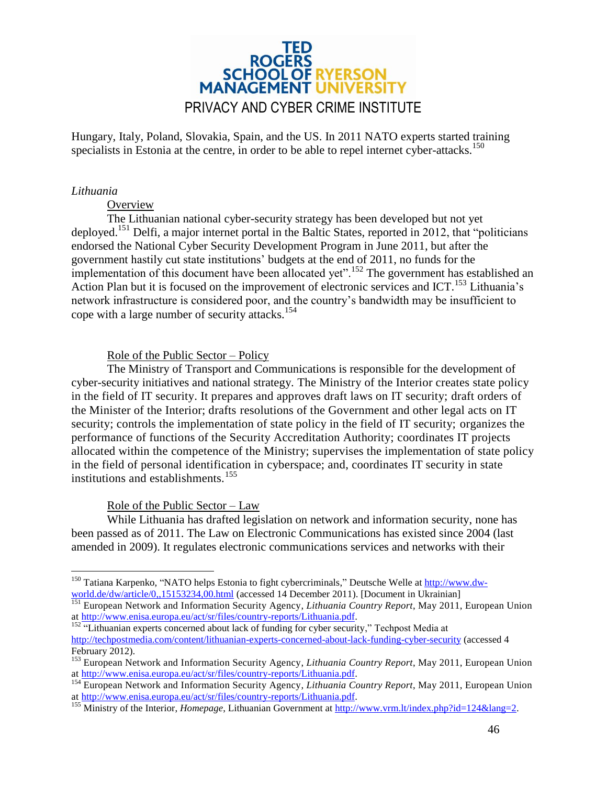

Hungary, Italy, Poland, Slovakia, Spain, and the US. In 2011 NATO experts started training specialists in Estonia at the centre, in order to be able to repel internet cyber-attacks.<sup>150</sup>

#### <span id="page-45-0"></span>*Lithuania*

#### **Overview**

The Lithuanian national cyber-security strategy has been developed but not yet deployed.<sup>151</sup> Delfi, a major internet portal in the Baltic States, reported in 2012, that "politicians" endorsed the National Cyber Security Development Program in June 2011, but after the government hastily cut state institutions' budgets at the end of 2011, no funds for the implementation of this document have been allocated yet".<sup>152</sup> The government has established an Action Plan but it is focused on the improvement of electronic services and ICT.<sup>153</sup> Lithuania's network infrastructure is considered poor, and the country's bandwidth may be insufficient to cope with a large number of security attacks.<sup>154</sup>

#### Role of the Public Sector – Policy

The Ministry of Transport and Communications is responsible for the development of cyber-security initiatives and national strategy. The Ministry of the Interior creates state policy in the field of IT security. It prepares and approves draft laws on IT security; draft orders of the Minister of the Interior; drafts resolutions of the Government and other legal acts on IT security; controls the implementation of state policy in the field of IT security; organizes the performance of functions of the Security Accreditation Authority; coordinates IT projects allocated within the competence of the Ministry; supervises the implementation of state policy in the field of personal identification in cyberspace; and, coordinates IT security in state institutions and establishments.<sup>155</sup>

#### Role of the Public Sector – Law

While Lithuania has drafted legislation on network and information security, none has been passed as of 2011. The Law on Electronic Communications has existed since 2004 (last amended in 2009). It regulates electronic communications services and networks with their

 $\overline{a}$ <sup>150</sup> Tatiana Karpenko, "NATO helps Estonia to fight cybercriminals," Deutsche Welle at [http://www.dw](http://www.dw-world.de/dw/article/0,,15153234,00.html)[world.de/dw/article/0,,15153234,00.html](http://www.dw-world.de/dw/article/0,,15153234,00.html) (accessed 14 December 2011). [Document in Ukrainian]

<sup>151</sup> European Network and Information Security Agency, *Lithuania Country Report*, May 2011, European Union at [http://www.enisa.europa.eu/act/sr/files/country-reports/Lithuania.pdf.](http://www.enisa.europa.eu/act/sr/files/country-reports/Lithuania.pdf)

 $152$  "Lithuanian experts concerned about lack of funding for cyber security," Techpost Media at <http://techpostmedia.com/content/lithuanian-experts-concerned-about-lack-funding-cyber-security> (accessed 4 February 2012).

<sup>153</sup> European Network and Information Security Agency, *Lithuania Country Report*, May 2011, European Union at [http://www.enisa.europa.eu/act/sr/files/country-reports/Lithuania.pdf.](http://www.enisa.europa.eu/act/sr/files/country-reports/Lithuania.pdf)

<sup>154</sup> European Network and Information Security Agency, *Lithuania Country Report*, May 2011, European Union at [http://www.enisa.europa.eu/act/sr/files/country-reports/Lithuania.pdf.](http://www.enisa.europa.eu/act/sr/files/country-reports/Lithuania.pdf)

<sup>155</sup> Ministry of the Interior, *Homepage*, Lithuanian Government at [http://www.vrm.lt/index.php?id=124&lang=2.](http://www.vrm.lt/index.php?id=124&lang=2)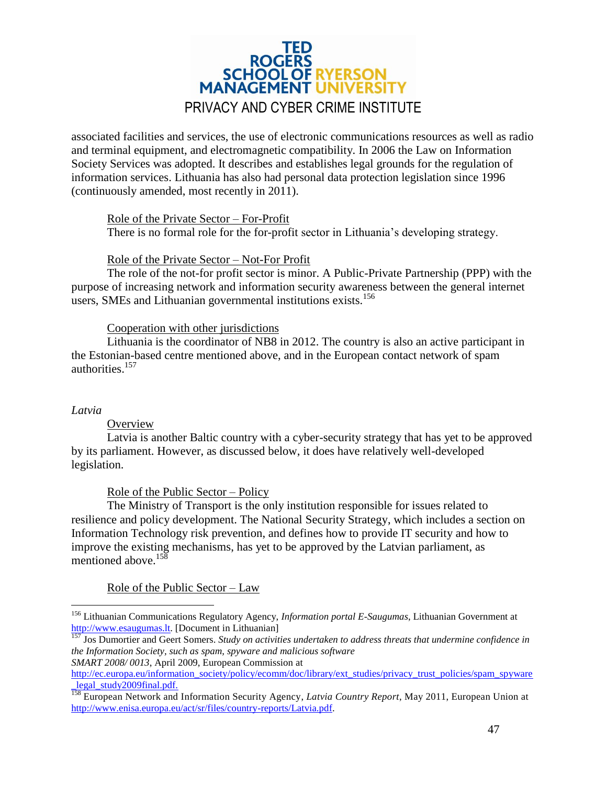

associated facilities and services, the use of electronic communications resources as well as radio and terminal equipment, and electromagnetic compatibility. In 2006 the Law on Information Society Services was adopted. It describes and establishes legal grounds for the regulation of information services. Lithuania has also had personal data protection legislation since 1996 (continuously amended, most recently in 2011).

Role of the Private Sector – For-Profit

There is no formal role for the for-profit sector in Lithuania's developing strategy.

#### Role of the Private Sector – Not-For Profit

The role of the not-for profit sector is minor. A Public-Private Partnership (PPP) with the purpose of increasing network and information security awareness between the general internet users, SMEs and Lithuanian governmental institutions exists.<sup>156</sup>

#### Cooperation with other jurisdictions

Lithuania is the coordinator of NB8 in 2012. The country is also an active participant in the Estonian-based centre mentioned above, and in the European contact network of spam authorities. 157

#### <span id="page-46-0"></span>*Latvia*

 $\overline{a}$ 

#### **Overview**

Latvia is another Baltic country with a cyber-security strategy that has yet to be approved by its parliament. However, as discussed below, it does have relatively well-developed legislation.

#### Role of the Public Sector – Policy

The Ministry of Transport is the only institution responsible for issues related to resilience and policy development. The National Security Strategy, which includes a section on Information Technology risk prevention, and defines how to provide IT security and how to improve the existing mechanisms, has yet to be approved by the Latvian parliament, as mentioned above.<sup>158</sup>

#### Role of the Public Sector – Law

<sup>156</sup> Lithuanian Communications Regulatory Agency, *Information portal E-Saugumas*, Lithuanian Government at [http://www.esaugumas.lt.](http://www.esaugumas.lt/) [Document in Lithuanian]

<sup>157</sup> Jos Dumortier and Geert Somers. *Study on activities undertaken to address threats that undermine confidence in the Information Society, such as spam, spyware and malicious software SMART 2008/ 0013*, April 2009, European Commission at

[http://ec.europa.eu/information\\_society/policy/ecomm/doc/library/ext\\_studies/privacy\\_trust\\_policies/spam\\_spyware](http://ec.europa.eu/information_society/policy/ecomm/doc/library/ext_studies/privacy_trust_policies/spam_spyware_legal_study2009final.pdf) legal\_study2009final.pdf.

<sup>158</sup> European Network and Information Security Agency, *Latvia Country Report*, May 2011, European Union at [http://www.enisa.europa.eu/act/sr/files/country-reports/Latvia.pdf.](http://www.enisa.europa.eu/act/sr/files/country-reports/Latvia.pdf)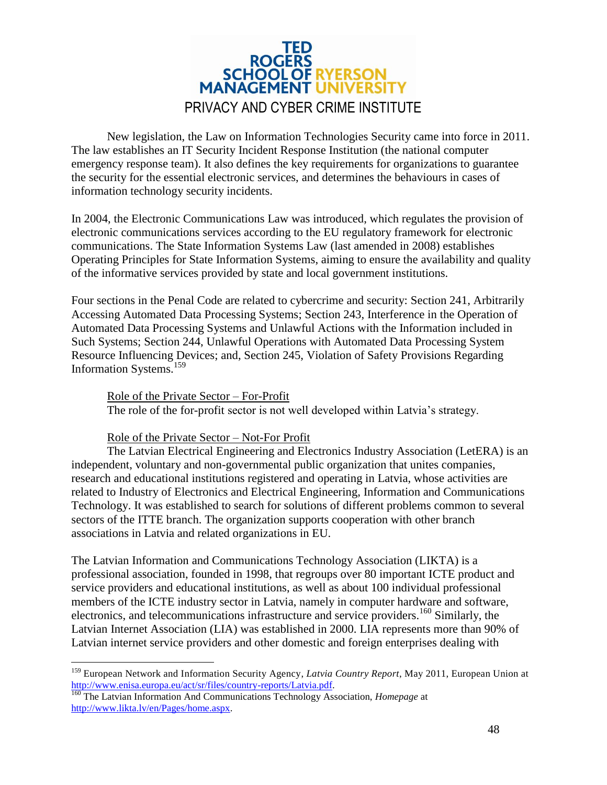

New legislation, the Law on Information Technologies Security came into force in 2011. The law establishes an IT Security Incident Response Institution (the national computer emergency response team). It also defines the key requirements for organizations to guarantee the security for the essential electronic services, and determines the behaviours in cases of information technology security incidents.

In 2004, the Electronic Communications Law was introduced, which regulates the provision of electronic communications services according to the EU regulatory framework for electronic communications. The State Information Systems Law (last amended in 2008) establishes Operating Principles for State Information Systems, aiming to ensure the availability and quality of the informative services provided by state and local government institutions.

Four sections in the Penal Code are related to cybercrime and security: Section 241, Arbitrarily Accessing Automated Data Processing Systems; Section 243, Interference in the Operation of Automated Data Processing Systems and Unlawful Actions with the Information included in Such Systems; Section 244, Unlawful Operations with Automated Data Processing System Resource Influencing Devices; and, Section 245, Violation of Safety Provisions Regarding Information Systems.<sup>159</sup>

Role of the Private Sector – For-Profit The role of the for-profit sector is not well developed within Latvia's strategy.

Role of the Private Sector – Not-For Profit

 $\overline{a}$ 

The Latvian Electrical Engineering and Electronics Industry Association (LetERA) is an independent, voluntary and non-governmental public organization that unites companies, research and educational institutions registered and operating in Latvia, whose activities are related to Industry of Electronics and Electrical Engineering, Information and Communications Technology. It was established to search for solutions of different problems common to several sectors of the ITTE branch. The organization supports cooperation with other branch associations in Latvia and related organizations in EU.

The Latvian Information and Communications Technology Association (LIKTA) is a professional association, founded in 1998, that regroups over 80 important ICTE product and service providers and educational institutions, as well as about 100 individual professional members of the ICTE industry sector in Latvia, namely in computer hardware and software, electronics, and telecommunications infrastructure and service providers.<sup>160</sup> Similarly, the Latvian Internet Association (LIA) was established in 2000. LIA represents more than 90% of Latvian internet service providers and other domestic and foreign enterprises dealing with

<sup>159</sup> European Network and Information Security Agency, *Latvia Country Report*, May 2011, European Union at [http://www.enisa.europa.eu/act/sr/files/country-reports/Latvia.pdf.](http://www.enisa.europa.eu/act/sr/files/country-reports/Latvia.pdf)

<sup>160</sup> The Latvian Information And Communications Technology Association, *Homepage* at [http://www.likta.lv/en/Pages/home.aspx.](http://www.likta.lv/en/Pages/home.aspx)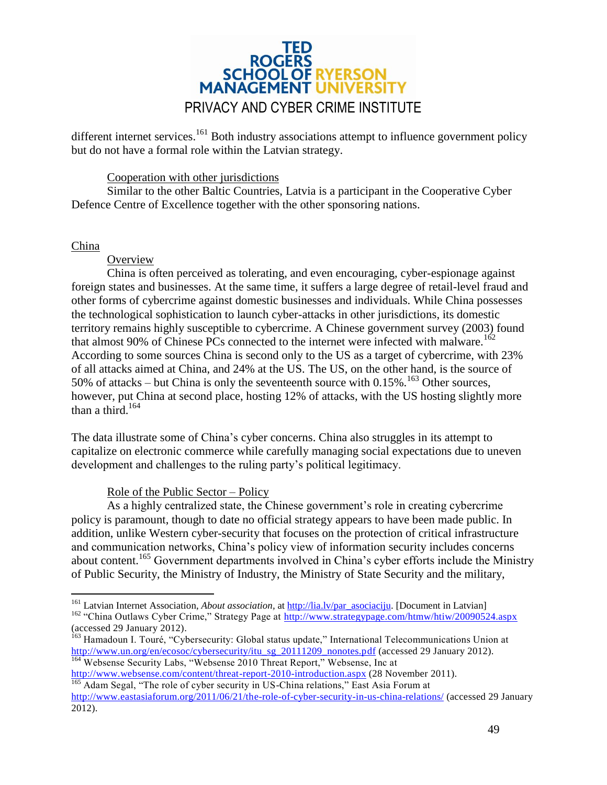# ROGERS<br>SCHOOL OF RYERSON **MANAGEMENT UNIVERSIT** PRIVACY AND CYBER CRIME INSTITUTE

different internet services.<sup>161</sup> Both industry associations attempt to influence government policy but do not have a formal role within the Latvian strategy.

#### Cooperation with other jurisdictions

Similar to the other Baltic Countries, Latvia is a participant in the Cooperative Cyber Defence Centre of Excellence together with the other sponsoring nations.

#### <span id="page-48-0"></span>China

#### **Overview**

China is often perceived as tolerating, and even encouraging, cyber-espionage against foreign states and businesses. At the same time, it suffers a large degree of retail-level fraud and other forms of cybercrime against domestic businesses and individuals. While China possesses the technological sophistication to launch cyber-attacks in other jurisdictions, its domestic territory remains highly susceptible to cybercrime. A Chinese government survey (2003) found that almost 90% of Chinese PCs connected to the internet were infected with malware.<sup>162</sup> According to some sources China is second only to the US as a target of cybercrime, with 23% of all attacks aimed at China, and 24% at the US. The US, on the other hand, is the source of 50% of attacks – but China is only the seventeenth source with  $0.15\%$ .<sup>163</sup> Other sources, however, put China at second place, hosting 12% of attacks, with the US hosting slightly more than a third.<sup>164</sup>

The data illustrate some of China's cyber concerns. China also struggles in its attempt to capitalize on electronic commerce while carefully managing social expectations due to uneven development and challenges to the ruling party's political legitimacy.

#### Role of the Public Sector – Policy

As a highly centralized state, the Chinese government's role in creating cybercrime policy is paramount, though to date no official strategy appears to have been made public. In addition, unlike Western cyber-security that focuses on the protection of critical infrastructure and communication networks, China's policy view of information security includes concerns about content.<sup>165</sup> Government departments involved in China's cyber efforts include the Ministry of Public Security, the Ministry of Industry, the Ministry of State Security and the military,

 $\overline{a}$ <sup>161</sup> Latvian Internet Association, *About association*, at [http://lia.lv/par\\_asociaciju.](http://lia.lv/par_asociaciju) [Document in Latvian]

<sup>&</sup>lt;sup>162</sup> "China Outlaws Cyber Crime," Strategy Page at<http://www.strategypage.com/htmw/htiw/20090524.aspx> (accessed 29 January 2012).

<sup>&</sup>lt;sup>163</sup> Hamadoun I. Touré, "Cybersecurity: Global status update," International Telecommunications Union at [http://www.un.org/en/ecosoc/cybersecurity/itu\\_sg\\_20111209\\_nonotes.pdf](http://www.un.org/en/ecosoc/cybersecurity/itu_sg_20111209_nonotes.pdf) (accessed 29 January 2012). <sup>164</sup> Websense Security Labs, "Websense 2010 Threat Report," Websense, Inc at

<http://www.websense.com/content/threat-report-2010-introduction.aspx> (28 November 2011). <sup>165</sup> Adam Segal, "The role of cyber security in US-China relations," East Asia Forum at

<http://www.eastasiaforum.org/2011/06/21/the-role-of-cyber-security-in-us-china-relations/> (accessed 29 January 2012).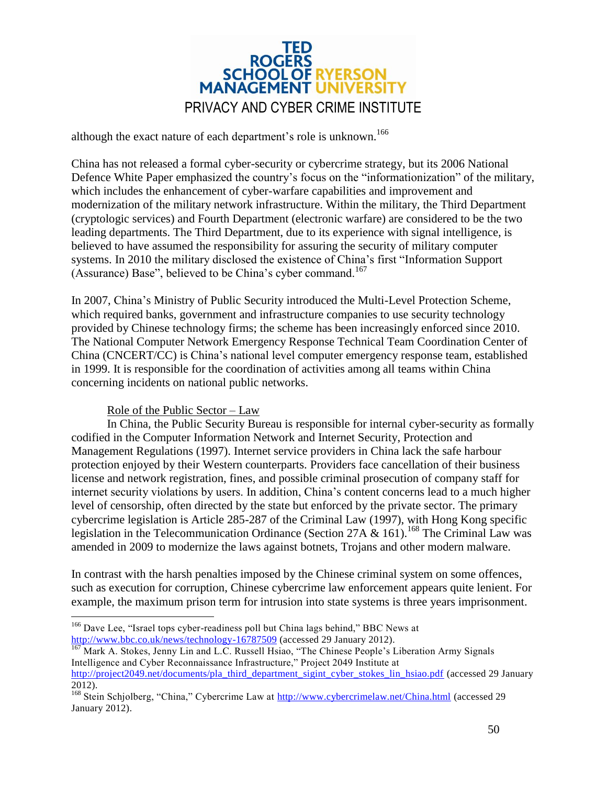

although the exact nature of each department's role is unknown.<sup>166</sup>

China has not released a formal cyber-security or cybercrime strategy, but its 2006 National Defence White Paper emphasized the country's focus on the "informationization" of the military, which includes the enhancement of cyber-warfare capabilities and improvement and modernization of the military network infrastructure. Within the military, the Third Department (cryptologic services) and Fourth Department (electronic warfare) are considered to be the two leading departments. The Third Department, due to its experience with signal intelligence, is believed to have assumed the responsibility for assuring the security of military computer systems. In 2010 the military disclosed the existence of China's first "Information Support (Assurance) Base", believed to be China's cyber command.<sup>167</sup>

In 2007, China's Ministry of Public Security introduced the Multi-Level Protection Scheme, which required banks, government and infrastructure companies to use security technology provided by Chinese technology firms; the scheme has been increasingly enforced since 2010. The National Computer Network Emergency Response Technical Team Coordination Center of China (CNCERT/CC) is China's national level computer emergency response team, established in 1999. It is responsible for the coordination of activities among all teams within China concerning incidents on national public networks.

#### Role of the Public Sector – Law

 $\overline{a}$ 

In China, the Public Security Bureau is responsible for internal cyber-security as formally codified in the Computer Information Network and Internet Security, Protection and Management Regulations (1997). Internet service providers in China lack the safe harbour protection enjoyed by their Western counterparts. Providers face cancellation of their business license and network registration, fines, and possible criminal prosecution of company staff for internet security violations by users. In addition, China's content concerns lead to a much higher level of censorship, often directed by the state but enforced by the private sector. The primary cybercrime legislation is Article 285-287 of the Criminal Law (1997), with Hong Kong specific legislation in the Telecommunication Ordinance (Section 27A & 161).<sup>168</sup> The Criminal Law was amended in 2009 to modernize the laws against botnets, Trojans and other modern malware.

In contrast with the harsh penalties imposed by the Chinese criminal system on some offences, such as execution for corruption, Chinese cybercrime law enforcement appears quite lenient. For example, the maximum prison term for intrusion into state systems is three years imprisonment.

<sup>&</sup>lt;sup>166</sup> Dave Lee, "Israel tops cyber-readiness poll but China lags behind," BBC News at <http://www.bbc.co.uk/news/technology-16787509> (accessed 29 January 2012).

Mark A. Stokes, Jenny Lin and L.C. Russell Hsiao, "The Chinese People's Liberation Army Signals Intelligence and Cyber Reconnaissance Infrastructure," Project 2049 Institute at [http://project2049.net/documents/pla\\_third\\_department\\_sigint\\_cyber\\_stokes\\_lin\\_hsiao.pdf](http://project2049.net/documents/pla_third_department_sigint_cyber_stokes_lin_hsiao.pdf) (accessed 29 January

<sup>2012).</sup>

<sup>&</sup>lt;sup>168</sup> Stein Schiolberg, "China," Cybercrime Law at<http://www.cybercrimelaw.net/China.html> (accessed 29 January 2012).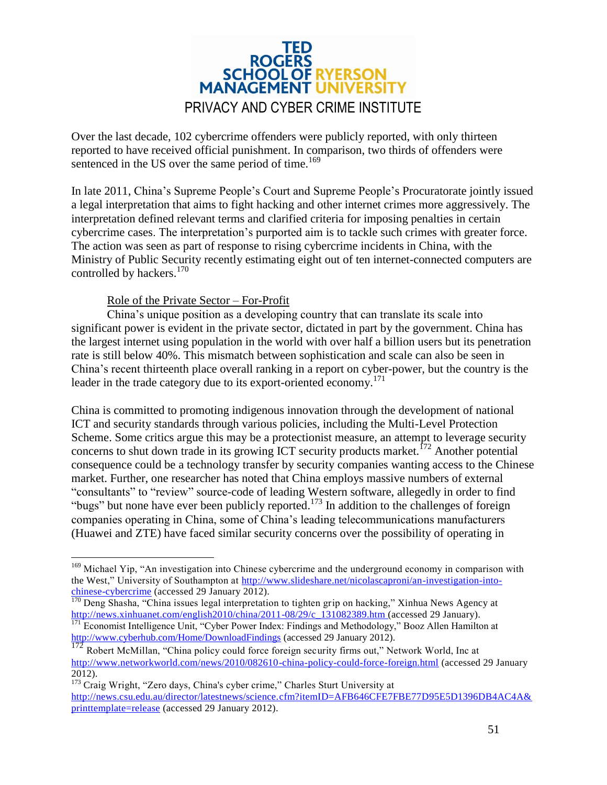

Over the last decade, 102 cybercrime offenders were publicly reported, with only thirteen reported to have received official punishment. In comparison, two thirds of offenders were sentenced in the US over the same period of time.<sup>169</sup>

In late 2011, China's Supreme People's Court and Supreme People's Procuratorate jointly issued a legal interpretation that aims to fight hacking and other internet crimes more aggressively. The interpretation defined relevant terms and clarified criteria for imposing penalties in certain cybercrime cases. The interpretation's purported aim is to tackle such crimes with greater force. The action was seen as part of response to rising cybercrime incidents in China, with the Ministry of Public Security recently estimating eight out of ten internet-connected computers are controlled by hackers.<sup>170</sup>

#### Role of the Private Sector – For-Profit

 $\overline{a}$ 

China's unique position as a developing country that can translate its scale into significant power is evident in the private sector, dictated in part by the government. China has the largest internet using population in the world with over half a billion users but its penetration rate is still below 40%. This mismatch between sophistication and scale can also be seen in China's recent thirteenth place overall ranking in a report on cyber-power, but the country is the leader in the trade category due to its export-oriented economy.<sup>171</sup>

China is committed to promoting indigenous innovation through the development of national ICT and security standards through various policies, including the Multi-Level Protection Scheme. Some critics argue this may be a protectionist measure, an attempt to leverage security concerns to shut down trade in its growing ICT security products market.<sup> $172$ </sup> Another potential consequence could be a technology transfer by security companies wanting access to the Chinese market. Further, one researcher has noted that China employs massive numbers of external "consultants" to "review" source-code of leading Western software, allegedly in order to find "bugs" but none have ever been publicly reported.<sup>173</sup> In addition to the challenges of foreign companies operating in China, some of China's leading telecommunications manufacturers (Huawei and ZTE) have faced similar security concerns over the possibility of operating in

<sup>&</sup>lt;sup>169</sup> Michael Yip, "An investigation into Chinese cybercrime and the underground economy in comparison with the West," University of Southampton at [http://www.slideshare.net/nicolascaproni/an-investigation-into](http://www.slideshare.net/nicolascaproni/an-investigation-into-chinese-cybercrime)[chinese-cybercrime](http://www.slideshare.net/nicolascaproni/an-investigation-into-chinese-cybercrime) (accessed 29 January 2012).

<sup>&</sup>lt;sup>170</sup> Deng Shasha, "China issues legal interpretation to tighten grip on hacking," Xinhua News Agency at [http://news.xinhuanet.com/english2010/china/2011-08/29/c\\_131082389.htm](http://news.xinhuanet.com/english2010/china/2011-08/29/c_131082389.htm) (accessed 29 January).

<sup>&</sup>lt;sup>171</sup> Economist Intelligence Unit, "Cyber Power Index: Findings and Methodology," Booz Allen Hamilton at <http://www.cyberhub.com/Home/DownloadFindings> (accessed 29 January 2012).

<sup>172</sup> Robert McMillan, "China policy could force foreign security firms out," Network World, Inc at <http://www.networkworld.com/news/2010/082610-china-policy-could-force-foreign.html> (accessed 29 January 2012).

<sup>&</sup>lt;sup>173</sup> Craig Wright, "Zero days, China's cyber crime," Charles Sturt University at [http://news.csu.edu.au/director/latestnews/science.cfm?itemID=AFB646CFE7FBE77D95E5D1396DB4AC4A&](http://news.csu.edu.au/director/latestnews/science.cfm?itemID=AFB646CFE7FBE77D95E5D1396DB4AC4A&printtemplate=release) [printtemplate=release](http://news.csu.edu.au/director/latestnews/science.cfm?itemID=AFB646CFE7FBE77D95E5D1396DB4AC4A&printtemplate=release) (accessed 29 January 2012).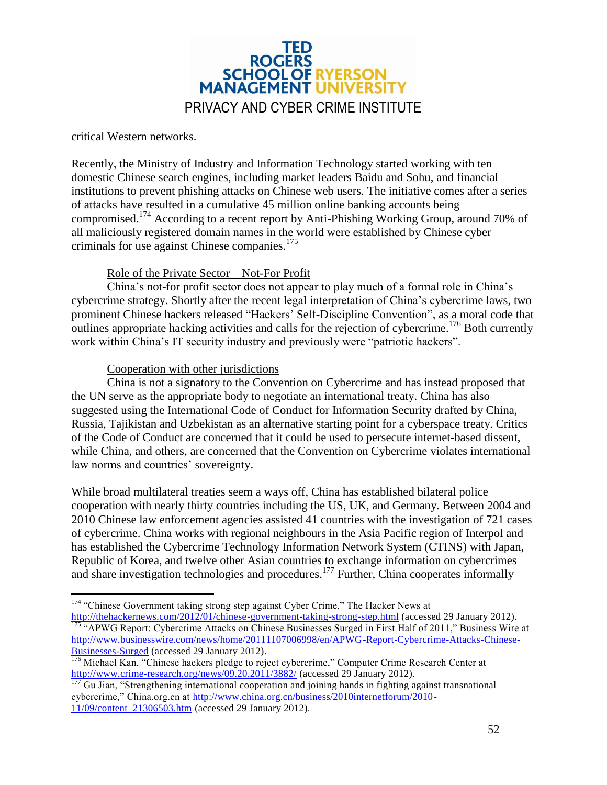

critical Western networks.

Recently, the Ministry of Industry and Information Technology started working with ten domestic Chinese search engines, including market leaders Baidu and Sohu, and financial institutions to prevent phishing attacks on Chinese web users. The initiative comes after a series of attacks have resulted in a cumulative 45 million online banking accounts being compromised.<sup>174</sup> According to a recent report by Anti-Phishing Working Group, around 70% of all maliciously registered domain names in the world were established by Chinese cyber criminals for use against Chinese companies.<sup>175</sup>

#### Role of the Private Sector – Not-For Profit

China's not-for profit sector does not appear to play much of a formal role in China's cybercrime strategy. Shortly after the recent legal interpretation of China's cybercrime laws, two prominent Chinese hackers released "Hackers' Self-Discipline Convention", as a moral code that outlines appropriate hacking activities and calls for the rejection of cybercrime.<sup>176</sup> Both currently work within China's IT security industry and previously were "patriotic hackers".

#### Cooperation with other jurisdictions

China is not a signatory to the Convention on Cybercrime and has instead proposed that the UN serve as the appropriate body to negotiate an international treaty. China has also suggested using the International Code of Conduct for Information Security drafted by China, Russia, Tajikistan and Uzbekistan as an alternative starting point for a cyberspace treaty. Critics of the Code of Conduct are concerned that it could be used to persecute internet-based dissent, while China, and others, are concerned that the Convention on Cybercrime violates international law norms and countries' sovereignty.

While broad multilateral treaties seem a ways off, China has established bilateral police cooperation with nearly thirty countries including the US, UK, and Germany. Between 2004 and 2010 Chinese law enforcement agencies assisted 41 countries with the investigation of 721 cases of cybercrime. China works with regional neighbours in the Asia Pacific region of Interpol and has established the Cybercrime Technology Information Network System (CTINS) with Japan, Republic of Korea, and twelve other Asian countries to exchange information on cybercrimes and share investigation technologies and procedures.<sup>177</sup> Further, China cooperates informally

 $\overline{a}$ <sup>174</sup> "Chinese Government taking strong step against Cyber Crime," The Hacker News at

<http://thehackernews.com/2012/01/chinese-government-taking-strong-step.html> (accessed 29 January 2012). <sup>175</sup> "APWG Report: Cybercrime Attacks on Chinese Businesses Surged in First Half of 2011," Business Wire at [http://www.businesswire.com/news/home/20111107006998/en/APWG-Report-Cybercrime-Attacks-Chinese-](http://www.businesswire.com/news/home/20111107006998/en/APWG-Report-Cybercrime-Attacks-Chinese-Businesses-Surged)[Businesses-Surged](http://www.businesswire.com/news/home/20111107006998/en/APWG-Report-Cybercrime-Attacks-Chinese-Businesses-Surged) (accessed 29 January 2012).

<sup>&</sup>lt;sup>176</sup> Michael Kan, "Chinese hackers pledge to reject cybercrime," Computer Crime Research Center at <http://www.crime-research.org/news/09.20.2011/3882/> (accessed 29 January 2012).

<sup>177</sup> Gu Jian, "Strengthening international cooperation and joining hands in fighting against transnational cybercrime," China.org.cn at [http://www.china.org.cn/business/2010internetforum/2010-](http://www.china.org.cn/business/2010internetforum/2010-11/09/content_21306503.htm) [11/09/content\\_21306503.htm](http://www.china.org.cn/business/2010internetforum/2010-11/09/content_21306503.htm) (accessed 29 January 2012).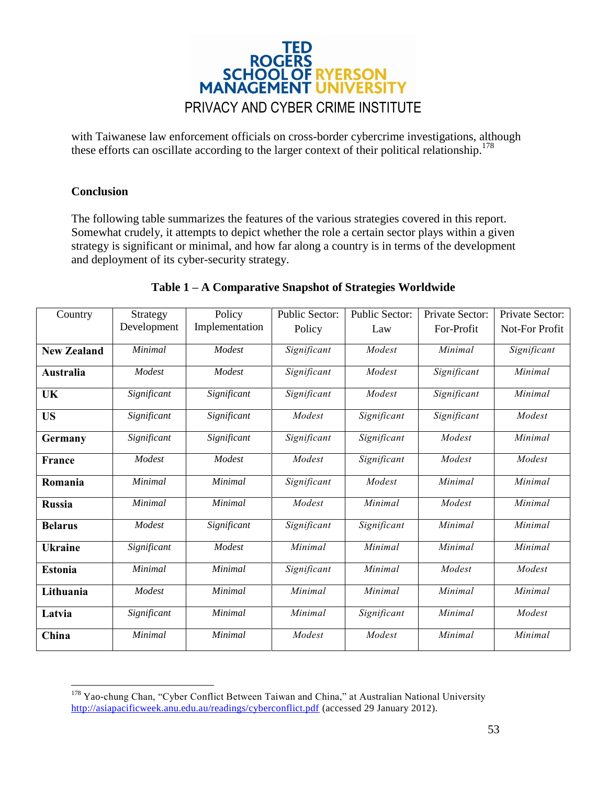

with Taiwanese law enforcement officials on cross-border cybercrime investigations, although these efforts can oscillate according to the larger context of their political relationship.<sup>178</sup>

#### <span id="page-52-0"></span>**Conclusion**

The following table summarizes the features of the various strategies covered in this report. Somewhat crudely, it attempts to depict whether the role a certain sector plays within a given strategy is significant or minimal, and how far along a country is in terms of the development and deployment of its cyber-security strategy.

| Country            | Strategy    | Policy         | <b>Public Sector:</b>    | <b>Public Sector:</b> | Private Sector: | Private Sector: |
|--------------------|-------------|----------------|--------------------------|-----------------------|-----------------|-----------------|
|                    | Development | Implementation | Policy                   | Law                   | For-Profit      | Not-For Profit  |
| <b>New Zealand</b> | Minimal     | Modest         | Significant              | Modest                | Minimal         | Significant     |
| Australia          | Modest      | Modest         | Significant              | Modest                | Significant     | Minimal         |
| UK                 | Significant | Significant    | Significant              | Modest                | Significant     | Minimal         |
| <b>US</b>          | Significant | Significant    | Modest                   | Significant           | Significant     | Modest          |
| Germany            | Significant | Significant    | Significant              | Significant           | Modest          | Minimal         |
| France             | Modest      | Modest         | Modest                   | Significant           | Modest          | Modest          |
| Romania            | Minimal     | Minimal        | Significant              | Modest                | Minimal         | Minimal         |
| <b>Russia</b>      | Minimal     | Minimal        | Modest                   | Minimal               | Modest          | Minimal         |
| <b>Belarus</b>     | Modest      | Significant    | Significant              | Significant           | Minimal         | Minimal         |
| <b>Ukraine</b>     | Significant | Modest         | Minimal                  | Minimal               | Minimal         | Minimal         |
| <b>Estonia</b>     | Minimal     | <b>Minimal</b> | $\overline{Significant}$ | Minimal               | Modest          | Modest          |
| Lithuania          | Modest      | Minimal        | Minimal                  | Minimal               | Minimal         | Minimal         |
| Latvia             | Significant | Minimal        | Minimal                  | Significant           | Minimal         | Modest          |
| China              | Minimal     | Minimal        | Modest                   | Modest                | Minimal         | Minimal         |

#### **Table 1 – A Comparative Snapshot of Strategies Worldwide**

 $\overline{a}$ <sup>178</sup> Yao-chung Chan, "Cyber Conflict Between Taiwan and China," at Australian National University <http://asiapacificweek.anu.edu.au/readings/cyberconflict.pdf> (accessed 29 January 2012).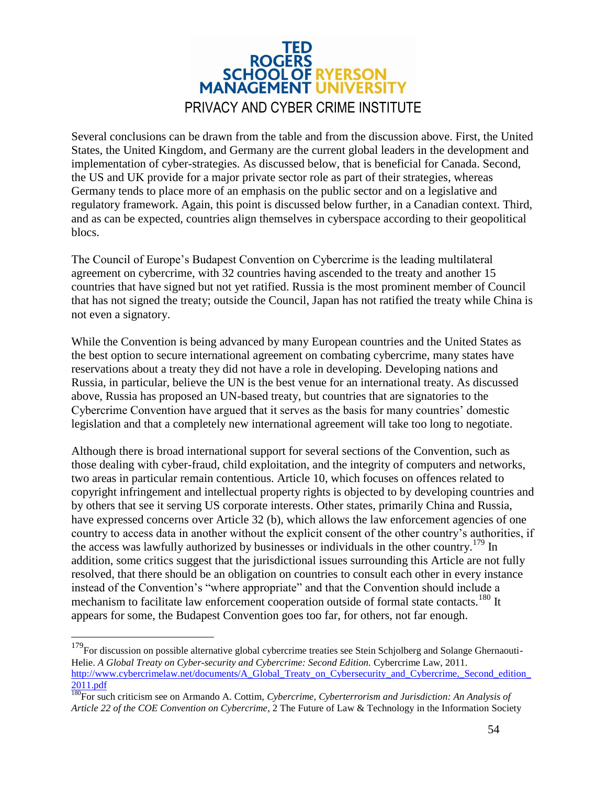

Several conclusions can be drawn from the table and from the discussion above. First, the United States, the United Kingdom, and Germany are the current global leaders in the development and implementation of cyber-strategies. As discussed below, that is beneficial for Canada. Second, the US and UK provide for a major private sector role as part of their strategies, whereas Germany tends to place more of an emphasis on the public sector and on a legislative and regulatory framework. Again, this point is discussed below further, in a Canadian context. Third, and as can be expected, countries align themselves in cyberspace according to their geopolitical blocs.

The Council of Europe's Budapest Convention on Cybercrime is the leading multilateral agreement on cybercrime, with 32 countries having ascended to the treaty and another 15 countries that have signed but not yet ratified. Russia is the most prominent member of Council that has not signed the treaty; outside the Council, Japan has not ratified the treaty while China is not even a signatory.

While the Convention is being advanced by many European countries and the United States as the best option to secure international agreement on combating cybercrime, many states have reservations about a treaty they did not have a role in developing. Developing nations and Russia, in particular, believe the UN is the best venue for an international treaty. As discussed above, Russia has proposed an UN-based treaty, but countries that are signatories to the Cybercrime Convention have argued that it serves as the basis for many countries' domestic legislation and that a completely new international agreement will take too long to negotiate.

Although there is broad international support for several sections of the Convention, such as those dealing with cyber-fraud, child exploitation, and the integrity of computers and networks, two areas in particular remain contentious. Article 10, which focuses on offences related to copyright infringement and intellectual property rights is objected to by developing countries and by others that see it serving US corporate interests. Other states, primarily China and Russia, have expressed concerns over Article 32 (b), which allows the law enforcement agencies of one country to access data in another without the explicit consent of the other country's authorities, if the access was lawfully authorized by businesses or individuals in the other country.<sup>179</sup> In addition, some critics suggest that the jurisdictional issues surrounding this Article are not fully resolved, that there should be an obligation on countries to consult each other in every instance instead of the Convention's "where appropriate" and that the Convention should include a mechanism to facilitate law enforcement cooperation outside of formal state contacts.<sup>180</sup> It appears for some, the Budapest Convention goes too far, for others, not far enough.

 $\overline{a}$ 

<sup>&</sup>lt;sup>179</sup>For discussion on possible alternative global cybercrime treaties see Stein Schjolberg and Solange Ghernaouti-Helie. *A Global Treaty on Cyber-security and Cybercrime: Second Edition.* Cybercrime Law, 2011. http://www.cybercrimelaw.net/documents/A\_Global\_Treaty\_on\_Cybersecurity\_and\_Cybercrime,\_Second\_edition [2011.pdf](http://www.cybercrimelaw.net/documents/A_Global_Treaty_on_Cybersecurity_and_Cybercrime,_Second_edition_2011.pdf)

<sup>180</sup>For such criticism see on Armando A. Cottim, *Cybercrime, Cyberterrorism and Jurisdiction: An Analysis of Article 22 of the COE Convention on Cybercrime*, 2 The Future of Law & Technology in the Information Society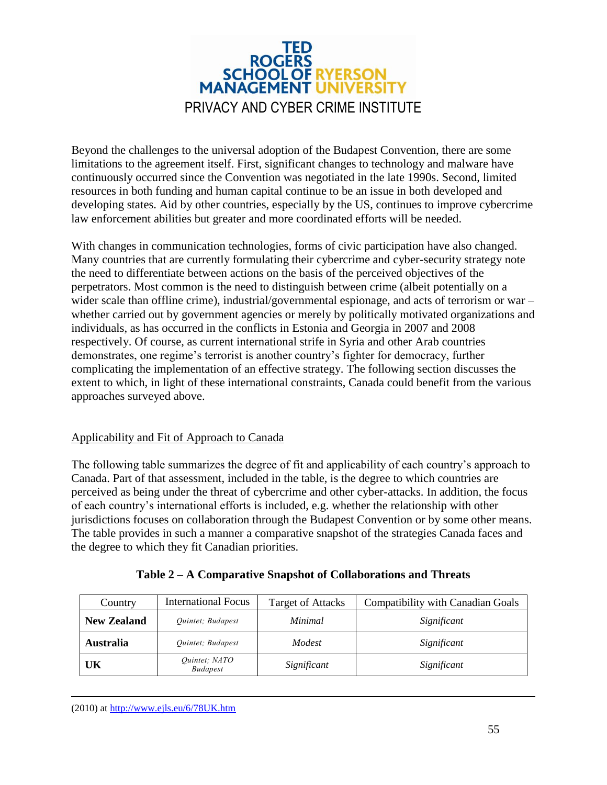

Beyond the challenges to the universal adoption of the Budapest Convention, there are some limitations to the agreement itself. First, significant changes to technology and malware have continuously occurred since the Convention was negotiated in the late 1990s. Second, limited resources in both funding and human capital continue to be an issue in both developed and developing states. Aid by other countries, especially by the US, continues to improve cybercrime law enforcement abilities but greater and more coordinated efforts will be needed.

With changes in communication technologies, forms of civic participation have also changed. Many countries that are currently formulating their cybercrime and cyber-security strategy note the need to differentiate between actions on the basis of the perceived objectives of the perpetrators. Most common is the need to distinguish between crime (albeit potentially on a wider scale than offline crime), industrial/governmental espionage, and acts of terrorism or war – whether carried out by government agencies or merely by politically motivated organizations and individuals, as has occurred in the conflicts in Estonia and Georgia in 2007 and 2008 respectively. Of course, as current international strife in Syria and other Arab countries demonstrates, one regime's terrorist is another country's fighter for democracy, further complicating the implementation of an effective strategy. The following section discusses the extent to which, in light of these international constraints, Canada could benefit from the various approaches surveyed above.

#### <span id="page-54-0"></span>Applicability and Fit of Approach to Canada

The following table summarizes the degree of fit and applicability of each country's approach to Canada. Part of that assessment, included in the table, is the degree to which countries are perceived as being under the threat of cybercrime and other cyber-attacks. In addition, the focus of each country's international efforts is included, e.g. whether the relationship with other jurisdictions focuses on collaboration through the Budapest Convention or by some other means. The table provides in such a manner a comparative snapshot of the strategies Canada faces and the degree to which they fit Canadian priorities.

| Country            | <b>International Focus</b>       | <b>Target of Attacks</b> | <b>Compatibility with Canadian Goals</b> |
|--------------------|----------------------------------|--------------------------|------------------------------------------|
| <b>New Zealand</b> | Quintet; Budapest                | Minimal                  | Significant                              |
| <b>Australia</b>   | Quintet; Budapest                | Modest                   | Significant                              |
| UK                 | Quintet; NATO<br><b>Budapest</b> | Significant              | Significant                              |

**Table 2 – A Comparative Snapshot of Collaborations and Threats**

 $\overline{a}$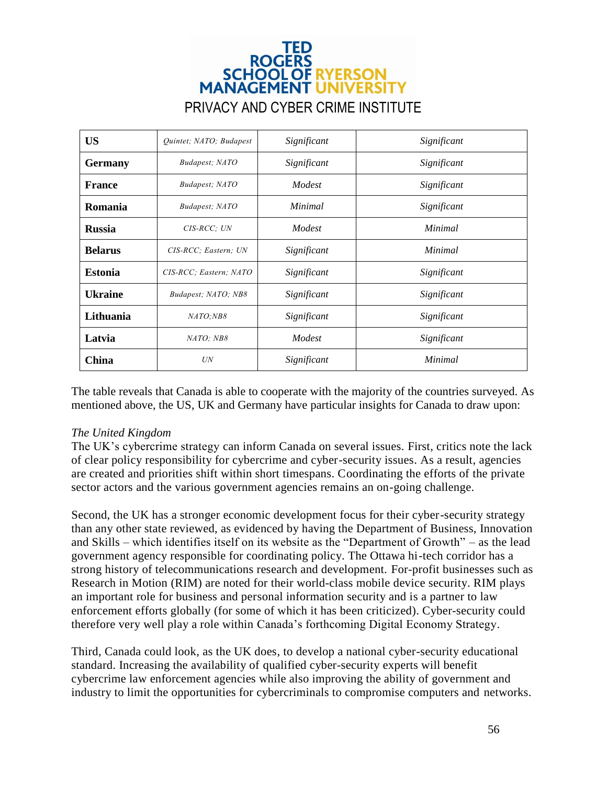### TED **ROGERS SCHOOL OF RYERSON MANAGEMENT UNIVERSIT** PRIVACY AND CYBER CRIME INSTITUTE

| <b>US</b>      | Quintet; NATO; Budapest | Significant | Significant |
|----------------|-------------------------|-------------|-------------|
| <b>Germany</b> | Budapest; NATO          | Significant | Significant |
| <b>France</b>  | Budapest; NATO          | Modest      | Significant |
| Romania        | Budapest; NATO          | Minimal     | Significant |
| <b>Russia</b>  | $CIS-RCC$ ; $UN$        | Modest      | Minimal     |
| <b>Belarus</b> | CIS-RCC; Eastern; UN    | Significant | Minimal     |
| <b>Estonia</b> | CIS-RCC; Eastern; NATO  | Significant | Significant |
| <b>Ukraine</b> | Budapest; NATO; NB8     | Significant | Significant |
| Lithuania      | NATO;NB8                | Significant | Significant |
| Latvia         | NATO: NB8               | Modest      | Significant |
| China          | UN                      | Significant | Minimal     |

The table reveals that Canada is able to cooperate with the majority of the countries surveyed. As mentioned above, the US, UK and Germany have particular insights for Canada to draw upon:

#### <span id="page-55-0"></span>*The United Kingdom*

The UK's cybercrime strategy can inform Canada on several issues. First, critics note the lack of clear policy responsibility for cybercrime and cyber-security issues. As a result, agencies are created and priorities shift within short timespans. Coordinating the efforts of the private sector actors and the various government agencies remains an on-going challenge.

Second, the UK has a stronger economic development focus for their cyber-security strategy than any other state reviewed, as evidenced by having the Department of Business, Innovation and Skills – which identifies itself on its website as the "Department of Growth" – as the lead government agency responsible for coordinating policy. The Ottawa hi-tech corridor has a strong history of telecommunications research and development. For-profit businesses such as Research in Motion (RIM) are noted for their world-class mobile device security. RIM plays an important role for business and personal information security and is a partner to law enforcement efforts globally (for some of which it has been criticized). Cyber-security could therefore very well play a role within Canada's forthcoming Digital Economy Strategy.

Third, Canada could look, as the UK does, to develop a national cyber-security educational standard. Increasing the availability of qualified cyber-security experts will benefit cybercrime law enforcement agencies while also improving the ability of government and industry to limit the opportunities for cybercriminals to compromise computers and networks.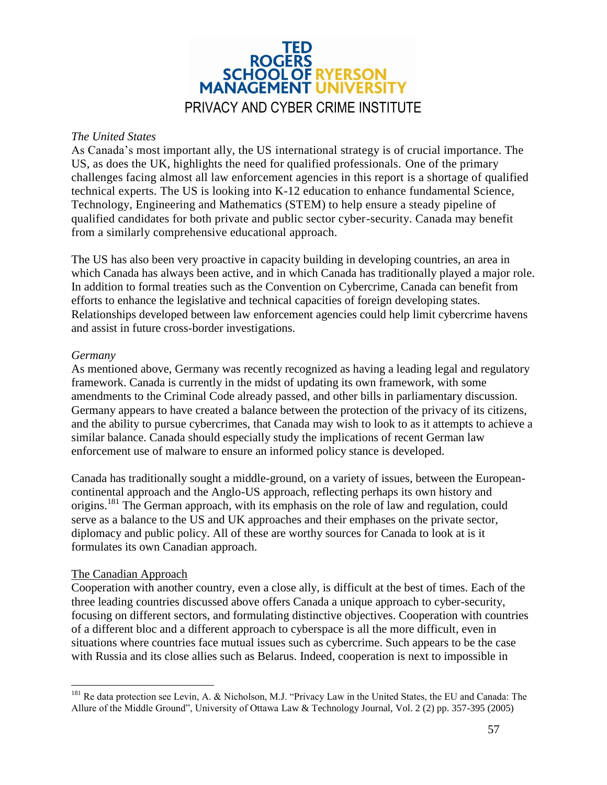

#### <span id="page-56-0"></span>*The United States*

As Canada's most important ally, the US international strategy is of crucial importance. The US, as does the UK, highlights the need for qualified professionals. One of the primary challenges facing almost all law enforcement agencies in this report is a shortage of qualified technical experts. The US is looking into K-12 education to enhance fundamental Science, Technology, Engineering and Mathematics (STEM) to help ensure a steady pipeline of qualified candidates for both private and public sector cyber-security. Canada may benefit from a similarly comprehensive educational approach.

The US has also been very proactive in capacity building in developing countries, an area in which Canada has always been active, and in which Canada has traditionally played a major role. In addition to formal treaties such as the Convention on Cybercrime, Canada can benefit from efforts to enhance the legislative and technical capacities of foreign developing states. Relationships developed between law enforcement agencies could help limit cybercrime havens and assist in future cross-border investigations.

#### <span id="page-56-1"></span>*Germany*

As mentioned above, Germany was recently recognized as having a leading legal and regulatory framework. Canada is currently in the midst of updating its own framework, with some amendments to the Criminal Code already passed, and other bills in parliamentary discussion. Germany appears to have created a balance between the protection of the privacy of its citizens, and the ability to pursue cybercrimes, that Canada may wish to look to as it attempts to achieve a similar balance. Canada should especially study the implications of recent German law enforcement use of malware to ensure an informed policy stance is developed.

Canada has traditionally sought a middle-ground, on a variety of issues, between the Europeancontinental approach and the Anglo-US approach, reflecting perhaps its own history and origins.<sup>181</sup> The German approach, with its emphasis on the role of law and regulation, could serve as a balance to the US and UK approaches and their emphases on the private sector, diplomacy and public policy. All of these are worthy sources for Canada to look at is it formulates its own Canadian approach.

#### <span id="page-56-2"></span>The Canadian Approach

 $\overline{a}$ 

Cooperation with another country, even a close ally, is difficult at the best of times. Each of the three leading countries discussed above offers Canada a unique approach to cyber-security, focusing on different sectors, and formulating distinctive objectives. Cooperation with countries of a different bloc and a different approach to cyberspace is all the more difficult, even in situations where countries face mutual issues such as cybercrime. Such appears to be the case with Russia and its close allies such as Belarus. Indeed, cooperation is next to impossible in

<sup>&</sup>lt;sup>181</sup> Re data protection see Levin, A. & Nicholson, M.J. "Privacy Law in the United States, the EU and Canada: The Allure of the Middle Ground", University of Ottawa Law & Technology Journal, Vol. 2 (2) pp. 357-395 (2005)